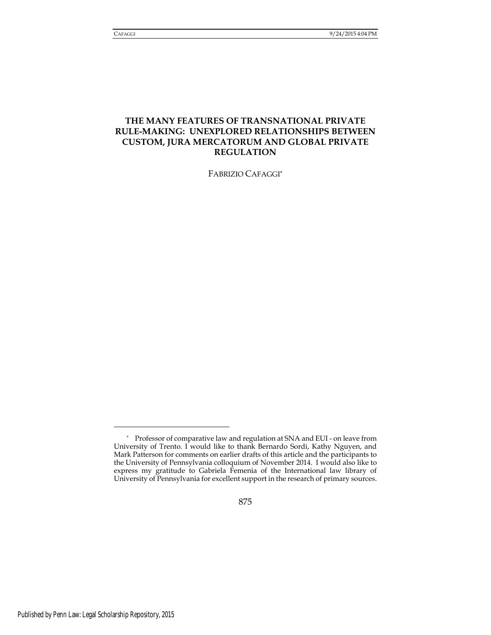# **THE MANY FEATURES OF TRANSNATIONAL PRIVATE RULE-MAKING: UNEXPLORED RELATIONSHIPS BETWEEN CUSTOM, JURA MERCATORUM AND GLOBAL PRIVATE REGULATION**

FABRIZIO CAFAGGI\*

875

<sup>\*</sup> Professor of comparative law and regulation at SNA and EUI - on leave from University of Trento. I would like to thank Bernardo Sordi, Kathy Nguyen, and Mark Patterson for comments on earlier drafts of this article and the participants to the University of Pennsylvania colloquium of November 2014. I would also like to express my gratitude to Gabriela Femenia of the International law library of University of Pennsylvania for excellent support in the research of primary sources.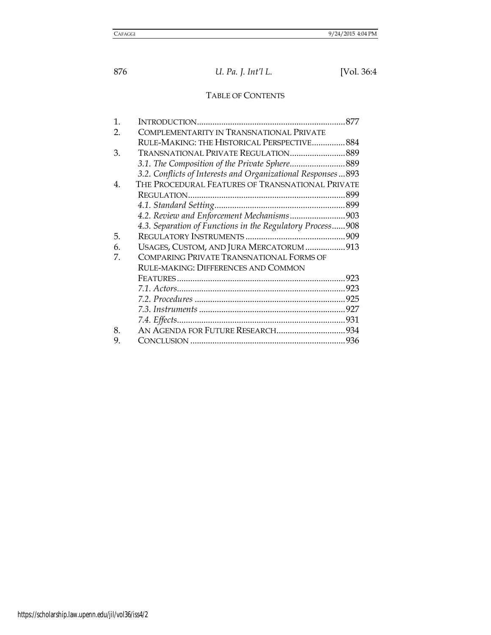# TABLE OF CONTENTS

| $\mathbf{1}$ . |                                                             |
|----------------|-------------------------------------------------------------|
| 2.             | COMPLEMENTARITY IN TRANSNATIONAL PRIVATE                    |
|                | RULE-MAKING: THE HISTORICAL PERSPECTIVE884                  |
| 3.             |                                                             |
|                | 3.1. The Composition of the Private Sphere 889              |
|                | 3.2. Conflicts of Interests and Organizational Responses893 |
| 4              | THE PROCEDURAL FEATURES OF TRANSNATIONAL PRIVATE            |
|                |                                                             |
|                |                                                             |
|                | 4.2. Review and Enforcement Mechanisms903                   |
|                | 4.3. Separation of Functions in the Regulatory Process908   |
| 5.             |                                                             |
| 6.             | USAGES, CUSTOM, AND JURA MERCATORUM  913                    |
| 7              | COMPARING PRIVATE TRANSNATIONAL FORMS OF                    |
|                | RULE-MAKING: DIFFERENCES AND COMMON                         |
|                |                                                             |
|                |                                                             |
|                |                                                             |
|                |                                                             |
|                |                                                             |
| 8.             |                                                             |
| 9.             |                                                             |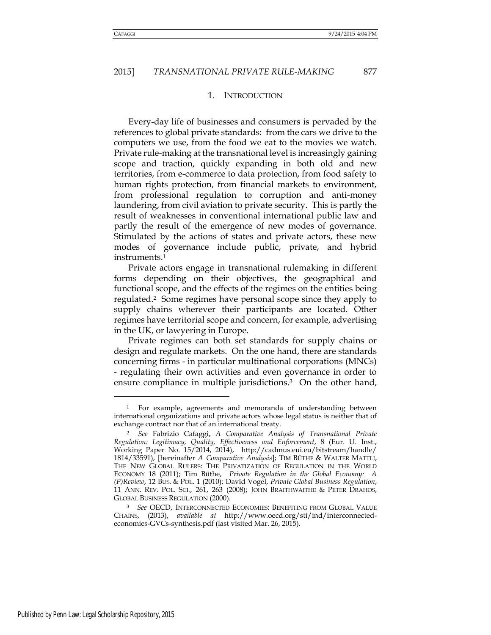#### 1. INTRODUCTION

 Every-day life of businesses and consumers is pervaded by the references to global private standards: from the cars we drive to the computers we use, from the food we eat to the movies we watch. Private rule-making at the transnational level is increasingly gaining scope and traction, quickly expanding in both old and new territories, from e-commerce to data protection, from food safety to human rights protection, from financial markets to environment, from professional regulation to corruption and anti-money laundering, from civil aviation to private security. This is partly the result of weaknesses in conventional international public law and partly the result of the emergence of new modes of governance. Stimulated by the actions of states and private actors, these new modes of governance include public, private, and hybrid instruments.<sup>1</sup>

Private actors engage in transnational rulemaking in different forms depending on their objectives, the geographical and functional scope, and the effects of the regimes on the entities being regulated.<sup>2</sup> Some regimes have personal scope since they apply to supply chains wherever their participants are located. Other regimes have territorial scope and concern, for example, advertising in the UK, or lawyering in Europe.

Private regimes can both set standards for supply chains or design and regulate markets. On the one hand, there are standards concerning firms - in particular multinational corporations (MNCs) - regulating their own activities and even governance in order to ensure compliance in multiple jurisdictions.<sup>3</sup> On the other hand,

<sup>1</sup> For example, agreements and memoranda of understanding between international organizations and private actors whose legal status is neither that of exchange contract nor that of an international treaty.

<sup>2</sup> *See* Fabrizio Cafaggi, *A Comparative Analysis of Transnational Private Regulation: Legitimacy, Quality, Effectiveness and Enforcement*, 8 (Eur. U. Inst., Working Paper No. 15/2014, 2014), [http://cadmus.eui.eu/b](http://cadmus.eui.eu/)itstream/handle/ 1814/33591), [hereinafter *A Comparative Analysis*]; TIM BÜTHE & WALTER MATTLI, THE NEW GLOBAL RULERS: THE PRIVATIZATION OF REGULATION IN THE WORLD ECONOMY 18 (2011); Tim Büthe, *Private Regulation in the Global Economy: A (P)Review*, 12 BUS. & POL. 1 (2010); David Vogel, *Private Global Business Regulation*, 11 ANN. REV. POL. SCI*.*, 261, 263 (2008); JOHN BRAITHWAITHE & PETER DRAHOS, GLOBAL BUSINESS REGULATION (2000).

<sup>3</sup> *See* OECD, INTERCONNECTED ECONOMIES: BENEFITING FROM GLOBAL VALUE CHAINS, (2013), *available at* http://www.oecd.org/sti/ind/interconnectedeconomies-GVCs-synthesis.pdf (last visited Mar. 26, 2015).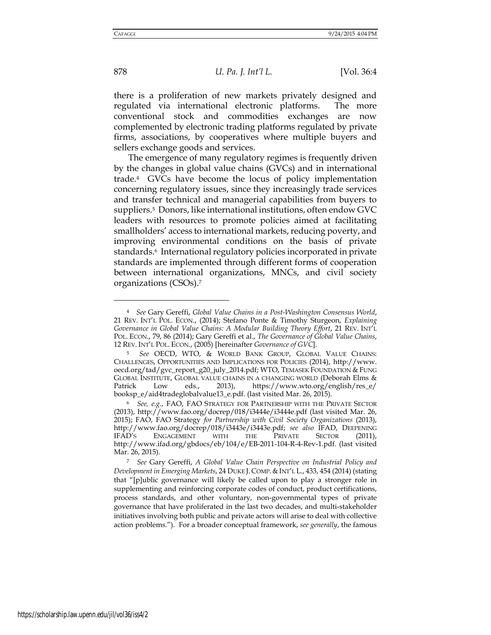there is a proliferation of new markets privately designed and regulated via international electronic platforms. The more conventional stock and commodities exchanges are now complemented by electronic trading platforms regulated by private firms, associations, by cooperatives where multiple buyers and sellers exchange goods and services.

The emergence of many regulatory regimes is frequently driven by the changes in global value chains (GVCs) and in international trade.<sup>4</sup> GVCs have become the locus of policy implementation concerning regulatory issues, since they increasingly trade services and transfer technical and managerial capabilities from buyers to suppliers.<sup>5</sup> Donors, like international institutions, often endow GVC leaders with resources to promote policies aimed at facilitating smallholders' access to international markets, reducing poverty, and improving environmental conditions on the basis of private standards.<sup>6</sup> International regulatory policies incorporated in private standards are implemented through different forms of cooperation between international organizations, MNCs, and civil society organizations (CSOs).<sup>7</sup>

<sup>4</sup> *See* Gary Gereffi, *Global Value Chains in a Post-Washington Consensus World*, 21 REV. INT'L POL. ECON., (2014); Stefano Ponte & Timothy Sturgeon, *Explaining Governance in Global Value Chains: A Modular Building Theory Effort*, 21 REV. INT'L POL. ECON., 79, 86 (2014); Gary Gereffi et al., *The Governance of Global Value Chains*, 12 REV. INT'L POL. ECON., (2005) [hereinafter *Governance of GVC*].

<sup>5</sup> *See* OECD, WTO, & WORLD BANK GROUP, GLOBAL VALUE CHAINS: CHALLENGES, OPPORTUNITIES AND IMPLICATIONS FOR POLICIES (2014), [http://www.](http://www/) oecd.org/tad/gvc\_report\_g20\_july\_2014.pdf; WTO, TEMASEK FOUNDATION & FUNG GLOBAL INSTITUTE, GLOBAL VALUE CHAINS IN A CHANGING WORLD (Deborah Elms & Patrick Low eds., 2013), [https://www.wto.org/english/res\\_e/](https://www.wto.org/english/res_e/) booksp\_e/aid4tradeglobalvalue13\_e.pdf. (last visited Mar. 26, 2015).

<sup>6</sup> *See, e.g.*, FAO, FAO STRATEGY FOR PARTNERSHIP WITH THE PRIVATE SECTOR (2013), http://www.fao.org/docrep/018/i3444e/i3444e.pdf (last visited Mar. 26, 2015); FAO, FAO Strategy *for Partnership with Civil Society Organizations* (2013), http://www.fao.org/docrep/018/i3443e/i3443e.pdf; *see also* IFAD, DEEPENING IFAD'S ENGAGEMENT WITH THE PRIVATE SECTOR (2011), http://www.ifad.org/gbdocs/eb/104/e/EB-2011-104-R-4-Rev-1.pdf. (last visited Mar. 26, 2015).

<sup>7</sup> *See* Gary Gereffi, *A Global Value Chain Perspective on Industrial Policy and Development in Emerging Markets*, 24 DUKE J. COMP. &INT'L L., 433, 454 (2014) (stating that "[p]ublic governance will likely be called upon to play a stronger role in supplementing and reinforcing corporate codes of conduct, product certifications, process standards, and other voluntary, non-governmental types of private governance that have proliferated in the last two decades, and multi-stakeholder initiatives involving both public and private actors will arise to deal with collective action problems."). For a broader conceptual framework, *see generally*, the famous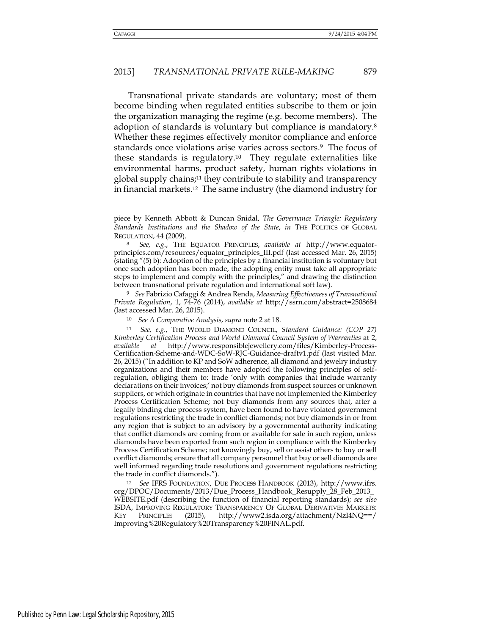Transnational private standards are voluntary; most of them become binding when regulated entities subscribe to them or join the organization managing the regime (e.g. become members). The adoption of standards is voluntary but compliance is mandatory.<sup>8</sup> Whether these regimes effectively monitor compliance and enforce standards once violations arise varies across sectors.9 The focus of these standards is regulatory.10 They regulate externalities like environmental harms, product safety, human rights violations in global supply chains;11 they contribute to stability and transparency in financial markets.12 The same industry (the diamond industry for

<sup>9</sup> *See* Fabrizio Cafaggi & Andrea Renda, *Measuring Effectiveness of Transnational Private Regulation*, 1, 74-76 (2014), *available at* http://ssrn.com/abstract=2508684 (last accessed Mar. 26, 2015).

<sup>12</sup> *See* IFRS FOUNDATION, DUE PROCESS HANDBOOK (2013), [http://www.i](http://www/)frs. org/DPOC/Documents/2013/Due\_Process\_Handbook\_Resupply\_28\_Feb\_2013\_ WEBSITE.pdf (describing the function of financial reporting standards); *see also* ISDA, IMPROVING REGULATORY TRANSPARENCY OF GLOBAL DERIVATIVES MARKETS: KEY PRINCIPLES (2015), <http://www2.isda.org/attachment/NzI4NQ==/> Improving%20Regulatory%20Transparency%20FINAL.pdf.

piece by Kenneth Abbott & Duncan Snidal, *The Governance Triangle: Regulatory Standards Institutions and the Shadow of the State*, *in* THE POLITICS OF GLOBAL REGULATION, 44 (2009).

<sup>8</sup> *See, e.g*., THE EQUATOR PRINCIPLES, *available at* http://www.equatorprinciples.com/resources/equator\_principles\_III.pdf (last accessed Mar. 26, 2015) (stating "(5) b): Adoption of the principles by a financial institution is voluntary but once such adoption has been made, the adopting entity must take all appropriate steps to implement and comply with the principles," and drawing the distinction between transnational private regulation and international soft law).

<sup>10</sup> *See A Comparative Analysis*, *supra* note 2 at 18.

<sup>11</sup> *See, e.g.*, THE WORLD DIAMOND COUNCIL, *Standard Guidance: (COP 27) Kimberley Certification Process and World Diamond Council System of Warranties* at 2, *available at* http://www.responsiblejewellery.com/files/Kimberley-Process-Certification-Scheme-and-WDC-SoW-RJC-Guidance-draftv1.pdf (last visited Mar. 26, 2015) ("In addition to KP and SoW adherence, all diamond and jewelry industry organizations and their members have adopted the following principles of selfregulation, obliging them to: trade 'only with companies that include warranty declarations on their invoices;' not buy diamonds from suspect sources or unknown suppliers, or which originate in countries that have not implemented the Kimberley Process Certification Scheme; not buy diamonds from any sources that, after a legally binding due process system, have been found to have violated government regulations restricting the trade in conflict diamonds; not buy diamonds in or from any region that is subject to an advisory by a governmental authority indicating that conflict diamonds are coming from or available for sale in such region, unless diamonds have been exported from such region in compliance with the Kimberley Process Certification Scheme; not knowingly buy, sell or assist others to buy or sell conflict diamonds; ensure that all company personnel that buy or sell diamonds are well informed regarding trade resolutions and government regulations restricting the trade in conflict diamonds.").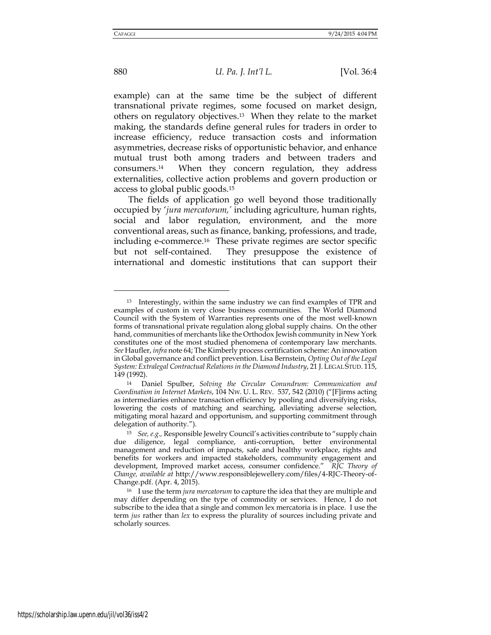example) can at the same time be the subject of different transnational private regimes, some focused on market design, others on regulatory objectives.13 When they relate to the market making, the standards define general rules for traders in order to increase efficiency, reduce transaction costs and information asymmetries, decrease risks of opportunistic behavior, and enhance mutual trust both among traders and between traders and consumers.14 When they concern regulation, they address externalities, collective action problems and govern production or access to global public goods.<sup>15</sup>

The fields of application go well beyond those traditionally occupied by '*jura mercatorum,'* including agriculture, human rights, social and labor regulation, environment, and the more conventional areas, such as finance, banking, professions, and trade, including e-commerce.16 These private regimes are sector specific but not self-contained. They presuppose the existence of international and domestic institutions that can support their

<sup>13</sup> Interestingly, within the same industry we can find examples of TPR and examples of custom in very close business communities. The World Diamond Council with the System of Warranties represents one of the most well-known forms of transnational private regulation along global supply chains. On the other hand, communities of merchants like the Orthodox Jewish community in New York constitutes one of the most studied phenomena of contemporary law merchants. *See* Haufler, *infra* note 64; The Kimberly process certification scheme: An innovation in Global governance and conflict prevention. Lisa Bernstein, *Opting Out of the Legal System: Extralegal Contractual Relations in the Diamond Industry*, 21 J. LEGAL STUD. 115, 149 (1992).

<sup>14</sup> Daniel Spulber, *Solving the Circular Conundrum: Communication and Coordination in Internet Markets*, 104 NW. U. L. REV. 537, 542 (2010) ("[F]irms acting as intermediaries enhance transaction efficiency by pooling and diversifying risks, lowering the costs of matching and searching, alleviating adverse selection, mitigating moral hazard and opportunism, and supporting commitment through delegation of authority.").

<sup>15</sup> *See, e.g*.*,* Responsible Jewelry Council's activities contribute to "supply chain due diligence, legal compliance, anti-corruption, better environmental management and reduction of impacts, safe and healthy workplace, rights and benefits for workers and impacted stakeholders, community engagement and development, Improved market access, consumer confidence." *RJC Theory of Change, available at* http://www.responsiblejewellery.com/files/4-RJC-Theory-of-Change.pdf. (Apr. 4, 2015).

<sup>16</sup> I use the term *jura mercatorum* to capture the idea that they are multiple and may differ depending on the type of commodity or services. Hence, I do not subscribe to the idea that a single and common lex mercatoria is in place. I use the term *jus* rather than *lex* to express the plurality of sources including private and scholarly sources.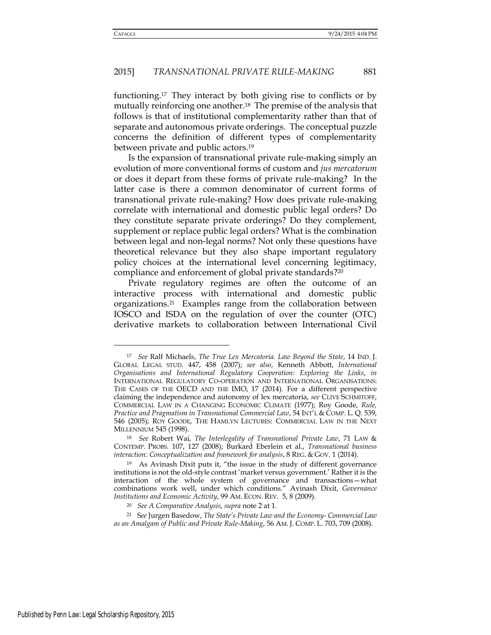functioning.17 They interact by both giving rise to conflicts or by mutually reinforcing one another.18 The premise of the analysis that follows is that of institutional complementarity rather than that of separate and autonomous private orderings. The conceptual puzzle concerns the definition of different types of complementarity between private and public actors.<sup>19</sup>

Is the expansion of transnational private rule-making simply an evolution of more conventional forms of custom and *jus mercatorum* or does it depart from these forms of private rule-making? In the latter case is there a common denominator of current forms of transnational private rule-making? How does private rule-making correlate with international and domestic public legal orders? Do they constitute separate private orderings? Do they complement, supplement or replace public legal orders? What is the combination between legal and non-legal norms? Not only these questions have theoretical relevance but they also shape important regulatory policy choices at the international level concerning legitimacy, compliance and enforcement of global private standards?<sup>20</sup>

Private regulatory regimes are often the outcome of an interactive process with international and domestic public organizations.21 Examples range from the collaboration between IOSCO and ISDA on the regulation of over the counter (OTC) derivative markets to collaboration between International Civil

<sup>17</sup> *See* Ralf Michaels, *The True Lex Mercatoria. Law Beyond the State*, 14 IND. J. GLOBAL LEGAL STUD. 447, 458 (2007); *see also*, Kenneth Abbott, *International Organisations and International Regulatory Cooperation: Exploring the Links*, *in* INTERNATIONAL REGULATORY CO-OPERATION AND INTERNATIONAL ORGANISATIONS: THE CASES OF THE OECD AND THE IMO, 17 (2014). For a different perspective claiming the independence and autonomy of lex mercatoria, *see* CLIVE SCHMITOFF, COMMERCIAL LAW IN A CHANGING ECONOMIC CLIMATE (1977); Roy Goode, *Rule, Practice and Pragmatism in Transnational Commercial Law*, 54 INT'L & COMP. L. Q. 539, 546 (2005); ROY GOODE, THE HAMLYN LECTURES: COMMERCIAL LAW IN THE NEXT MILLENNIUM 545 (1998).

<sup>18</sup> *See* Robert Wai, *The Interlegality of Transnational Private Law*, 71 LAW & CONTEMP. PROBS. 107, 127 (2008); Burkard Eberlein et al., *Transnational business interaction: Conceptualization and framework for analysis*, 8 REG. & GOV. 1 (2014).

<sup>19</sup> As Avinash Dixit puts it, "the issue in the study of different governance institutions is not the old-style contrast 'market versus government.' Rather it is the interaction of the whole system of governance and transactions—what combinations work well, under which conditions." Avinash Dixit, *Governance Institutions and Economic Activity*, 99 AM. ECON. REV. 5, 8 (2009).

<sup>20</sup> *See A Comparative Analysis*, *supra* note 2 at 1.

<sup>21</sup> S*ee* Jurgen Basedow, *The State's Private Law and the Economy- Commercial Law as an Amalgam of Public and Private Rule-Making*, 56 AM. J. COMP. L. 703, 709 (2008).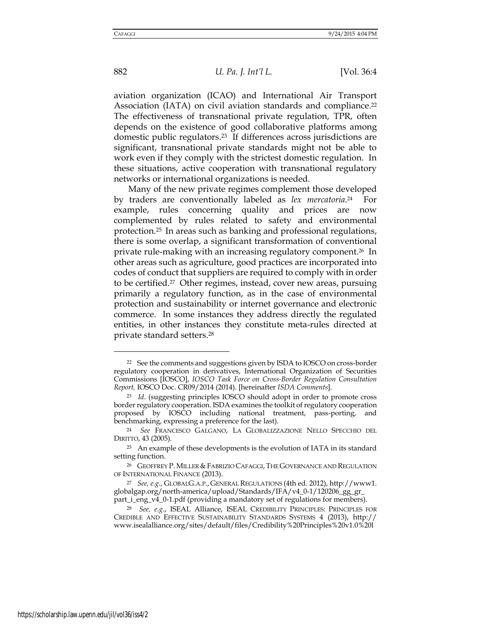aviation organization (ICAO) and International Air Transport Association (IATA) on civil aviation standards and compliance.<sup>22</sup> The effectiveness of transnational private regulation, TPR, often depends on the existence of good collaborative platforms among domestic public regulators.23 If differences across jurisdictions are significant, transnational private standards might not be able to work even if they comply with the strictest domestic regulation. In these situations, active cooperation with transnational regulatory networks or international organizations is needed.

Many of the new private regimes complement those developed by traders are conventionally labeled as *lex mercatoria*. For example, rules concerning quality and prices are now complemented by rules related to safety and environmental protection.25 In areas such as banking and professional regulations, there is some overlap, a significant transformation of conventional private rule-making with an increasing regulatory component.26 In other areas such as agriculture, good practices are incorporated into codes of conduct that suppliers are required to comply with in order to be certified.27 Other regimes, instead, cover new areas, pursuing primarily a regulatory function, as in the case of environmental protection and sustainability or internet governance and electronic commerce. In some instances they address directly the regulated entities, in other instances they constitute meta-rules directed at private standard setters.<sup>28</sup>

<sup>22</sup> See the comments and suggestions given by ISDA to IOSCO on cross-border regulatory cooperation in derivatives, International Organization of Securities Commissions [IOSCO], *IOSCO Task Force on Cross-Border Regulation Consultation Report,* IOSCO Doc. CR09/2014 (2014). [hereinafter *ISDA Comments*].

<sup>23</sup> *Id*. (suggesting principles IOSCO should adopt in order to promote cross border regulatory cooperation. ISDA examines the toolkit of regulatory cooperation proposed by IOSCO including national treatment, pass-porting, and benchmarking, expressing a preference for the last).

<sup>24</sup> *See* FRANCESCO GALGANO, LA GLOBALIZZAZIONE NELLO SPECCHIO DEL DIRITTO, 43 (2005).

<sup>25</sup> An example of these developments is the evolution of IATA in its standard setting function.

<sup>26</sup> GEOFFREY P. MILLER & FABRIZIO CAFAGGI, THE GOVERNANCE AND REGULATION OF INTERNATIONAL FINANCE (2013).

<sup>27</sup> *See, e.g.*, GLOBALG.A.P., GENERAL REGULATIONS (4th ed. 2012)[, http://www1.](http://www1/) globalgap.org/north-america/upload/Standards/IFA/v4\_0-1/120206\_gg\_gr\_ part\_i\_eng\_v4\_0-1.pdf (providing a mandatory set of regulations for members).

<sup>28</sup> *See, e.g.*, ISEAL Alliance, ISEAL CREDIBILITY PRINCIPLES: PRINCIPLES FOR CREDIBLE AND EFFECTIVE SUSTAINABILITY STANDARDS SYSTEMS 4 (2013), http:// www.isealalliance.org/sites/default/files/Credibility%20Principles%20v1.0%20l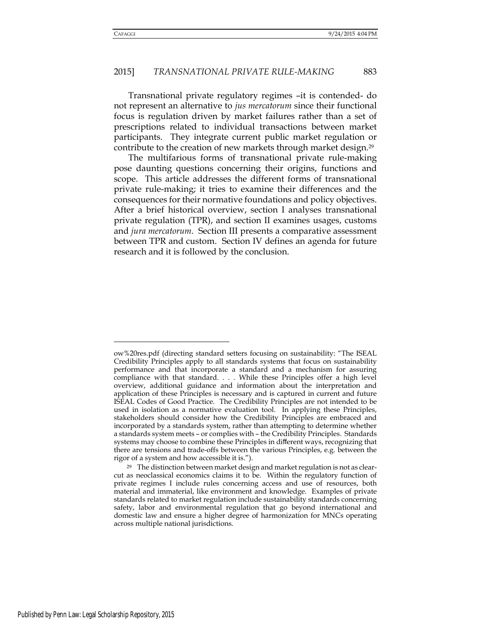Transnational private regulatory regimes –it is contended- do not represent an alternative to *jus mercatorum* since their functional focus is regulation driven by market failures rather than a set of prescriptions related to individual transactions between market participants. They integrate current public market regulation or contribute to the creation of new markets through market design.<sup>29</sup>

The multifarious forms of transnational private rule-making pose daunting questions concerning their origins, functions and scope. This article addresses the different forms of transnational private rule-making; it tries to examine their differences and the consequences for their normative foundations and policy objectives. After a brief historical overview, section I analyses transnational private regulation (TPR), and section II examines usages, customs and *jura mercatorum*. Section III presents a comparative assessment between TPR and custom. Section IV defines an agenda for future research and it is followed by the conclusion.

ow%20res.pdf (directing standard setters focusing on sustainability: "The ISEAL Credibility Principles apply to all standards systems that focus on sustainability performance and that incorporate a standard and a mechanism for assuring compliance with that standard. . . . While these Principles offer a high level overview, additional guidance and information about the interpretation and application of these Principles is necessary and is captured in current and future ISEAL Codes of Good Practice. The Credibility Principles are not intended to be used in isolation as a normative evaluation tool. In applying these Principles, stakeholders should consider how the Credibility Principles are embraced and incorporated by a standards system, rather than attempting to determine whether a standards system meets – or complies with – the Credibility Principles. Standards systems may choose to combine these Principles in different ways, recognizing that there are tensions and trade-offs between the various Principles, e.g. between the rigor of a system and how accessible it is.").

<sup>29</sup> The distinction between market design and market regulation is not as clearcut as neoclassical economics claims it to be. Within the regulatory function of private regimes I include rules concerning access and use of resources, both material and immaterial, like environment and knowledge. Examples of private standards related to market regulation include sustainability standards concerning safety, labor and environmental regulation that go beyond international and domestic law and ensure a higher degree of harmonization for MNCs operating across multiple national jurisdictions.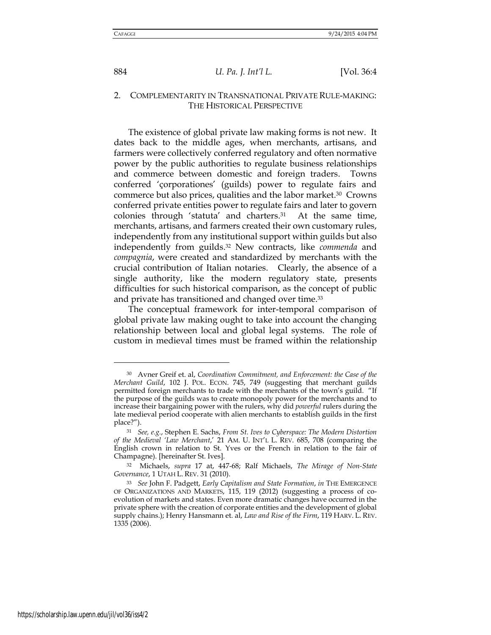# 2. COMPLEMENTARITY IN TRANSNATIONAL PRIVATE RULE-MAKING: THE HISTORICAL PERSPECTIVE

The existence of global private law making forms is not new. It dates back to the middle ages, when merchants, artisans, and farmers were collectively conferred regulatory and often normative power by the public authorities to regulate business relationships and commerce between domestic and foreign traders. Towns conferred 'çorporationes' (guilds) power to regulate fairs and commerce but also prices, qualities and the labor market.30 Crowns conferred private entities power to regulate fairs and later to govern colonies through 'statuta' and charters. <sup>31</sup> At the same time, merchants, artisans, and farmers created their own customary rules, independently from any institutional support within guilds but also independently from guilds.32 New contracts, like *commenda* and *compagnia*, were created and standardized by merchants with the crucial contribution of Italian notaries. Clearly, the absence of a single authority, like the modern regulatory state, presents difficulties for such historical comparison, as the concept of public and private has transitioned and changed over time.<sup>33</sup>

The conceptual framework for inter-temporal comparison of global private law making ought to take into account the changing relationship between local and global legal systems. The role of custom in medieval times must be framed within the relationship

<sup>30</sup> Avner Greif et. al, *Coordination Commitment, and Enforcement: the Case of the Merchant Guild*, 102 J. POL. ECON. 745, 749 (suggesting that merchant guilds permitted foreign merchants to trade with the merchants of the town's guild. "If the purpose of the guilds was to create monopoly power for the merchants and to increase their bargaining power with the rulers, why did *powerful* rulers during the late medieval period cooperate with alien merchants to establish guilds in the first place?").

<sup>31</sup> *See, e.g.*, Stephen E. Sachs, *From St. Ives to Cyberspace: The Modern Distortion of the Medieval 'Law Merchant*,' 21 AM. U. INT'L L. REV. 685, 708 (comparing the English crown in relation to St. Yves or the French in relation to the fair of Champagne). [hereinafter St. Ives].

<sup>32</sup> Michaels, *supra* 17 at, 447-68; Ralf Michaels, *The Mirage of Non-State Governance*, 1 UTAH L. REV. 31 (2010).

<sup>33</sup> *See* John F. Padgett, *Early Capitalism and State Formation*, *in* THE EMERGENCE OF ORGANIZATIONS AND MARKETS, 115, 119 (2012) (suggesting a process of coevolution of markets and states. Even more dramatic changes have occurred in the private sphere with the creation of corporate entities and the development of global supply chains.); Henry Hansmann et. al, *Law and Rise of the Firm*, 119 HARV. L. REV. 1335 (2006).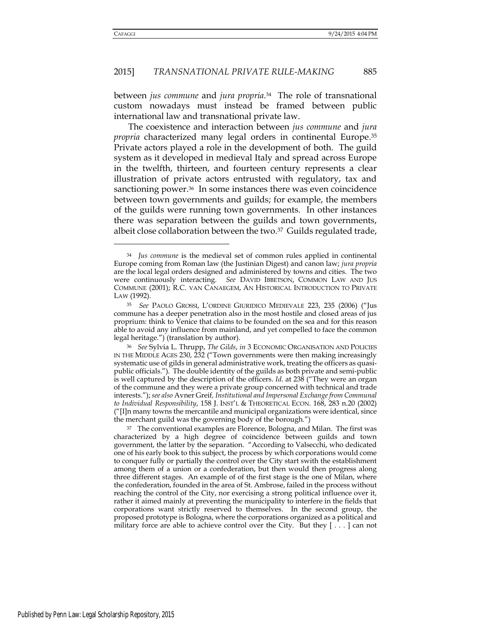between *jus commune* and *jura propria*. <sup>34</sup> The role of transnational custom nowadays must instead be framed between public international law and transnational private law.

The coexistence and interaction between *jus commune* and *jura propria* characterized many legal orders in continental Europe.<sup>35</sup> Private actors played a role in the development of both. The guild system as it developed in medieval Italy and spread across Europe in the twelfth, thirteen, and fourteen century represents a clear illustration of private actors entrusted with regulatory, tax and sanctioning power.<sup>36</sup> In some instances there was even coincidence between town governments and guilds; for example, the members of the guilds were running town governments. In other instances there was separation between the guilds and town governments, albeit close collaboration between the two.<sup>37</sup> Guilds regulated trade,

<sup>34</sup> *Jus commune* is the medieval set of common rules applied in continental Europe coming from Roman law (the Justinian Digest) and canon law; *jura propria* are the local legal orders designed and administered by towns and cities. The two were continuously interacting. *See* DAVID IBBETSON, COMMON LAW AND JUS COMMUNE (2001); R.C. VAN CANAEGEM, AN HISTORICAL INTRODUCTION TO PRIVATE LAW (1992).

<sup>35</sup> *See* PAOLO GROSSI, L'ORDINE GIURIDICO MEDIEVALE 223, 235 (2006) ("Jus commune has a deeper penetration also in the most hostile and closed areas of jus proprium: think to Venice that claims to be founded on the sea and for this reason able to avoid any influence from mainland, and yet compelled to face the common legal heritage.") (translation by author).

<sup>36</sup> *See* Sylvia L. Thrupp, *The Gilds*, *in* 3 ECONOMIC ORGANISATION AND POLICIES IN THE MIDDLE AGES 230, 232 ("Town governments were then making increasingly systematic use of gilds in general administrative work, treating the officers as quasipublic officials."). The double identity of the guilds as both private and semi-public is well captured by the description of the officers. *Id*. at 238 ("They were an organ of the commune and they were a private group concerned with technical and trade interests."); *see also* Avner Greif*, Institutional and Impersonal Exchange from Communal to Individual Responsibility*, 158 J. INST'L & THEORETICAL ECON. 168, 283 n.20 (2002) ("[I]n many towns the mercantile and municipal organizations were identical, since the merchant guild was the governing body of the borough.")

<sup>37</sup> The conventional examples are Florence, Bologna, and Milan. The first was characterized by a high degree of coincidence between guilds and town government, the latter by the separation. "According to Valsecchi, who dedicated one of his early book to this subject, the process by which corporations would come to conquer fully or partially the control over the City start swith the establishment among them of a union or a confederation, but then would then progress along three different stages. An example of of the first stage is the one of Milan, where the confederation, founded in the area of St. Ambrose, failed in the process without reaching the control of the City, nor exercising a strong political influence over it, rather it aimed mainly at preventing the municipality to interfere in the fields that corporations want strictly reserved to themselves. In the second group, the proposed prototype is Bologna, where the corporations organized as a political and military force are able to achieve control over the City. But they [ . . . ] can not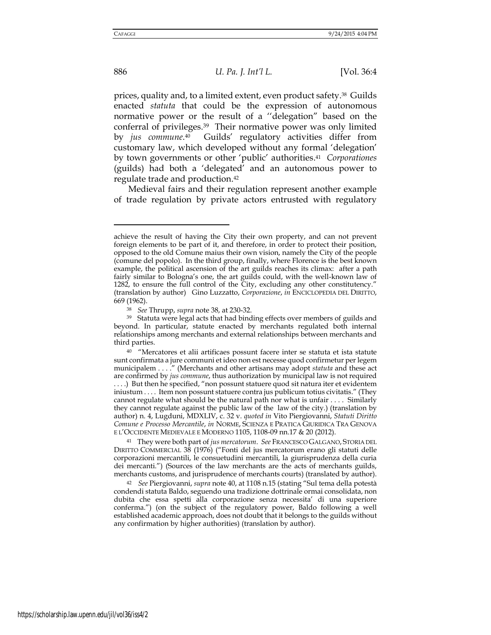prices, quality and, to a limited extent, even product safety.38 Guilds enacted *statuta* that could be the expression of autonomous normative power or the result of a ''delegation" based on the conferral of privileges.39 Their normative power was only limited by *jus commune*. Guilds' regulatory activities differ from customary law, which developed without any formal 'delegation' by town governments or other 'public' authorities. 41 *Corporationes*  (guilds) had both a 'delegated' and an autonomous power to regulate trade and production.<sup>42</sup>

Medieval fairs and their regulation represent another example of trade regulation by private actors entrusted with regulatory

<sup>41</sup> They were both part of *jus mercatorum*. *See* FRANCESCO GALGANO, STORIA DEL DIRITTO COMMERCIAL 38 (1976) ("Fonti del jus mercatorum erano gli statuti delle corporazioni mercantili, le consuetudini mercantili, la giurisprudenza della curia dei mercanti.") (Sources of the law merchants are the acts of merchants guilds, merchants customs, and jurisprudence of merchants courts) (translated by author).

<sup>42</sup> *See* Piergiovanni, *supra* note 40, at 1108 n.15 (stating "Sul tema della potestà condendi statuta Baldo, seguendo una tradizione dottrinale ormai consolidata, non dubita che essa spetti alla corporazione senza necessita' di una superiore conferma.") (on the subject of the regulatory power, Baldo following a well established academic approach, does not doubt that it belongs to the guilds without any confirmation by higher authorities) (translation by author).

achieve the result of having the City their own property, and can not prevent foreign elements to be part of it, and therefore, in order to protect their position, opposed to the old Comune maius their own vision, namely the City of the people (comune del popolo). In the third group, finally, where Florence is the best known example, the political ascension of the art guilds reaches its climax: after a path fairly similar to Bologna's one, the art guilds could, with the well-known law of 1282, to ensure the full control of the City, excluding any other constitutency." (translation by author) Gino Luzzatto, *Corporazione*, *in* ENCICLOPEDIA DEL DIRITTO, 669 (1962).

<sup>38</sup> *See* Thrupp, *supra* note 38, at 230-32.

<sup>39</sup> Statuta were legal acts that had binding effects over members of guilds and beyond. In particular, statute enacted by merchants regulated both internal relationships among merchants and external relationships between merchants and third parties.

<sup>&</sup>lt;sup>40</sup> "Mercatores et alii artificaes possunt facere inter se statuta et ista statute sunt confirmata a jure communi et ideo non est necesse quod confirmetur per legem municipalem . . . ." (Merchants and other artisans may adopt *statuta* and these act are confirmed by *jus commune*, thus authorization by municipal law is not required . . . .) But then he specified, "non possunt statuere quod sit natura iter et evidentem iniustum . . . . Item non possunt statuere contra jus publicum totius civitatis." (They cannot regulate what should be the natural path nor what is unfair . . . . Similarly they cannot regulate against the public law of the law of the city.) (translation by author) n. 4, Lugduni, MDXLIV, c. 32 v. *quoted in* Vito Piergiovanni, *Statuti Diritto Comune e Processo Mercantile*, *in* NORME, SCIENZA E PRATICA GIURIDICA TRA GENOVA E L'OCCIDENTE MEDIEVALE E MODERNO 1105, 1108-09 nn.17 & 20 (2012).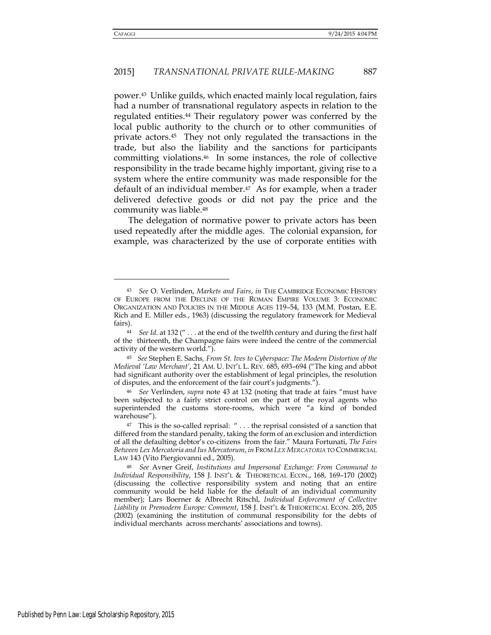<u>.</u>

### 2015] *TRANSNATIONAL PRIVATE RULE-MAKING* 887

power.43 Unlike guilds, which enacted mainly local regulation, fairs had a number of transnational regulatory aspects in relation to the regulated entities.44 Their regulatory power was conferred by the local public authority to the church or to other communities of private actors.45 They not only regulated the transactions in the trade, but also the liability and the sanctions for participants committing violations.<sup>46</sup> In some instances, the role of collective responsibility in the trade became highly important, giving rise to a system where the entire community was made responsible for the default of an individual member.<sup>47</sup> As for example, when a trader delivered defective goods or did not pay the price and the community was liable.<sup>48</sup>

The delegation of normative power to private actors has been used repeatedly after the middle ages. The colonial expansion, for example, was characterized by the use of corporate entities with

<sup>43</sup> *See* O. Verlinden, *Markets and Fairs*, *in* THE CAMBRIDGE ECONOMIC HISTORY OF EUROPE FROM THE DECLINE OF THE ROMAN EMPIRE VOLUME 3: ECONOMIC ORGANIZATION AND POLICIES IN THE MIDDLE AGES 119–54, 133 (M.M. Postan, E.E. Rich and E. Miller eds., 1963) (discussing the regulatory framework for Medieval fairs).

<sup>44</sup> *See Id.* at 132 (" . . . at the end of the twelfth century and during the first half of the thirteenth, the Champagne fairs were indeed the centre of the commercial activity of the western world.").

<sup>45</sup> *See* Stephen E. Sachs*, From St. Ives to Cyberspace: The Modern Distortion of the Medieval 'Law Merchant'*, 21 AM. U. INT'L L. REV. 685, 693–694 ("The king and abbot had significant authority over the establishment of legal principles, the resolution of disputes, and the enforcement of the fair court's judgments.").

<sup>46</sup> *See* Verlinden, *supra* note 43 at 132 (noting that trade at fairs "must have been subjected to a fairly strict control on the part of the royal agents who superintended the customs store-rooms, which were "a kind of bonded warehouse").

<sup>47</sup> This is the so-called reprisal: " . . . the reprisal consisted of a sanction that differed from the standard penalty, taking the form of an exclusion and interdiction of all the defaulting debtor's co-citizens from the fair." Maura Fortunati, *The Fairs Between Lex Mercatoria and Ius Mercatorum*, *in* FROM *LEX MERCATORIA* TO COMMERCIAL LAW 143 (Vito Piergiovanni ed., 2005).

<sup>48</sup> *See* Avner Greif, *Institutions and Impersonal Exchange: From Communal to Individual Responsibility*, 158 J. INST'L & THEORETICAL ECON., 168, 169–170 (2002) (discussing the collective responsibility system and noting that an entire community would be held liable for the default of an individual community member); Lars Boerner & Albrecht Ritschl, *Individual Enforcement of Collective Liability in Premodern Europe: Comment*, 158 J. INST'L & THEORETICAL ECON. 205, 205 (2002) (examining the institution of communal responsibility for the debts of individual merchants across merchants' associations and towns).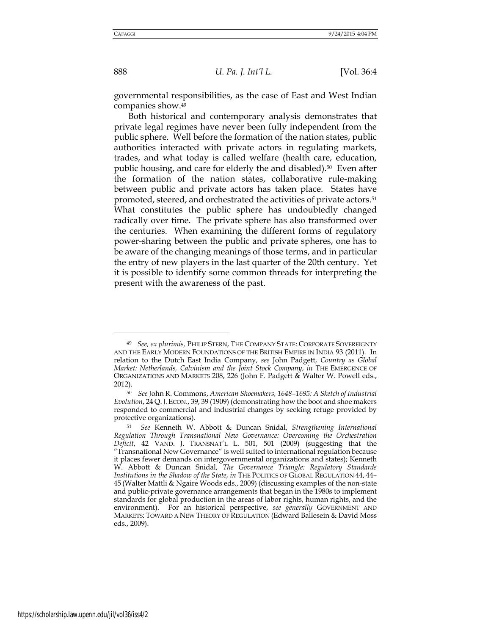governmental responsibilities, as the case of East and West Indian companies show.<sup>49</sup>

Both historical and contemporary analysis demonstrates that private legal regimes have never been fully independent from the public sphere. Well before the formation of the nation states, public authorities interacted with private actors in regulating markets, trades, and what today is called welfare (health care, education, public housing, and care for elderly the and disabled).<sup>50</sup> Even after the formation of the nation states, collaborative rule-making between public and private actors has taken place. States have promoted, steered, and orchestrated the activities of private actors.<sup>51</sup> What constitutes the public sphere has undoubtedly changed radically over time. The private sphere has also transformed over the centuries. When examining the different forms of regulatory power-sharing between the public and private spheres, one has to be aware of the changing meanings of those terms, and in particular the entry of new players in the last quarter of the 20th century. Yet it is possible to identify some common threads for interpreting the present with the awareness of the past.

<sup>49</sup> *See, ex plurimis,* PHILIP STERN, THE COMPANY STATE: CORPORATE SOVEREIGNTY AND THE EARLY MODERN FOUNDATIONS OF THE BRITISH EMPIRE IN INDIA 93 (2011). In relation to the Dutch East India Company, *see* John Padgett, *Country as Global Market: Netherlands, Calvinism and the Joint Stock Company*, *in* THE EMERGENCE OF ORGANIZATIONS AND MARKETS 208, 226 (John F. Padgett & Walter W. Powell eds., 2012).

<sup>50</sup> *See* John R. Commons, *American Shoemakers, 1648–1695: A Sketch of Industrial Evolution*, 24 Q.J.ECON., 39, 39 (1909) (demonstrating how the boot and shoe makers responded to commercial and industrial changes by seeking refuge provided by protective organizations).

<sup>51</sup> *See* Kenneth W. Abbott & Duncan Snidal, *Strengthening International Regulation Through Transnational New Governance: Overcoming the Orchestration Deficit*, 42 VAND. J. TRANSNAT'L L. 501, 501 (2009) (suggesting that the "Transnational New Governance" is well suited to international regulation because it places fewer demands on intergovernmental organizations and states); Kenneth W. Abbott & Duncan Snidal, *The Governance Triangle: Regulatory Standards Institutions in the Shadow of the State*, *in* THE POLITICS OF GLOBAL REGULATION 44, 44– 45 (Walter Mattli & Ngaire Woods eds., 2009) (discussing examples of the non-state and public-private governance arrangements that began in the 1980s to implement standards for global production in the areas of labor rights, human rights, and the environment). For an historical perspective, *see generally* GOVERNMENT AND MARKETS: TOWARD A NEW THEORY OF REGULATION (Edward Ballesein & David Moss eds., 2009).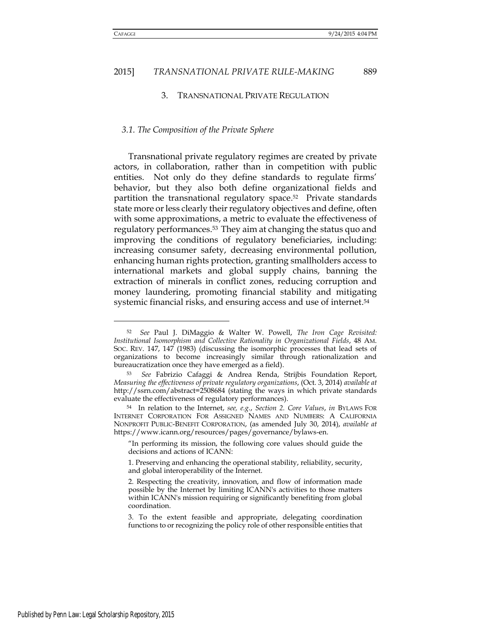<u>.</u>

# 2015] *TRANSNATIONAL PRIVATE RULE-MAKING* 889

#### 3. TRANSNATIONAL PRIVATE REGULATION

#### *3.1. The Composition of the Private Sphere*

Transnational private regulatory regimes are created by private actors, in collaboration, rather than in competition with public entities. Not only do they define standards to regulate firms' behavior, but they also both define organizational fields and partition the transnational regulatory space.52 Private standards state more or less clearly their regulatory objectives and define, often with some approximations, a metric to evaluate the effectiveness of regulatory performances.53 They aim at changing the status quo and improving the conditions of regulatory beneficiaries, including: increasing consumer safety, decreasing environmental pollution, enhancing human rights protection, granting smallholders access to international markets and global supply chains, banning the extraction of minerals in conflict zones, reducing corruption and money laundering, promoting financial stability and mitigating systemic financial risks, and ensuring access and use of internet.<sup>54</sup>

<sup>52</sup> *See* Paul J. DiMaggio & Walter W. Powell, *The Iron Cage Revisited: Institutional Isomorphism and Collective Rationality in Organizational Fields*, 48 AM. SOC. REV. 147, 147 (1983) (discussing the isomorphic processes that lead sets of organizations to become increasingly similar through rationalization and bureaucratization once they have emerged as a field).

<sup>53</sup> *See* Fabrizio Cafaggi & Andrea Renda, Strijbis Foundation Report, *Measuring the effectiveness of private regulatory organizations*, (Oct. 3, 2014) *available at* <http://ssrn.com/abstract=2508684>(stating the ways in which private standards evaluate the effectiveness of regulatory performances).

<sup>54</sup> In relation to the Internet, *see, e.g.*, *Section 2. Core Values*, *in* BYLAWS FOR INTERNET CORPORATION FOR ASSIGNED NAMES AND NUMBERS: A CALIFORNIA NONPROFIT PUBLIC-BENEFIT CORPORATION, (as amended July 30, 2014), *available at* https://www.icann.org/resources/pages/governance/bylaws-en.

<sup>&</sup>quot;In performing its mission, the following core values should guide the decisions and actions of ICANN:

<sup>1.</sup> Preserving and enhancing the operational stability, reliability, security, and global interoperability of the Internet.

<sup>2.</sup> Respecting the creativity, innovation, and flow of information made possible by the Internet by limiting ICANN's activities to those matters within ICANN's mission requiring or significantly benefiting from global coordination.

<sup>3.</sup> To the extent feasible and appropriate, delegating coordination functions to or recognizing the policy role of other responsible entities that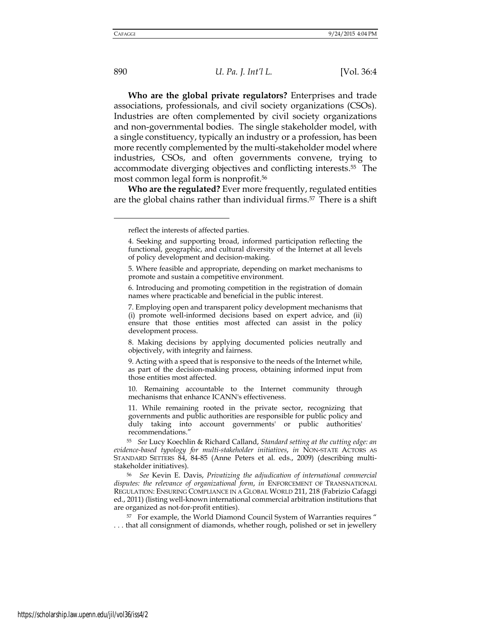### 890 *U. Pa. J. Int'l L.* [Vol. 36:4

**Who are the global private regulators?** Enterprises and trade associations, professionals, and civil society organizations (CSOs). Industries are often complemented by civil society organizations and non-governmental bodies. The single stakeholder model, with a single constituency, typically an industry or a profession, has been more recently complemented by the multi-stakeholder model where industries, CSOs, and often governments convene, trying to accommodate diverging objectives and conflicting interests.55 The most common legal form is nonprofit.<sup>56</sup>

**Who are the regulated?** Ever more frequently, regulated entities are the global chains rather than individual firms.<sup>57</sup> There is a shift

11. While remaining rooted in the private sector, recognizing that governments and public authorities are responsible for public policy and duly taking into account governments' or public authorities' recommendations."

<sup>55</sup> *See* Lucy Koechlin & Richard Calland, *Standard setting at the cutting edge: an evidence-based typology for multi-stakeholder initiatives*, *in* NON-STATE ACTORS AS STANDARD SETTERS 84, 84-85 (Anne Peters et al. eds., 2009) (describing multistakeholder initiatives).

<sup>56</sup> *See* Kevin E. Davis, *Privatizing the adjudication of international commercial disputes: the relevance of organizational form*, *in* ENFORCEMENT OF TRANSNATIONAL REGULATION: ENSURING COMPLIANCE IN A GLOBAL WORLD 211, 218 (Fabrizio Cafaggi ed., 2011) (listing well-known international commercial arbitration institutions that are organized as not-for-profit entities).

<sup>57</sup> For example, the World Diamond Council System of Warranties requires " . . . that all consignment of diamonds, whether rough, polished or set in jewellery

reflect the interests of affected parties.

<sup>4.</sup> Seeking and supporting broad, informed participation reflecting the functional, geographic, and cultural diversity of the Internet at all levels of policy development and decision-making.

<sup>5.</sup> Where feasible and appropriate, depending on market mechanisms to promote and sustain a competitive environment.

<sup>6.</sup> Introducing and promoting competition in the registration of domain names where practicable and beneficial in the public interest.

<sup>7.</sup> Employing open and transparent policy development mechanisms that (i) promote well-informed decisions based on expert advice, and (ii) ensure that those entities most affected can assist in the policy development process.

<sup>8.</sup> Making decisions by applying documented policies neutrally and objectively, with integrity and fairness.

<sup>9.</sup> Acting with a speed that is responsive to the needs of the Internet while, as part of the decision-making process, obtaining informed input from those entities most affected.

<sup>10.</sup> Remaining accountable to the Internet community through mechanisms that enhance ICANN's effectiveness.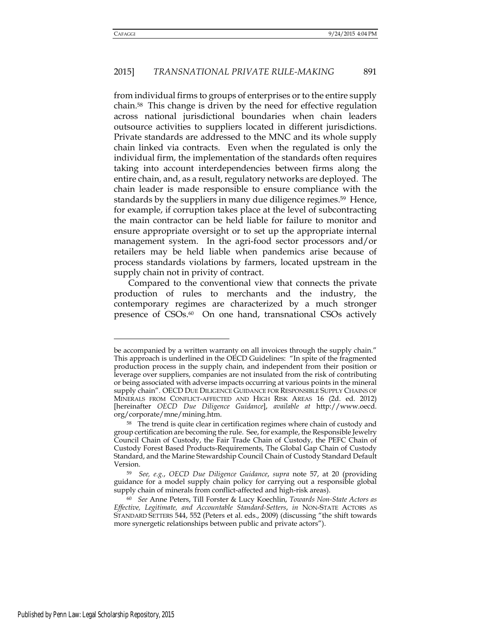# 2015] *TRANSNATIONAL PRIVATE RULE-MAKING* 891

from individual firms to groups of enterprises or to the entire supply chain.58 This change is driven by the need for effective regulation across national jurisdictional boundaries when chain leaders outsource activities to suppliers located in different jurisdictions. Private standards are addressed to the MNC and its whole supply chain linked via contracts. Even when the regulated is only the individual firm, the implementation of the standards often requires taking into account interdependencies between firms along the entire chain, and, as a result, regulatory networks are deployed. The chain leader is made responsible to ensure compliance with the standards by the suppliers in many due diligence regimes.<sup>59</sup> Hence, for example, if corruption takes place at the level of subcontracting the main contractor can be held liable for failure to monitor and ensure appropriate oversight or to set up the appropriate internal management system. In the agri-food sector processors and/or retailers may be held liable when pandemics arise because of process standards violations by farmers, located upstream in the supply chain not in privity of contract.

Compared to the conventional view that connects the private production of rules to merchants and the industry, the contemporary regimes are characterized by a much stronger presence of CSOs.<sup>60</sup> On one hand, transnational CSOs actively

be accompanied by a written warranty on all invoices through the supply chain." This approach is underlined in the OECD Guidelines: "In spite of the fragmented production process in the supply chain, and independent from their position or leverage over suppliers, companies are not insulated from the risk of contributing or being associated with adverse impacts occurring at various points in the mineral supply chain". OECD DUE DILIGENCE GUIDANCE FOR RESPONSIBLE SUPPLY CHAINS OF MINERALS FROM CONFLICT-AFFECTED AND HIGH RISK AREAS 16 (2d. ed. 2012) [hereinafter *OECD Due Diligence Guidance*], *available at* http://www.oecd. org/corporate/mne/mining.htm.

<sup>58</sup> The trend is quite clear in certification regimes where chain of custody and group certification are becoming the rule. See, for example, the Responsible Jewelry Council Chain of Custody, the Fair Trade Chain of Custody, the PEFC Chain of Custody Forest Based Products-Requirements, The Global Gap Chain of Custody Standard, and the Marine Stewardship Council Chain of Custody Standard Default Version.

<sup>59</sup> *See, e.g.*, *OECD Due Diligence Guidance*, *supra* note 57, at 20 (providing guidance for a model supply chain policy for carrying out a responsible global supply chain of minerals from conflict-affected and high-risk areas).

<sup>60</sup> *See* Anne Peters, Till Forster & Lucy Koechlin, *Towards Non-State Actors as Effective, Legitimate, and Accountable Standard-Setters*, *in* NON-STATE ACTORS AS STANDARD SETTERS 544, 552 (Peters et al. eds., 2009) (discussing "the shift towards more synergetic relationships between public and private actors").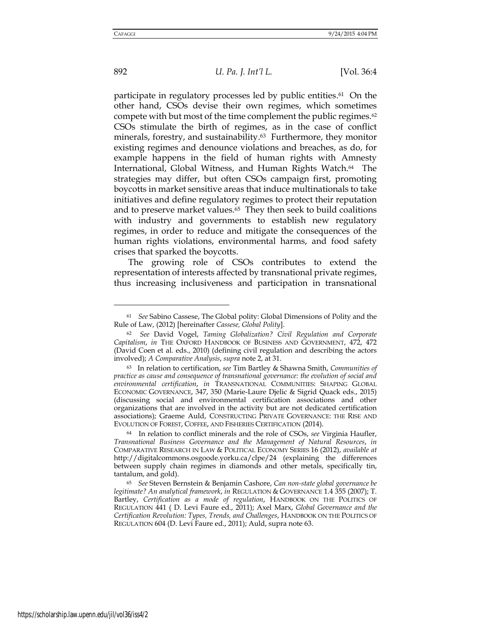892 *U. Pa. J. Int'l L.* [Vol. 36:4

participate in regulatory processes led by public entities.61 On the other hand, CSOs devise their own regimes, which sometimes compete with but most of the time complement the public regimes.<sup>62</sup> CSOs stimulate the birth of regimes, as in the case of conflict minerals, forestry, and sustainability.63 Furthermore, they monitor existing regimes and denounce violations and breaches, as do, for example happens in the field of human rights with Amnesty International, Global Witness, and Human Rights Watch.64 The strategies may differ, but often CSOs campaign first, promoting boycotts in market sensitive areas that induce multinationals to take initiatives and define regulatory regimes to protect their reputation and to preserve market values.<sup>65</sup> They then seek to build coalitions with industry and governments to establish new regulatory regimes, in order to reduce and mitigate the consequences of the human rights violations, environmental harms, and food safety crises that sparked the boycotts.

The growing role of CSOs contributes to extend the representation of interests affected by transnational private regimes, thus increasing inclusiveness and participation in transnational

<sup>61</sup> *See* Sabino Cassese, The Global polity: Global Dimensions of Polity and the Rule of Law, (2012) [hereinafter *Cassese, Global Polity*].

<sup>62</sup> *See* David Vogel, *Taming Globalization? Civil Regulation and Corporate Capitalism*, *in* THE OXFORD HANDBOOK OF BUSINESS AND GOVERNMENT, 472, 472 (David Coen et al. eds., 2010) (defining civil regulation and describing the actors involved); *A Comparative Analysis*, *supra* note 2, at 31.

<sup>63</sup> In relation to certification, *see* Tim Bartley & Shawna Smith, *Communities of practice as cause and consequence of transnational governance: the evolution of social and environmental certification*, *in* TRANSNATIONAL COMMUNITIES: SHAPING GLOBAL ECONOMIC GOVERNANCE, 347, 350 (Marie-Laure Djelic & Sigrid Quack eds., 2015) (discussing social and environmental certification associations and other organizations that are involved in the activity but are not dedicated certification associations); Graeme Auld, CONSTRUCTING PRIVATE GOVERNANCE: THE RISE AND EVOLUTION OF FOREST, COFFEE, AND FISHERIES CERTIFICATION (2014).

<sup>64</sup> In relation to conflict minerals and the role of CSOs, *see* Virginia Haufler, *Transnational Business Governance and the Management of Natural Resources*, *in* COMPARATIVE RESEARCH IN LAW & POLITICAL ECONOMY SERIES 16 (2012), *available at* http://digitalcommons.osgoode.yorku.ca/clpe/24 (explaining the differences between supply chain regimes in diamonds and other metals, specifically tin, tantalum, and gold).

<sup>65</sup> *See* Steven Bernstein & Benjamin Cashore, *Can non-state global governance be legitimate? An analytical framework*, *in* REGULATION & GOVERNANCE 1.4 355 (2007); T. Bartley, *Certification as a mode of regulation*, HANDBOOK ON THE POLITICS OF REGULATION 441 ( D. Levi Faure ed., 2011); Axel Marx, *Global Governance and the Certification Revolution: Types, Trends, and Challenges*, HANDBOOK ON THE POLITICS OF REGULATION 604 (D. Levi Faure ed., 2011); Auld, supra note 63.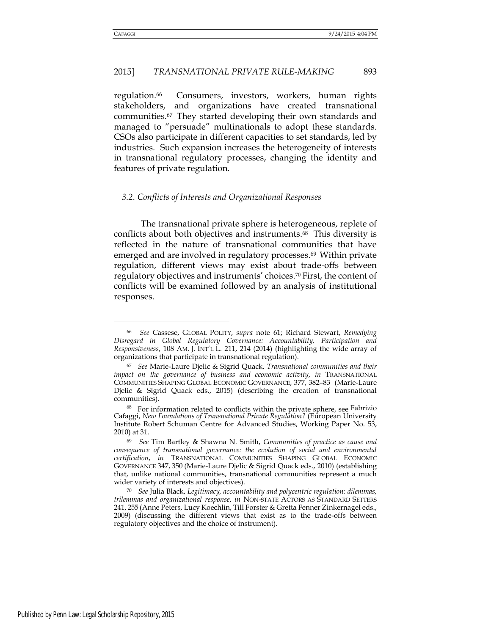regulation.66 Consumers, investors, workers, human rights stakeholders, and organizations have created transnational communities.67 They started developing their own standards and managed to "persuade" multinationals to adopt these standards. CSOs also participate in different capacities to set standards, led by industries. Such expansion increases the heterogeneity of interests in transnational regulatory processes, changing the identity and features of private regulation.

# *3.2. Conflicts of Interests and Organizational Responses*

 The transnational private sphere is heterogeneous, replete of conflicts about both objectives and instruments.<sup>68</sup> This diversity is reflected in the nature of transnational communities that have emerged and are involved in regulatory processes. <sup>69</sup> Within private regulation, different views may exist about trade-offs between regulatory objectives and instruments' choices. <sup>70</sup> First, the content of conflicts will be examined followed by an analysis of institutional responses.

<sup>66</sup> *See* Cassese, GLOBAL POLITY, *supra* note 61; Richard Stewart, *Remedying Disregard in Global Regulatory Governance: Accountability, Participation and Responsiveness*, 108 AM. J. INT'L L. 211, 214 (2014) (highlighting the wide array of organizations that participate in transnational regulation).

<sup>67</sup> *See* Marie-Laure Djelic & Sigrid Quack, *Transnational communities and their impact on the governance of business and economic activity*, *in* TRANSNATIONAL COMMUNITIES SHAPING GLOBAL ECONOMIC GOVERNANCE, 377, 382–83 (Marie-Laure Djelic & Sigrid Quack eds., 2015) (describing the creation of transnational communities).

<sup>68</sup> For information related to conflicts within the private sphere, see Fabrizio Cafaggi, *New Foundations of Transnational Private Regulation?* (European University Institute Robert Schuman Centre for Advanced Studies, Working Paper No. 53, 2010) at 31.

<sup>69</sup> *See* Tim Bartley & Shawna N. Smith, *Communities of practice as cause and consequence of transnational governance: the evolution of social and environmental certification*, *in* TRANSNATIONAL COMMUNITIES SHAPING GLOBAL ECONOMIC GOVERNANCE 347, 350 (Marie-Laure Djelic & Sigrid Quack eds., 2010) (establishing that, unlike national communities, transnational communities represent a much wider variety of interests and objectives).

<sup>70</sup> *See* Julia Black, *Legitimacy, accountability and polycentric regulation: dilemmas, trilemmas and organizational response*, *in* NON-STATE ACTORS AS STANDARD SETTERS 241, 255 (Anne Peters, Lucy Koechlin, Till Forster & Gretta Fenner Zinkernagel eds., 2009) (discussing the different views that exist as to the trade-offs between regulatory objectives and the choice of instrument).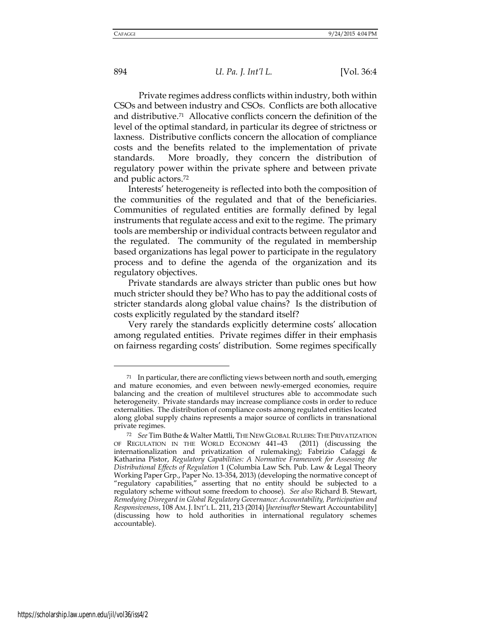<u>.</u>

894 *U. Pa. J. Int'l L.* [Vol. 36:4

 Private regimes address conflicts within industry, both within CSOs and between industry and CSOs. Conflicts are both allocative and distributive.<sup>71</sup> Allocative conflicts concern the definition of the level of the optimal standard, in particular its degree of strictness or laxness. Distributive conflicts concern the allocation of compliance costs and the benefits related to the implementation of private standards. More broadly, they concern the distribution of regulatory power within the private sphere and between private and public actors.<sup>72</sup>

Interests' heterogeneity is reflected into both the composition of the communities of the regulated and that of the beneficiaries. Communities of regulated entities are formally defined by legal instruments that regulate access and exit to the regime. The primary tools are membership or individual contracts between regulator and the regulated. The community of the regulated in membership based organizations has legal power to participate in the regulatory process and to define the agenda of the organization and its regulatory objectives.

Private standards are always stricter than public ones but how much stricter should they be? Who has to pay the additional costs of stricter standards along global value chains? Is the distribution of costs explicitly regulated by the standard itself?

Very rarely the standards explicitly determine costs' allocation among regulated entities. Private regimes differ in their emphasis on fairness regarding costs' distribution. Some regimes specifically

<sup>71</sup> In particular, there are conflicting views between north and south, emerging and mature economies, and even between newly-emerged economies, require balancing and the creation of multilevel structures able to accommodate such heterogeneity. Private standards may increase compliance costs in order to reduce externalities. The distribution of compliance costs among regulated entities located along global supply chains represents a major source of conflicts in transnational private regimes.

<sup>72</sup> *See* Tim Büthe & Walter Mattli, THE NEW GLOBAL RULERS: THE PRIVATIZATION OF REGULATION IN THE WORLD ECONOMY 441–43 (2011) (discussing the internationalization and privatization of rulemaking); Fabrizio Cafaggi & Katharina Pistor, *Regulatory Capabilities: A Normative Framework for Assessing the Distributional Effects of Regulation* 1 (Columbia Law Sch. Pub. Law & Legal Theory Working Paper Grp., Paper No. 13-354, 2013) (developing the normative concept of "regulatory capabilities," asserting that no entity should be subjected to a regulatory scheme without some freedom to choose). *See also* Richard B. Stewart, *Remedying Disregard in Global Regulatory Governance: Accountability, Participation and Responsiveness*, 108 AM. J. INT'L L. 211, 213 (2014) [*hereinafter* Stewart Accountability] (discussing how to hold authorities in international regulatory schemes accountable).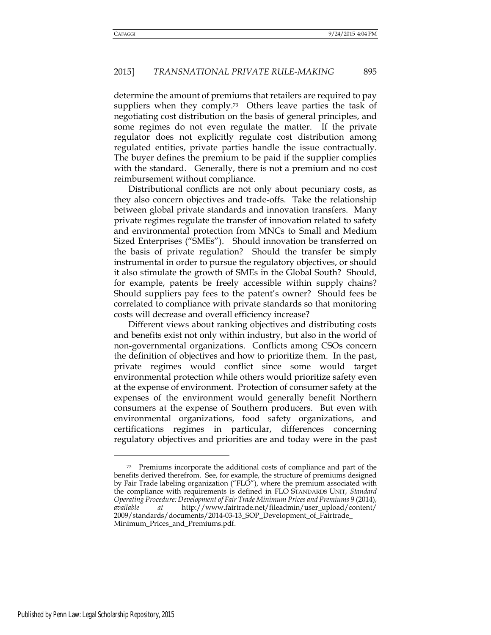determine the amount of premiums that retailers are required to pay suppliers when they comply.<sup>73</sup> Others leave parties the task of negotiating cost distribution on the basis of general principles, and some regimes do not even regulate the matter. If the private regulator does not explicitly regulate cost distribution among regulated entities, private parties handle the issue contractually. The buyer defines the premium to be paid if the supplier complies with the standard. Generally, there is not a premium and no cost reimbursement without compliance.

Distributional conflicts are not only about pecuniary costs, as they also concern objectives and trade-offs. Take the relationship between global private standards and innovation transfers. Many private regimes regulate the transfer of innovation related to safety and environmental protection from MNCs to Small and Medium Sized Enterprises ("SMEs"). Should innovation be transferred on the basis of private regulation? Should the transfer be simply instrumental in order to pursue the regulatory objectives, or should it also stimulate the growth of SMEs in the Global South? Should, for example, patents be freely accessible within supply chains? Should suppliers pay fees to the patent's owner? Should fees be correlated to compliance with private standards so that monitoring costs will decrease and overall efficiency increase?

Different views about ranking objectives and distributing costs and benefits exist not only within industry, but also in the world of non-governmental organizations. Conflicts among CSOs concern the definition of objectives and how to prioritize them. In the past, private regimes would conflict since some would target environmental protection while others would prioritize safety even at the expense of environment. Protection of consumer safety at the expenses of the environment would generally benefit Northern consumers at the expense of Southern producers. But even with environmental organizations, food safety organizations, and certifications regimes in particular, differences concerning regulatory objectives and priorities are and today were in the past

<sup>73</sup> Premiums incorporate the additional costs of compliance and part of the benefits derived therefrom. See, for example, the structure of premiums designed by Fair Trade labeling organization ("FLO"), where the premium associated with the compliance with requirements is defined in FLO STANDARDS UNIT, *Standard Operating Procedure: Development of Fair Trade Minimum Prices and Premiums* 9 (2014), *available at* [http://www.fairtrade.net/fileadmin/u](http://www.fairtrade.net/fileadmin/)ser\_upload/content/ 2009/standards/documents/2014-03-13\_SOP\_Development\_of\_Fairtrade\_ Minimum\_Prices\_and\_Premiums.pdf.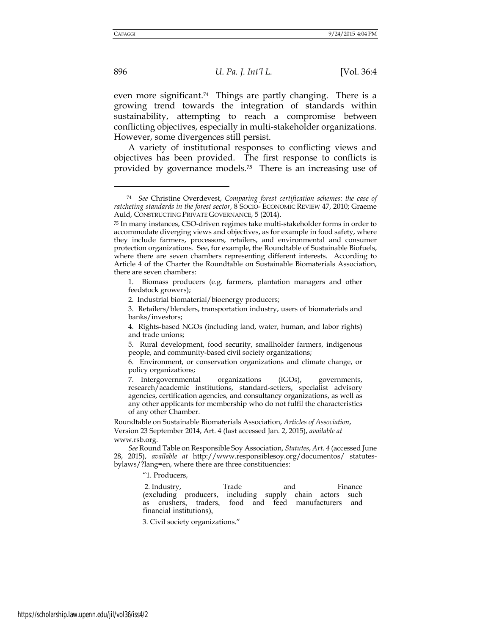<u>.</u>

896 *U. Pa. J. Int'l L.* [Vol. 36:4

even more significant.<sup>74</sup> Things are partly changing. There is a growing trend towards the integration of standards within sustainability, attempting to reach a compromise between conflicting objectives, especially in multi-stakeholder organizations. However, some divergences still persist.

A variety of institutional responses to conflicting views and objectives has been provided. The first response to conflicts is provided by governance models.75 There is an increasing use of

1. Biomass producers (e.g. farmers, plantation managers and other feedstock growers);

2. Industrial biomaterial/bioenergy producers;

3. Retailers/blenders, transportation industry, users of biomaterials and banks/investors;

4. Rights-based NGOs (including land, water, human, and labor rights) and trade unions;

5. Rural development, food security, smallholder farmers, indigenous people, and community-based civil society organizations;

6. Environment, or conservation organizations and climate change, or policy organizations;

7. Intergovernmental organizations (IGOs), governments, research/academic institutions, standard-setters, specialist advisory agencies, certification agencies, and consultancy organizations, as well as any other applicants for membership who do not fulfil the characteristics of any other Chamber.

Roundtable on Sustainable Biomaterials Association, *Articles of Association*, Version 23 September 2014, Art. 4 (last accessed Jan. 2, 2015), *available at* www.rsb.org.

*See* Round Table on Responsible Soy Association, *Statutes*, *Art. 4* (accessed June 28, 2015), *available at* http://www.responsiblesoy.org/documentos/ statutesbylaws/?lang=en, where there are three constituencies:

"1. Producers,

2. Industry, Trade and Finance (excluding producers, including supply chain actors such as crushers, traders, food and feed manufacturers and financial institutions),

3. Civil society organizations."

<sup>74</sup> *See* Christine Overdevest, *Comparing forest certification schemes: the case of ratcheting standards in the forest sector*, 8 SOCIO- ECONOMIC REVIEW 47, 2010; Graeme Auld, CONSTRUCTING PRIVATE GOVERNANCE, 5 (2014).

<sup>75</sup> In many instances, CSO-driven regimes take multi-stakeholder forms in order to accommodate diverging views and objectives, as for example in food safety, where they include farmers, processors, retailers, and environmental and consumer protection organizations. See, for example, the Roundtable of Sustainable Biofuels, where there are seven chambers representing different interests. According to Article 4 of the Charter the Roundtable on Sustainable Biomaterials Association, there are seven chambers: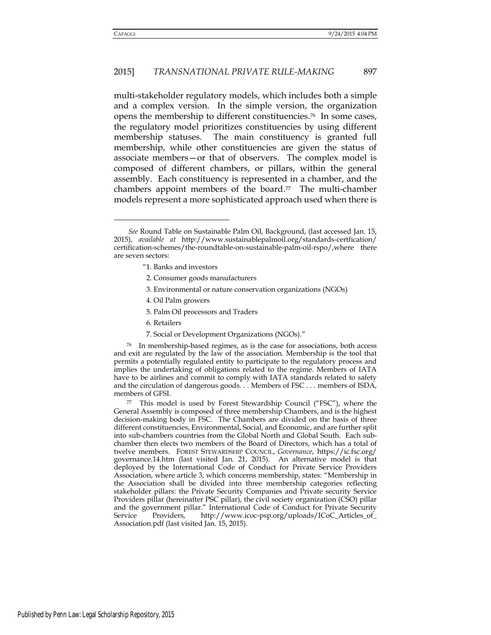multi-stakeholder regulatory models, which includes both a simple and a complex version. In the simple version, the organization opens the membership to different constituencies.76 In some cases, the regulatory model prioritizes constituencies by using different membership statuses. The main constituency is granted full membership, while other constituencies are given the status of associate members—or that of observers. The complex model is composed of different chambers, or pillars, within the general assembly. Each constituency is represented in a chamber, and the chambers appoint members of the board. $77$  The multi-chamber models represent a more sophisticated approach used when there is

- "1. Banks and investors
- 2. Consumer goods manufacturers
- 3. Environmental or nature conservation organizations (NGOs)
- 4. Oil Palm growers
- 5. Palm Oil processors and Traders
- 6. Retailers
- 7. Social or Development Organizations (NGOs)."

<sup>76</sup> In membership-based regimes, as is the case for associations, both access and exit are regulated by the law of the association. Membership is the tool that permits a potentially regulated entity to participate to the regulatory process and implies the undertaking of obligations related to the regime. Members of IATA have to be airlines and commit to comply with IATA standards related to safety and the circulation of dangerous goods. . . Members of FSC . . . members of ISDA, members of GFSI.

<sup>77</sup> This model is used by Forest Stewardship Council ("FSC"), where the General Assembly is composed of three membership Chambers, and is the highest decision-making body in FSC. The Chambers are divided on the basis of three different constituencies, Environmental, Social, and Economic, and are further split into sub-chambers countries from the Global North and Global South. Each subchamber then elects two members of the Board of Directors, which has a total of twelve members. FOREST STEWARDSHIP COUNCIL, *Governance*, [https://ic.fsc.org/](https://ic.fsc.org/%20governance.14.htm)  [governance.14.htm](https://ic.fsc.org/%20governance.14.htm) (last visited Jan. 21, 2015). An alternative model is that deployed by the International Code of Conduct for Private Service Providers Association, where article 3, which concerns membership, states: "Membership in the Association shall be divided into three membership categories reflecting stakeholder pillars: the Private Security Companies and Private security Service Providers pillar (hereinafter PSC pillar), the civil society organization (CSO) pillar and the government pillar." International Code of Conduct for Private Security Service Providers, [http://www.icoc-psp.org/uploads/ICoC\\_Articles\\_of\\_](http://www.icoc-psp.org/uploads/ICoC_Articles_of_) Association.pdf (last visited Jan. 15, 2015).

*See* Round Table on Sustainable Palm Oil, Background, (last accessed Jan. 15, 2015), *available at* <http://www.sustainablepalmoil.org/standards-certfication/> certification-schemes/the-roundtable-on-sustainable-palm-oil-rspo/,where there are seven sectors: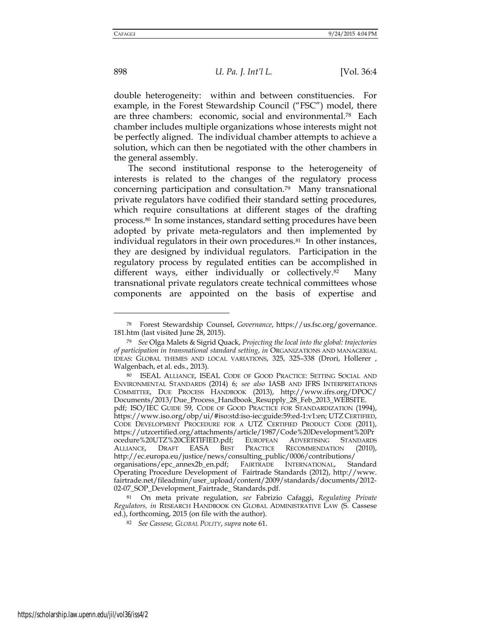double heterogeneity: within and between constituencies. For example, in the Forest Stewardship Council ("FSC") model, there are three chambers: economic, social and environmental.78 Each chamber includes multiple organizations whose interests might not be perfectly aligned. The individual chamber attempts to achieve a solution, which can then be negotiated with the other chambers in the general assembly.

The second institutional response to the heterogeneity of interests is related to the changes of the regulatory process concerning participation and consultation.79 Many transnational private regulators have codified their standard setting procedures, which require consultations at different stages of the drafting process.<sup>80</sup> In some instances, standard setting procedures have been adopted by private meta-regulators and then implemented by individual regulators in their own procedures.81 In other instances, they are designed by individual regulators. Participation in the regulatory process by regulated entities can be accomplished in different ways, either individually or collectively.82 Many transnational private regulators create technical committees whose components are appointed on the basis of expertise and

<sup>78</sup> Forest Stewardship Counsel, *Governance*, [https://us.fsc.org/governance.](https://us.fsc.org/governance) 181.htm (last visited June 28, 2015).

<sup>79</sup> *See* Olga Malets & Sigrid Quack, *Projecting the local into the global: trajectories of participation in transnational standard setting*, *in* ORGANIZATIONS AND MANAGERIAL IDEAS: GLOBAL THEMES AND LOCAL VARIATIONS, 325, 325–338 (Drori, Hollerer , Walgenbach, et al. eds., 2013).

<sup>80</sup> ISEAL ALLIANCE, ISEAL CODE OF GOOD PRACTICE: SETTING SOCIAL AND ENVIRONMENTAL STANDARDS (2014) 6; *see also* IASB AND IFRS INTERPRETATIONS COMMITTEE, DUE PROCESS HANDBOOK (2013), http://www.ifrs.org/DPOC/ Documents/2013/Due\_Process\_Handbook\_Resupply\_28\_Feb\_2013\_WEBSITE. pdf; ISO/IEC GUIDE 59, CODE OF GOOD PRACTICE FOR STANDARDIZATION (1994), [https://www.iso.org/obp/ui/#iso:std:iso-iec:guide:59:ed-1:v1:en;](https://www.iso.org/obp/ui/#iso:std:iso-iec:guide:59:ed-1:v1:en) UTZ CERTIFIED, CODE DEVELOPMENT PROCEDURE FOR A UTZ CERTIFIED PRODUCT CODE (2011), [https://utzcertified.org/attachments/article/1987/Code%20Development%20Pr](https://utzcertified.org/attachments/article/1987/Code%20Development%20Procedure%20UTZ%20CERTIFIED.pdf) [ocedure%20UTZ%20CERTIFIED.pdf;](https://utzcertified.org/attachments/article/1987/Code%20Development%20Procedure%20UTZ%20CERTIFIED.pdf) EUROPEAN ADVERTISING STANDARDS ALLIANCE, DRAFT EASA BEST PRACTICE RECOMMENDATION (2010), [http://ec.europa.eu/justice/news/consulting\\_public/0](http://ec.europa.eu/justice/news/consulting_%20public/)006/contributions/ organisations/epc\_annex2b\_en.pdf; FAIRTRADE INTERNATIONAL, Standard Operating Procedure Development of Fairtrade Standards (2012), http://www. fairtrade.net/fileadmin/user\_upload/content/2009/standards/documents/2012- 02-07\_SOP\_Development\_Fairtrade\_ Standards.pdf.

<sup>81</sup> On meta private regulation, *see* Fabrizio Cafaggi, *Regulating Private Regulators, in* RESEARCH HANDBOOK ON GLOBAL ADMINISTRATIVE LAW (S. Cassese ed.), forthcoming, 2015 (on file with the author).

<sup>82</sup> *See Cassese, GLOBAL POLITY*, *supra* note 61.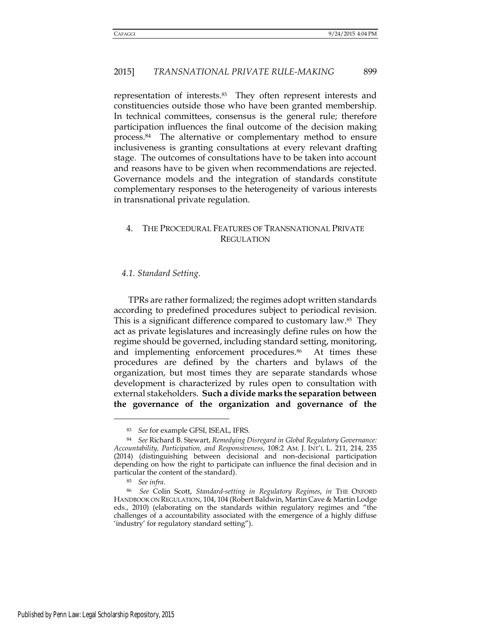representation of interests.83 They often represent interests and constituencies outside those who have been granted membership. In technical committees, consensus is the general rule; therefore participation influences the final outcome of the decision making process.84 The alternative or complementary method to ensure inclusiveness is granting consultations at every relevant drafting stage. The outcomes of consultations have to be taken into account and reasons have to be given when recommendations are rejected. Governance models and the integration of standards constitute complementary responses to the heterogeneity of various interests in transnational private regulation.

# 4. THE PROCEDURAL FEATURES OF TRANSNATIONAL PRIVATE REGULATION

### *4.1. Standard Setting.*

TPRs are rather formalized; the regimes adopt written standards according to predefined procedures subject to periodical revision. This is a significant difference compared to customary law.85 They act as private legislatures and increasingly define rules on how the regime should be governed, including standard setting, monitoring, and implementing enforcement procedures.<sup>86</sup> At times these procedures are defined by the charters and bylaws of the organization, but most times they are separate standards whose development is characterized by rules open to consultation with external stakeholders. **Such a divide marks the separation between the governance of the organization and governance of the** 

<sup>83</sup> *See* for example GFSI, ISEAL, IFRS.

<sup>84</sup> *See* Richard B. Stewart, *Remedying Disregard in Global Regulatory Governance: Accountability, Participation, and Responsiveness*, 108:2 AM. J. INT'L L. 211, 214, 235 (2014) (distinguishing between decisional and non-decisional participation depending on how the right to participate can influence the final decision and in particular the content of the standard).

<sup>85</sup> *See infra*.

<sup>86</sup> *See* Colin Scott, *Standard-setting in Regulatory Regimes*, *in* THE OXFORD HANDBOOK ON REGULATION, 104, 104 (Robert Baldwin, Martin Cave & Martin Lodge eds., 2010) (elaborating on the standards within regulatory regimes and "the challenges of a accountability associated with the emergence of a highly diffuse 'industry' for regulatory standard setting").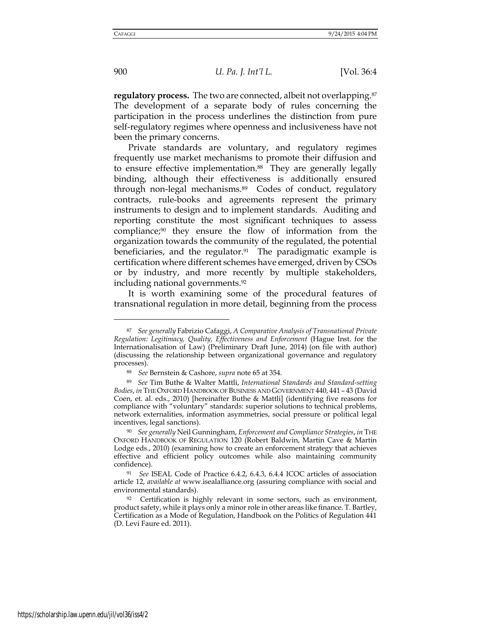**regulatory process.** The two are connected, albeit not overlapping.<sup>87</sup> The development of a separate body of rules concerning the participation in the process underlines the distinction from pure self-regulatory regimes where openness and inclusiveness have not been the primary concerns.

Private standards are voluntary, and regulatory regimes frequently use market mechanisms to promote their diffusion and to ensure effective implementation.<sup>88</sup> They are generally legally binding, although their effectiveness is additionally ensured through non-legal mechanisms.<sup>89</sup> Codes of conduct, regulatory contracts, rule-books and agreements represent the primary instruments to design and to implement standards. Auditing and reporting constitute the most significant techniques to assess compliance;90 they ensure the flow of information from the organization towards the community of the regulated, the potential beneficiaries, and the regulator.<sup>91</sup> The paradigmatic example is certification where different schemes have emerged, driven by CSOs or by industry, and more recently by multiple stakeholders, including national governments.<sup>92</sup>

It is worth examining some of the procedural features of transnational regulation in more detail, beginning from the process

<sup>87</sup> *See generally* Fabrizio Cafaggi, *A Comparative Analysis of Transnational Private Regulation: Legitimacy, Quality, Effectiveness and Enforcement* (Hague Inst. for the Internationalisation of Law) (Preliminary Draft June, 2014) (on file with author) (discussing the relationship between organizational governance and regulatory processes).

<sup>88</sup> *See* Bernstein & Cashore, *supra* note 65 at 354.

<sup>89</sup> *See* Tim Buthe & Walter Mattli, *International Standards and Standard-setting Bodies*, *in* THE OXFORD HANDBOOK OF BUSINESS AND GOVERNMENT 440, 441 – 43 (David Coen, et. al. eds., 2010) [hereinafter Buthe & Mattli] (identifying five reasons for compliance with "voluntary" standards: superior solutions to technical problems, network externalities, information asymmetries, social pressure or political legal incentives, legal sanctions).

<sup>90</sup> *See generally* Neil Gunningham, *Enforcement and Compliance Strategies*, *in* THE OXFORD HANDBOOK OF REGULATION 120 (Robert Baldwin, Martin Cave & Martin Lodge eds., 2010) (examining how to create an enforcement strategy that achieves effective and efficient policy outcomes while also maintaining community confidence).

<sup>91</sup> *See* ISEAL Code of Practice 6.4.2, 6.4.3, 6.4.4 ICOC articles of association article 12, *available at* www.isealalliance.org (assuring compliance with social and environmental standards).

<sup>&</sup>lt;sup>92</sup> Certification is highly relevant in some sectors, such as environment, product safety, while it plays only a minor role in other areas like finance. T. Bartley, Certification as a Mode of Regulation, Handbook on the Politics of Regulation 441 (D. Levi Faure ed. 2011).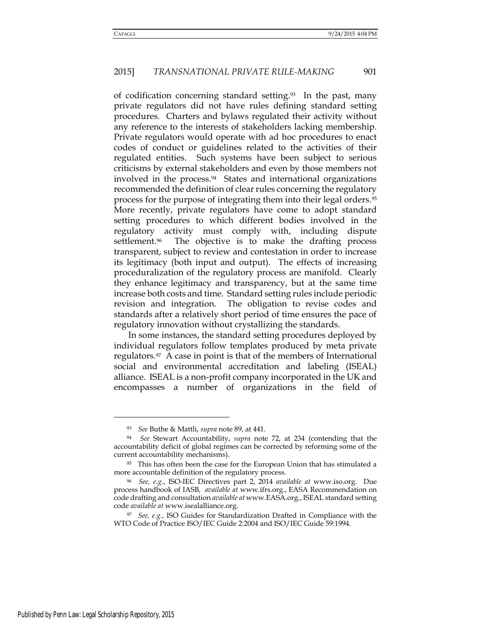of codification concerning standard setting.<sup>93</sup> In the past, many private regulators did not have rules defining standard setting procedures. Charters and bylaws regulated their activity without any reference to the interests of stakeholders lacking membership. Private regulators would operate with ad hoc procedures to enact codes of conduct or guidelines related to the activities of their regulated entities. Such systems have been subject to serious criticisms by external stakeholders and even by those members not involved in the process.94 States and international organizations recommended the definition of clear rules concerning the regulatory process for the purpose of integrating them into their legal orders.<sup>95</sup> More recently, private regulators have come to adopt standard setting procedures to which different bodies involved in the regulatory activity must comply with, including dispute settlement.<sup>96</sup> The objective is to make the drafting process transparent, subject to review and contestation in order to increase its legitimacy (both input and output). The effects of increasing proceduralization of the regulatory process are manifold. Clearly they enhance legitimacy and transparency, but at the same time increase both costs and time. Standard setting rules include periodic revision and integration. The obligation to revise codes and standards after a relatively short period of time ensures the pace of regulatory innovation without crystallizing the standards.

In some instances, the standard setting procedures deployed by individual regulators follow templates produced by meta private regulators.97 A case in point is that of the members of International social and environmental accreditation and labeling (ISEAL) alliance. ISEAL is a non-profit company incorporated in the UK and encompasses a number of organizations in the field of

<sup>93</sup> *See* Buthe & Mattli, *supra* note 89, at 441.

<sup>94</sup> *See* Stewart Accountability, *supra* note 72, at 234 (contending that the accountability deficit of global regimes can be corrected by reforming some of the current accountability mechanisms).

<sup>95</sup> This has often been the case for the European Union that has stimulated a more accountable definition of the regulatory process.

<sup>96</sup> *See, e.g.*, ISO-IEC Directives part 2, 2014 *available at* www.iso.org. Due process handbook of IASB, *available at* www.ifrs.org., EASA Recommendation on code drafting and consultation *available at* www.EASA.org., ISEAL standard setting code *available at* www.isealalliance.org.

<sup>97</sup> *See, e.g.*, ISO Guides for Standardization Drafted in Compliance with the WTO Code of Practice ISO/IEC Guide 2:2004 and ISO/IEC Guide 59:1994.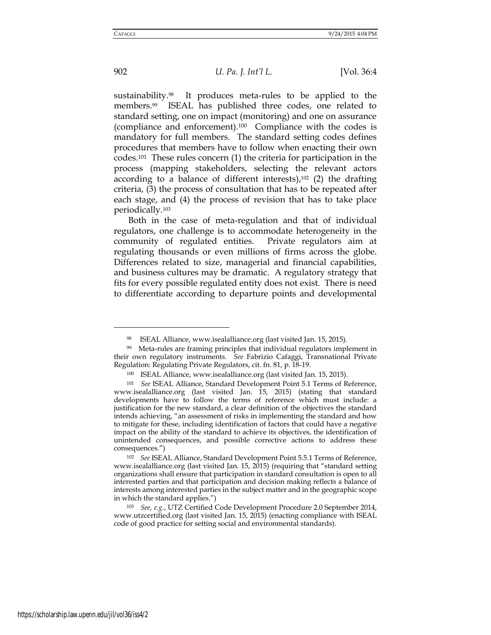<u>.</u>

902 *U. Pa. J. Int'l L.* [Vol. 36:4

sustainability.98 It produces meta-rules to be applied to the members.99 ISEAL has published three codes, one related to standard setting, one on impact (monitoring) and one on assurance (compliance and enforcement).100 Compliance with the codes is mandatory for full members. The standard setting codes defines procedures that members have to follow when enacting their own codes.101 These rules concern (1) the criteria for participation in the process (mapping stakeholders, selecting the relevant actors according to a balance of different interests),  $102$  (2) the drafting criteria, (3) the process of consultation that has to be repeated after each stage, and (4) the process of revision that has to take place periodically.<sup>103</sup>

Both in the case of meta-regulation and that of individual regulators, one challenge is to accommodate heterogeneity in the community of regulated entities. Private regulators aim at regulating thousands or even millions of firms across the globe. Differences related to size, managerial and financial capabilities, and business cultures may be dramatic. A regulatory strategy that fits for every possible regulated entity does not exist. There is need to differentiate according to departure points and developmental

ISEAL Alliance, [www.isealalliance.org](http://www.isealalliance.org/) (last visited Jan. 15, 2015).

<sup>99</sup> Meta-rules are framing principles that individual regulators implement in their own regulatory instruments. *See* Fabrizio Cafaggi, Transnational Private Regulation: Regulating Private Regulators, cit. fn. 81, p. 18-19.

<sup>100</sup> ISEAL Alliance, www.isealalliance.org (last visited Jan. 15, 2015).

<sup>101</sup> *See* ISEAL Alliance, Standard Development Point 5.1 Terms of Reference, www.isealalliance.org (last visited Jan. 15, 2015) (stating that standard developments have to follow the terms of reference which must include: a justification for the new standard, a clear definition of the objectives the standard intends achieving, "an assessment of risks in implementing the standard and how to mitigate for these, including identification of factors that could have a negative impact on the ability of the standard to achieve its objectives, the identification of unintended consequences, and possible corrective actions to address these consequences.")

<sup>102</sup> *See* ISEAL Alliance, Standard Development Point 5.5.1 Terms of Reference, www.isealalliance.org (last visited Jan. 15, 2015) (requiring that "standard setting organizations shall ensure that participation in standard consultation is open to all interested parties and that participation and decision making reflects a balance of interests among interested parties in the subject matter and in the geographic scope in which the standard applies.")

<sup>103</sup> *See, e.g.*, UTZ Certified Code Development Procedure 2.0 September 2014, www.utzcertified.org (last visited Jan. 15, 2015) (enacting compliance with ISEAL code of good practice for setting social and environmental standards).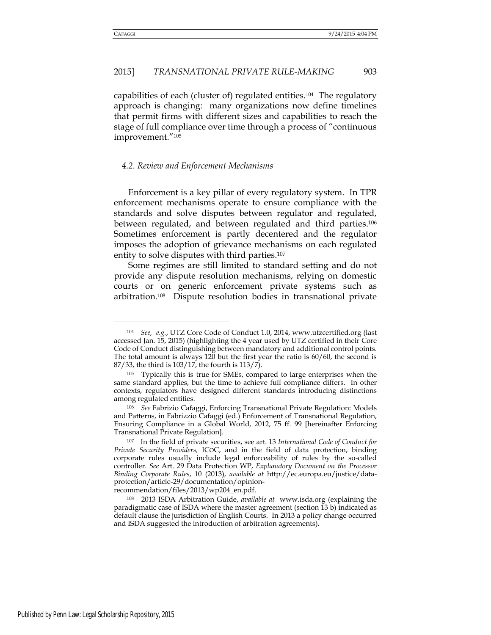capabilities of each (cluster of) regulated entities.104 The regulatory approach is changing: many organizations now define timelines that permit firms with different sizes and capabilities to reach the stage of full compliance over time through a process of "continuous improvement."<sup>105</sup>

2015] *TRANSNATIONAL PRIVATE RULE-MAKING* 903

#### *4.2. Review and Enforcement Mechanisms*

Enforcement is a key pillar of every regulatory system. In TPR enforcement mechanisms operate to ensure compliance with the standards and solve disputes between regulator and regulated, between regulated, and between regulated and third parties.<sup>106</sup> Sometimes enforcement is partly decentered and the regulator imposes the adoption of grievance mechanisms on each regulated entity to solve disputes with third parties.<sup>107</sup>

Some regimes are still limited to standard setting and do not provide any dispute resolution mechanisms, relying on domestic courts or on generic enforcement private systems such as arbitration.108 Dispute resolution bodies in transnational private

<sup>104</sup> *See, e.g.*, UTZ Core Code of Conduct 1.0, 2014, www.utzcertified.org (last accessed Jan. 15, 2015) (highlighting the 4 year used by UTZ certified in their Core Code of Conduct distinguishing between mandatory and additional control points. The total amount is always 120 but the first year the ratio is 60/60, the second is 87/33, the third is 103/17, the fourth is 113/7).

<sup>105</sup> Typically this is true for SMEs, compared to large enterprises when the same standard applies, but the time to achieve full compliance differs. In other contexts, regulators have designed different standards introducing distinctions among regulated entities.

<sup>106</sup> *See* Fabrizio Cafaggi, Enforcing Transnational Private Regulation: Models and Patterns, in Fabrizzio Cafaggi (ed.) Enforcement of Transnational Regulation, Ensuring Compliance in a Global World, 2012, 75 ff. 99 [hereinafter Enforcing Transnational Private Regulation].

<sup>107</sup> In the field of private securities, see art. 13 *International Code of Conduct for Private Security Providers,* ICOC, and in the field of data protection, binding corporate rules usually include legal enforceability of rules by the so-called controller. *See* Art. 29 Data Protection WP, *Explanatory Document on the Processor Binding Corporate Rules*, 10 (2013), *available at* http://ec.europa.eu/justice/dataprotection/article-29/documentation/opinionrecommendation/files/2013/wp204\_en.pdf.

<sup>108</sup> 2013 ISDA Arbitration Guide, *available at* www.isda.org (explaining the paradigmatic case of ISDA where the master agreement (section 13 b) indicated as default clause the jurisdiction of English Courts. In 2013 a policy change occurred and ISDA suggested the introduction of arbitration agreements).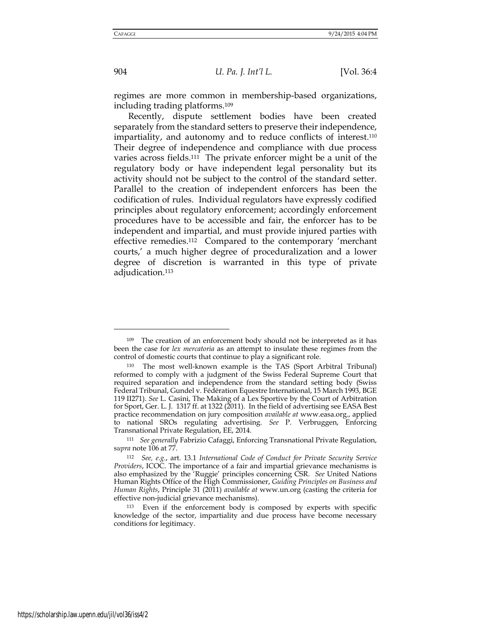regimes are more common in membership-based organizations, including trading platforms.<sup>109</sup>

Recently, dispute settlement bodies have been created separately from the standard setters to preserve their independence, impartiality, and autonomy and to reduce conflicts of interest.<sup>110</sup> Their degree of independence and compliance with due process varies across fields.111 The private enforcer might be a unit of the regulatory body or have independent legal personality but its activity should not be subject to the control of the standard setter. Parallel to the creation of independent enforcers has been the codification of rules. Individual regulators have expressly codified principles about regulatory enforcement; accordingly enforcement procedures have to be accessible and fair, the enforcer has to be independent and impartial, and must provide injured parties with effective remedies.112 Compared to the contemporary 'merchant courts,' a much higher degree of proceduralization and a lower degree of discretion is warranted in this type of private adjudication.<sup>113</sup>

<sup>109</sup> The creation of an enforcement body should not be interpreted as it has been the case for *lex mercatoria* as an attempt to insulate these regimes from the control of domestic courts that continue to play a significant role.

<sup>110</sup> The most well-known example is the TAS (Sport Arbitral Tribunal) reformed to comply with a judgment of the Swiss Federal Supreme Court that required separation and independence from the standard setting body (Swiss Federal Tribunal, Gundel v. Fédération Equestre International, 15 March 1993, BGE 119 II271). *See* L. Casini, The Making of a Lex Sportive by the Court of Arbitration for Sport, Ger. L. J. 1317 ff. at 1322 (2011). In the field of advertising see EASA Best practice recommendation on jury composition *available at* www.easa.org., applied to national SROs regulating advertising. *See* P. Verbruggen, Enforcing Transnational Private Regulation, EE, 2014.

<sup>111</sup> *See generally* Fabrizio Cafaggi, Enforcing Transnational Private Regulation, s*upra* note 106 at 77.

<sup>112</sup> *See, e.g.*, art. 13.1 *International Code of Conduct for Private Security Service Providers*, ICOC. The importance of a fair and impartial grievance mechanisms is also emphasized by the 'Ruggie' principles concerning CSR. *See* United Nations Human Rights Office of the High Commissioner, *Guiding Principles on Business and Human Rights*, Principle 31 (2011) *available at* www.un.org (casting the criteria for effective non-judicial grievance mechanisms).

<sup>113</sup> Even if the enforcement body is composed by experts with specific knowledge of the sector, impartiality and due process have become necessary conditions for legitimacy.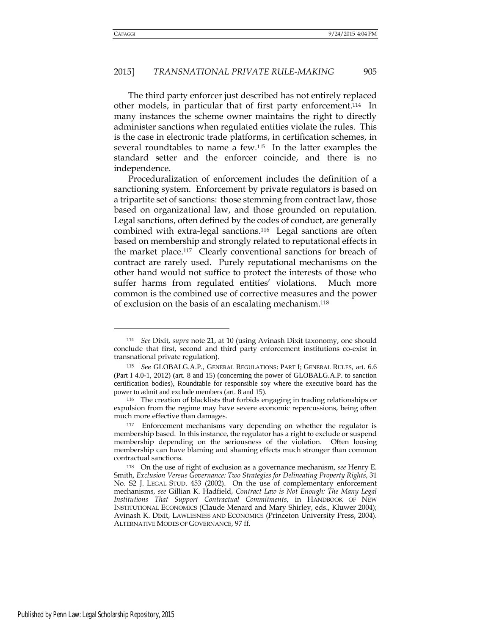<u>.</u>

# 2015] *TRANSNATIONAL PRIVATE RULE-MAKING* 905

The third party enforcer just described has not entirely replaced other models, in particular that of first party enforcement.114 In many instances the scheme owner maintains the right to directly administer sanctions when regulated entities violate the rules. This is the case in electronic trade platforms, in certification schemes, in several roundtables to name a few.115 In the latter examples the standard setter and the enforcer coincide, and there is no independence.

Proceduralization of enforcement includes the definition of a sanctioning system. Enforcement by private regulators is based on a tripartite set of sanctions: those stemming from contract law, those based on organizational law, and those grounded on reputation. Legal sanctions, often defined by the codes of conduct, are generally combined with extra-legal sanctions.116 Legal sanctions are often based on membership and strongly related to reputational effects in the market place.117 Clearly conventional sanctions for breach of contract are rarely used. Purely reputational mechanisms on the other hand would not suffice to protect the interests of those who suffer harms from regulated entities' violations. Much more common is the combined use of corrective measures and the power of exclusion on the basis of an escalating mechanism.<sup>118</sup>

<sup>114</sup> *See* Dixit, *supra* note 21, at 10 (using Avinash Dixit taxonomy, one should conclude that first, second and third party enforcement institutions co-exist in transnational private regulation).

<sup>115</sup> *See* GLOBALG.A.P., GENERAL REGULATIONS: PART I; GENERAL RULES, art. 6.6 (Part I 4.0-1, 2012) (art. 8 and 15) (concerning the power of GLOBALG.A.P. to sanction certification bodies), Roundtable for responsible soy where the executive board has the power to admit and exclude members (art. 8 and 15).

<sup>116</sup> The creation of blacklists that forbids engaging in trading relationships or expulsion from the regime may have severe economic repercussions, being often much more effective than damages.

<sup>117</sup> Enforcement mechanisms vary depending on whether the regulator is membership based. In this instance, the regulator has a right to exclude or suspend membership depending on the seriousness of the violation. Often loosing membership can have blaming and shaming effects much stronger than common contractual sanctions.

<sup>118</sup> On the use of right of exclusion as a governance mechanism, *see* Henry E. Smith, *Exclusion Versus Governance: Two Strategies for Delineating Property Rights*, 31 No. S2 J. LEGAL STUD. 453 (2002). On the use of complementary enforcement mechanisms, *see* Gillian K. Hadfield, *Contract Law is Not Enough: The Many Legal Institutions That Support Contractual Commitments*, in HANDBOOK OF NEW INSTITUTIONAL ECONOMICS (Claude Menard and Mary Shirley, eds., Kluwer 2004); Avinash K. Dixit, LAWLESNESS AND ECONOMICS (Princeton University Press, 2004). ALTERNATIVE MODES OF GOVERNANCE, 97 ff.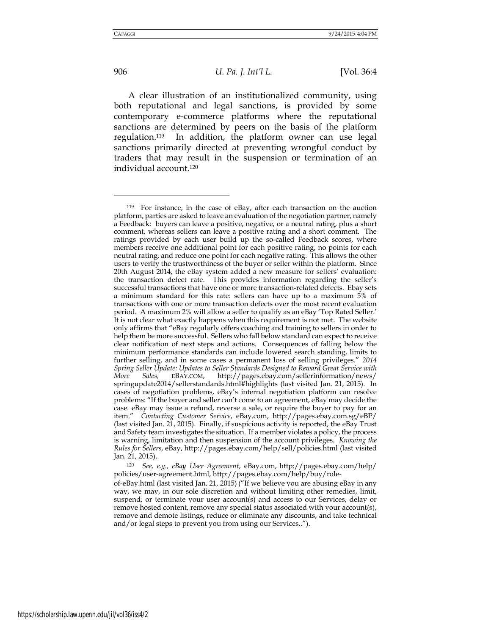A clear illustration of an institutionalized community, using both reputational and legal sanctions, is provided by some contemporary e-commerce platforms where the reputational sanctions are determined by peers on the basis of the platform regulation.119 In addition, the platform owner can use legal sanctions primarily directed at preventing wrongful conduct by traders that may result in the suspension or termination of an individual account.<sup>120</sup>

<sup>120</sup> *See, e.g., eBay User Agreement*, eBay.com, [http://pages.ebay.com/h](http://pages.ebay.com/)elp/ policies/user-agreement.html[, http://pages.ebay.com/help/buy/role-](http://pages.ebay.com/help/buy/role-%20%20%20%20%20%20%20%20%20%20%20%20%20%20of-)

[of-e](http://pages.ebay.com/help/buy/role-%20%20%20%20%20%20%20%20%20%20%20%20%20%20of-)Bay.html (last visited Jan. 21, 2015) ("If we believe you are abusing eBay in any way, we may, in our sole discretion and without limiting other remedies, limit, suspend, or terminate your user account(s) and access to our Services, delay or remove hosted content, remove any special status associated with your account(s), remove and demote listings, reduce or eliminate any discounts, and take technical and/or legal steps to prevent you from using our Services..").

<sup>119</sup> For instance, in the case of eBay, after each transaction on the auction platform, parties are asked to leave an evaluation of the negotiation partner, namely a Feedback: buyers can leave a positive, negative, or a neutral rating, plus a short comment, whereas sellers can leave a positive rating and a short comment. The ratings provided by each user build up the so-called Feedback scores, where members receive one additional point for each positive rating, no points for each neutral rating, and reduce one point for each negative rating. This allows the other users to verify the trustworthiness of the buyer or seller within the platform. Since 20th August 2014, the eBay system added a new measure for sellers' evaluation: the transaction defect rate. This provides information regarding the seller's successful transactions that have one or more transaction-related defects. Ebay sets a minimum standard for this rate: sellers can have up to a maximum 5% of transactions with one or more transaction defects over the most recent evaluation period. A maximum 2% will allow a seller to qualify as an eBay 'Top Rated Seller.' It is not clear what exactly happens when this requirement is not met. The website only affirms that "eBay regularly offers coaching and training to sellers in order to help them be more successful. Sellers who fall below standard can expect to receive clear notification of next steps and actions. Consequences of falling below the minimum performance standards can include lowered search standing, limits to further selling, and in some cases a permanent loss of selling privileges." *2014 Spring Seller Update: Updates to Seller Standards Designed to Reward Great Service with More Sales,* EBAY.COM, [http://pages.ebay.com/sellerinformation/news/](http://pages.ebay.com/sellerinformation/news/%20springupdate2014/sellerstandards.html#highlights)  [springupdate2014/sellerstandards.html#highlights](http://pages.ebay.com/sellerinformation/news/%20springupdate2014/sellerstandards.html#highlights) (last visited Jan. 21, 2015). In cases of negotiation problems, eBay's internal negotiation platform can resolve problems: "If the buyer and seller can't come to an agreement, eBay may decide the case. eBay may issue a refund, reverse a sale, or require the buyer to pay for an item." *Contacting Customer Service*, eBay.com, http://pages.ebay.com.sg/eBP/ (last visited Jan. 21, 2015). Finally, if suspicious activity is reported, the eBay Trust and Safety team investigates the situation. If a member violates a policy, the process is warning, limitation and then suspension of the account privileges. *Knowing the Rules for Sellers*, eBay, [http://pages.ebay.com/help/sell/policies.html \(](http://pages.ebay.com/help/sell/policies.html)last visited Jan. 21, 2015).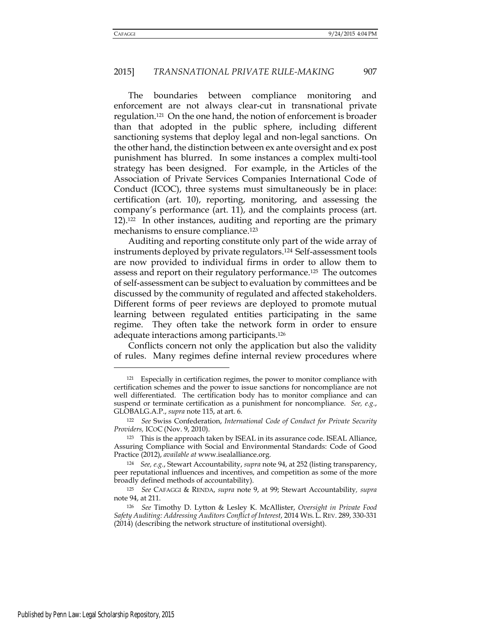The boundaries between compliance monitoring and enforcement are not always clear-cut in transnational private regulation.121 On the one hand, the notion of enforcement is broader than that adopted in the public sphere, including different sanctioning systems that deploy legal and non-legal sanctions. On the other hand, the distinction between ex ante oversight and ex post punishment has blurred. In some instances a complex multi-tool strategy has been designed. For example, in the Articles of the Association of Private Services Companies International Code of Conduct (ICOC), three systems must simultaneously be in place: certification (art. 10), reporting, monitoring, and assessing the company's performance (art. 11), and the complaints process (art. 12). <sup>122</sup> In other instances, auditing and reporting are the primary mechanisms to ensure compliance.<sup>123</sup>

Auditing and reporting constitute only part of the wide array of instruments deployed by private regulators.124 Self-assessment tools are now provided to individual firms in order to allow them to assess and report on their regulatory performance.<sup>125</sup> The outcomes of self-assessment can be subject to evaluation by committees and be discussed by the community of regulated and affected stakeholders. Different forms of peer reviews are deployed to promote mutual learning between regulated entities participating in the same regime. They often take the network form in order to ensure adequate interactions among participants.<sup>126</sup>

Conflicts concern not only the application but also the validity of rules. Many regimes define internal review procedures where

<sup>121</sup> Especially in certification regimes, the power to monitor compliance with certification schemes and the power to issue sanctions for noncompliance are not well differentiated. The certification body has to monitor compliance and can suspend or terminate certification as a punishment for noncompliance. *See, e.g.*, GLOBALG.A.P., *supra* note 115, at art. 6.

<sup>122</sup> *See* Swiss Confederation, *International Code of Conduct for Private Security Providers,* ICOC (Nov. 9, 2010).

<sup>123</sup> This is the approach taken by ISEAL in its assurance code. ISEAL Alliance, Assuring Compliance with Social and Environmental Standards: Code of Good Practice (2012), *available at* www.isealalliance.org.

<sup>124</sup> *See, e.g.*, Stewart Accountability, *supra* note 94, at 252 (listing transparency, peer reputational influences and incentives, and competition as some of the more broadly defined methods of accountability).

<sup>125</sup> *See* CAFAGGI & RENDA, *supra* note 9, at 99; Stewart Accountability*, supra*  note 94, at 211.

<sup>126</sup> *See* Timothy D. Lytton & Lesley K. McAllister, *Oversight in Private Food Safety Auditing: Addressing Auditors Conflict of Interest*, 2014 WIS. L. REV. 289, 330-331 (2014) (describing the network structure of institutional oversight).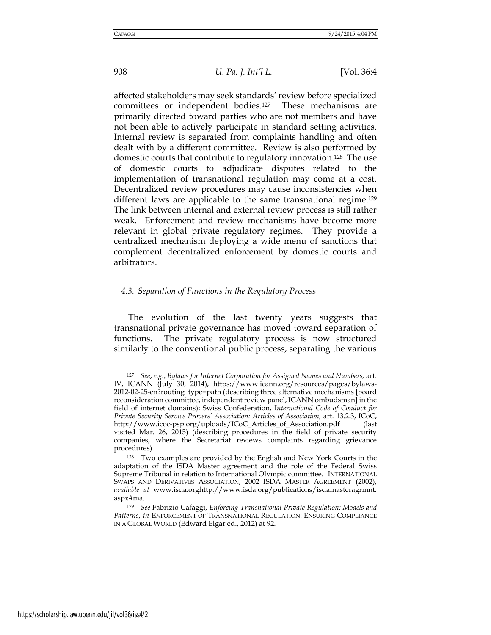<u>.</u>

908 *U. Pa. J. Int'l L.* [Vol. 36:4

affected stakeholders may seek standards' review before specialized committees or independent bodies.127 These mechanisms are primarily directed toward parties who are not members and have not been able to actively participate in standard setting activities. Internal review is separated from complaints handling and often dealt with by a different committee. Review is also performed by domestic courts that contribute to regulatory innovation.128 The use of domestic courts to adjudicate disputes related to the implementation of transnational regulation may come at a cost. Decentralized review procedures may cause inconsistencies when different laws are applicable to the same transnational regime.<sup>129</sup> The link between internal and external review process is still rather weak. Enforcement and review mechanisms have become more relevant in global private regulatory regimes. They provide a centralized mechanism deploying a wide menu of sanctions that complement decentralized enforcement by domestic courts and arbitrators.

# *4.3. Separation of Functions in the Regulatory Process*

The evolution of the last twenty years suggests that transnational private governance has moved toward separation of functions. The private regulatory process is now structured similarly to the conventional public process, separating the various

<sup>127</sup> *See*, *e.g.*, *Bylaws for Internet Corporation for Assigned Names and Numbers,* art. IV, ICANN (July 30, 2014), https://www.icann.org/resources/pages/bylaws-2012-02-25-en?routing\_type=path (describing three alternative mechanisms [board reconsideration committee, independent review panel, ICANN ombudsman] in the field of internet domains); Swiss Confederation, I*nternational Code of Conduct for Private Security Service Provers' Association: Articles of Association,* art. 13.2.3, ICoC, http://www.icoc-psp.org/uploads/ICoC\_Articles\_of\_Association.pdf (last visited Mar. 26, 2015) (describing procedures in the field of private security companies, where the Secretariat reviews complaints regarding grievance procedures).

<sup>128</sup> Two examples are provided by the English and New York Courts in the adaptation of the ISDA Master agreement and the role of the Federal Swiss Supreme Tribunal in relation to International Olympic committee. INTERNATIONAL SWAPS AND DERIVATIVES ASSOCIATION, 2002 ISDA MASTER AGREEMENT (2002), *available at* [www.isda.orghttp://www.isda.org/publications/isdamasteragrm](http://www.isda.orghttp/www.isda.org/publications/isdamasteragr)nt. aspx#ma.

<sup>129</sup> *See* Fabrizio Cafaggi, *Enforcing Transnational Private Regulation: Models and Patterns*, *in* ENFORCEMENT OF TRANSNATIONAL REGULATION: ENSURING COMPLIANCE IN A GLOBAL WORLD (Edward Elgar ed., 2012) at 92.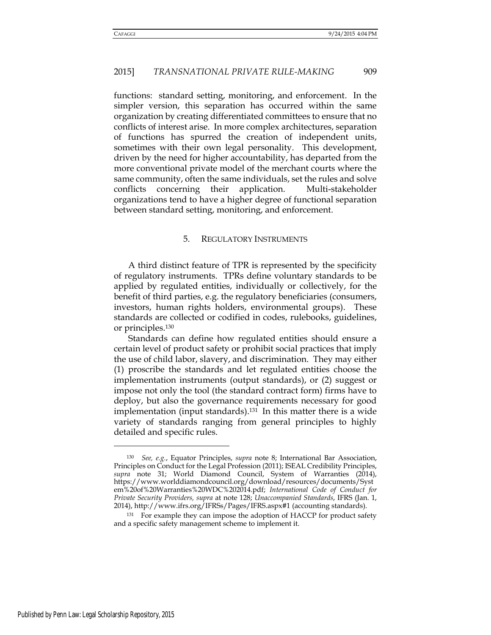functions: standard setting, monitoring, and enforcement. In the simpler version, this separation has occurred within the same organization by creating differentiated committees to ensure that no conflicts of interest arise. In more complex architectures, separation of functions has spurred the creation of independent units, sometimes with their own legal personality. This development, driven by the need for higher accountability, has departed from the more conventional private model of the merchant courts where the same community, often the same individuals, set the rules and solve conflicts concerning their application. Multi-stakeholder organizations tend to have a higher degree of functional separation between standard setting, monitoring, and enforcement.

### 5. REGULATORY INSTRUMENTS

A third distinct feature of TPR is represented by the specificity of regulatory instruments. TPRs define voluntary standards to be applied by regulated entities, individually or collectively, for the benefit of third parties, e.g. the regulatory beneficiaries (consumers, investors, human rights holders, environmental groups). These standards are collected or codified in codes, rulebooks, guidelines, or principles.<sup>130</sup>

Standards can define how regulated entities should ensure a certain level of product safety or prohibit social practices that imply the use of child labor, slavery, and discrimination. They may either (1) proscribe the standards and let regulated entities choose the implementation instruments (output standards), or (2) suggest or impose not only the tool (the standard contract form) firms have to deploy, but also the governance requirements necessary for good implementation (input standards).131 In this matter there is a wide variety of standards ranging from general principles to highly detailed and specific rules.

<sup>130</sup> *See, e.g.*, Equator Principles, *supra* note 8; International Bar Association, Principles on Conduct for the Legal Profession (2011); ISEAL Credibility Principles, *supra* note 31; World Diamond Council, System of Warranties (2014), https://www.worlddiamondcouncil.org/download/resources/documents/Syst em%20of%20Warranties%20WDC%202014.pdf; *International Code of Conduct for Private Security Providers, supra* at note 128; *Unaccompanied Standards*, IFRS (Jan. 1, 2014), http://www.ifrs.org/IFRSs/Pages/IFRS.aspx#1 (accounting standards).

<sup>&</sup>lt;sup>131</sup> For example they can impose the adoption of HACCP for product safety and a specific safety management scheme to implement it.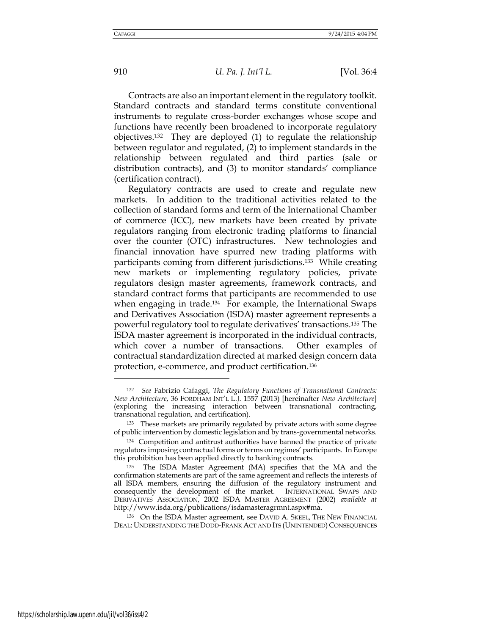Contracts are also an important element in the regulatory toolkit. Standard contracts and standard terms constitute conventional instruments to regulate cross-border exchanges whose scope and functions have recently been broadened to incorporate regulatory objectives.132 They are deployed (1) to regulate the relationship between regulator and regulated, (2) to implement standards in the relationship between regulated and third parties (sale or distribution contracts), and (3) to monitor standards' compliance (certification contract).

Regulatory contracts are used to create and regulate new markets. In addition to the traditional activities related to the collection of standard forms and term of the International Chamber of commerce (ICC), new markets have been created by private regulators ranging from electronic trading platforms to financial over the counter (OTC) infrastructures. New technologies and financial innovation have spurred new trading platforms with participants coming from different jurisdictions.133 While creating new markets or implementing regulatory policies, private regulators design master agreements, framework contracts, and standard contract forms that participants are recommended to use when engaging in trade.<sup>134</sup> For example, the International Swaps and Derivatives Association (ISDA) master agreement represents a powerful regulatory tool to regulate derivatives' transactions. <sup>135</sup> The ISDA master agreement is incorporated in the individual contracts, which cover a number of transactions. Other examples of contractual standardization directed at marked design concern data protection, e-commerce, and product certification.<sup>136</sup>

<sup>132</sup> *See* Fabrizio Cafaggi, *The Regulatory Functions of Transnational Contracts: New Architecture*, 36 FORDHAM INT'L L.J. 1557 (2013) [hereinafter *New Architecture*] (exploring the increasing interaction between transnational contracting, transnational regulation, and certification).

<sup>&</sup>lt;sup>133</sup> These markets are primarily regulated by private actors with some degree of public intervention by domestic legislation and by trans-governmental networks.

<sup>134</sup> Competition and antitrust authorities have banned the practice of private regulators imposing contractual forms or terms on regimes' participants. In Europe this prohibition has been applied directly to banking contracts.

<sup>135</sup> The ISDA Master Agreement (MA) specifies that the MA and the confirmation statements are part of the same agreement and reflects the interests of all ISDA members, ensuring the diffusion of the regulatory instrument and consequently the development of the market. INTERNATIONAL SWAPS AND DERIVATIVES ASSOCIATION, 2002 ISDA MASTER AGREEMENT (2002) *available at* http://www.isda.org/publications/isdamasteragrmnt.aspx#ma.

<sup>136</sup> On the ISDA Master agreement, see DAVID A. SKEEL, THE NEW FINANCIAL DEAL: UNDERSTANDING THE DODD-FRANK ACT AND ITS (UNINTENDED) CONSEQUENCES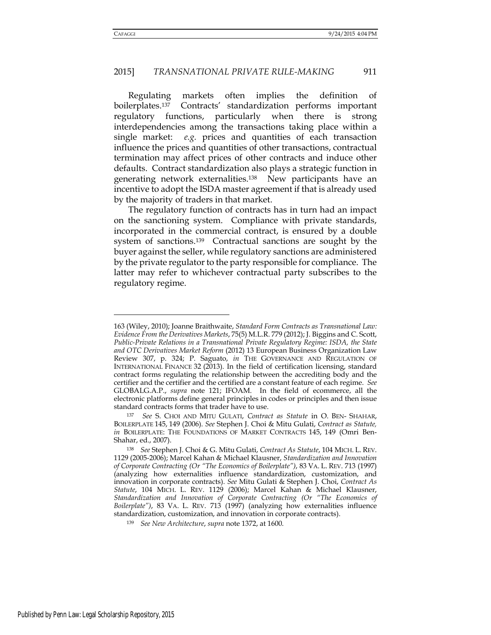# 2015] *TRANSNATIONAL PRIVATE RULE-MAKING* 911

Regulating markets often implies the definition of boilerplates.137 Contracts' standardization performs important regulatory functions, particularly when there is strong interdependencies among the transactions taking place within a single market: *e.g.* prices and quantities of each transaction influence the prices and quantities of other transactions, contractual termination may affect prices of other contracts and induce other defaults. Contract standardization also plays a strategic function in generating network externalities.138 New participants have an incentive to adopt the ISDA master agreement if that is already used by the majority of traders in that market.

The regulatory function of contracts has in turn had an impact on the sanctioning system. Compliance with private standards, incorporated in the commercial contract, is ensured by a double system of sanctions.139 Contractual sanctions are sought by the buyer against the seller, while regulatory sanctions are administered by the private regulator to the party responsible for compliance. The latter may refer to whichever contractual party subscribes to the regulatory regime.

<sup>163 (</sup>Wiley, 2010); Joanne Braithwaite, *Standard Form Contracts as Transnational Law: Evidence From the Derivatives Markets*, 75(5) M.L.R. 779 (2012); J. Biggins and C. Scott, *Public-Private Relations in a Transnational Private Regulatory Regime: ISDA, the State and OTC Derivatives Market Reform* (2012) 13 European Business Organization Law Review 307, p. 324; P. Saguato, *in* THE GOVERNANCE AND REGULATION OF INTERNATIONAL FINANCE 32 (2013). In the field of certification licensing, standard contract forms regulating the relationship between the accrediting body and the certifier and the certifier and the certified are a constant feature of each regime. *See* GLOBALG.A.P., *supra* note 121; IFOAM. In the field of ecommerce, all the electronic platforms define general principles in codes or principles and then issue standard contracts forms that trader have to use.

<sup>137</sup> *See* S. CHOI AND MITU GULATI, *Contract as Statute* in O. BEN- SHAHAR, BOILERPLATE 145, 149 (2006). *See* Stephen J. Choi & Mitu Gulati, *Contract as Statute, in* BOILERPLATE: THE FOUNDATIONS OF MARKET CONTRACTS 145, 149 (Omri Ben-Shahar, ed., 2007).

<sup>138</sup> *See* Stephen J. Choi & G. Mitu Gulati, *Contract As Statute*, 104 MICH. L. REV. 1129 (2005-2006); Marcel Kahan & Michael Klausner, *Standardization and Innovation of Corporate Contracting (Or "The Economics of Boilerplate")*, 83 VA. L. REV. 713 (1997) (analyzing how externalities influence standardization, customization, and innovation in corporate contracts). *See* Mitu Gulati & Stephen J. Choi, *Contract As Statute*, 104 MICH. L. REV. 1129 (2006); Marcel Kahan & Michael Klausner, *Standardization and Innovation of Corporate Contracting (Or "The Economics of Boilerplate")*, 83 VA. L. REV. 713 (1997) (analyzing how externalities influence standardization, customization, and innovation in corporate contracts).

<sup>139</sup> *See New Architecture*, *supra* note 1372, at 1600.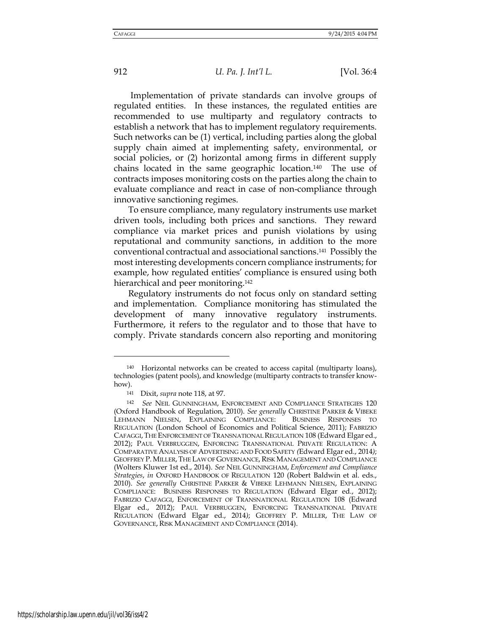Implementation of private standards can involve groups of regulated entities. In these instances, the regulated entities are recommended to use multiparty and regulatory contracts to establish a network that has to implement regulatory requirements. Such networks can be (1) vertical, including parties along the global supply chain aimed at implementing safety, environmental, or social policies, or (2) horizontal among firms in different supply chains located in the same geographic location.140 The use of contracts imposes monitoring costs on the parties along the chain to evaluate compliance and react in case of non-compliance through innovative sanctioning regimes.

To ensure compliance, many regulatory instruments use market driven tools, including both prices and sanctions. They reward compliance via market prices and punish violations by using reputational and community sanctions, in addition to the more conventional contractual and associational sanctions.141 Possibly the most interesting developments concern compliance instruments; for example, how regulated entities' compliance is ensured using both hierarchical and peer monitoring.<sup>142</sup>

Regulatory instruments do not focus only on standard setting and implementation. Compliance monitoring has stimulated the development of many innovative regulatory instruments. Furthermore, it refers to the regulator and to those that have to comply. Private standards concern also reporting and monitoring

<sup>140</sup> Horizontal networks can be created to access capital (multiparty loans), technologies (patent pools), and knowledge (multiparty contracts to transfer knowhow).

<sup>141</sup> Dixit, *supra* note 118, at 97.

<sup>142</sup> *See* NEIL GUNNINGHAM, ENFORCEMENT AND COMPLIANCE STRATEGIES 120 (Oxford Handbook of Regulation, 2010). *See generally* CHRISTINE PARKER & VIBEKE LEHMANN NIELSEN, EXPLAINING COMPLIANCE: REGULATION (London School of Economics and Political Science, 2011); FABRIZIO CAFAGGI, THE ENFORCEMENT OF TRANSNATIONAL REGULATION 108 (Edward Elgar ed., 2012); PAUL VERBRUGGEN, ENFORCING TRANSNATIONAL PRIVATE REGULATION: A COMPARATIVE ANALYSIS OF ADVERTISING AND FOOD SAFETY *(*Edward Elgar ed., 2014*)*; GEOFFREY P. MILLER, THE LAW OF GOVERNANCE, RISK MANAGEMENT AND COMPLIANCE (Wolters Kluwer 1st ed., 2014). *See* NEIL GUNNINGHAM, *Enforcement and Compliance Strategies*, *in* OXFORD HANDBOOK OF REGULATION 120 (Robert Baldwin et al. eds., 2010). *See generally* CHRISTINE PARKER & VIBEKE LEHMANN NIELSEN, EXPLAINING COMPLIANCE: BUSINESS RESPONSES TO REGULATION (Edward Elgar ed., 2012); FABRIZIO CAFAGGI, ENFORCEMENT OF TRANSNATIONAL REGULATION 108 (Edward Elgar ed., 2012); PAUL VERBRUGGEN, ENFORCING TRANSNATIONAL PRIVATE REGULATION (Edward Elgar ed., 2014*)*; GEOFFREY P. MILLER, THE LAW OF GOVERNANCE, RISK MANAGEMENT AND COMPLIANCE (2014).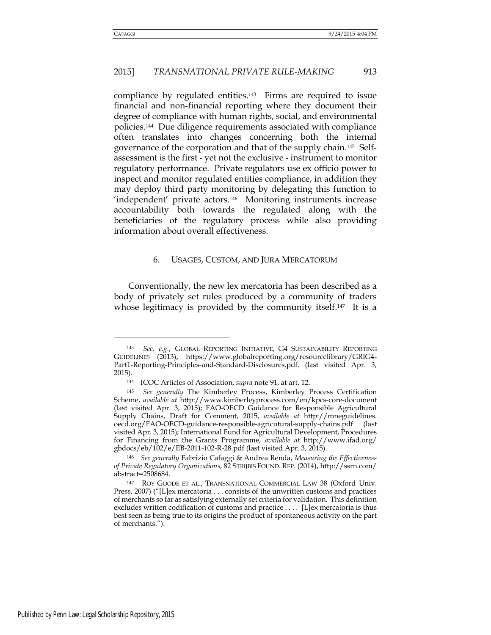compliance by regulated entities.143 Firms are required to issue financial and non-financial reporting where they document their degree of compliance with human rights, social, and environmental policies.144 Due diligence requirements associated with compliance often translates into changes concerning both the internal governance of the corporation and that of the supply chain.145 Selfassessment is the first - yet not the exclusive - instrument to monitor regulatory performance. Private regulators use ex officio power to inspect and monitor regulated entities compliance, in addition they may deploy third party monitoring by delegating this function to 'independent' private actors.146 Monitoring instruments increase accountability both towards the regulated along with the beneficiaries of the regulatory process while also providing information about overall effectiveness.

### 6. USAGES, CUSTOM, AND JURA MERCATORUM

Conventionally, the new lex mercatoria has been described as a body of privately set rules produced by a community of traders whose legitimacy is provided by the community itself.<sup>147</sup> It is a

<sup>143</sup> *See, e.g.*, GLOBAL REPORTING INITIATIVE, G4 SUSTAINABILITY REPORTING GUIDELINES (2013), https://www.globalreporting.org/resourcelibrary/GRIG4- Part1-Reporting-Principles-and-Standard-Disclosures.pdf. (last visited Apr. 3, 2015).

<sup>144</sup> ICOC Articles of Association, *supra* note 91, at art. 12.

<sup>145</sup> *See generally* The Kimberley Process, Kimberley Process Certification Scheme, *available at* http://www.kimberleyprocess.com/en/kpcs-core-document (last visited Apr. 3, 2015); FAO-OECD Guidance for Responsible Agricultural Supply Chains, Draft for Comment, 2015, *available at* [http://mneguidelines.](http://mneguidelines/) oecd.org/FAO-OECD-guidance-responsible-agricutural-supply-chains.pdf (last visited Apr. 3, 2015); International Fund for Agricultural Development, Procedures for Financing from the Grants Programme, *available at* <http://www.ifad.org/> gbdocs/eb/102/e/EB-2011-102-R-28.pdf (last visited Apr. 3, 2015).

<sup>146</sup> *See generally* Fabrizio Cafaggi & Andrea Renda, *Measuring the Effectiveness of Private Regulatory Organizations*, 82 STRIJBIS FOUND. REP. (2014)[, http://ssrn.com/](http://ssrn.com/) abstract=2508684.

<sup>147</sup> ROY GOODE ET AL., TRANSNATIONAL COMMERCIAL LAW 38 (Oxford Univ. Press, 2007) ("[L]ex mercatoria . . . consists of the unwritten customs and practices of merchants so far as satisfying externally set criteria for validation. This definition excludes written codification of customs and practice . . . . [L]ex mercatoria is thus best seen as being true to its origins the product of spontaneous activity on the part of merchants.").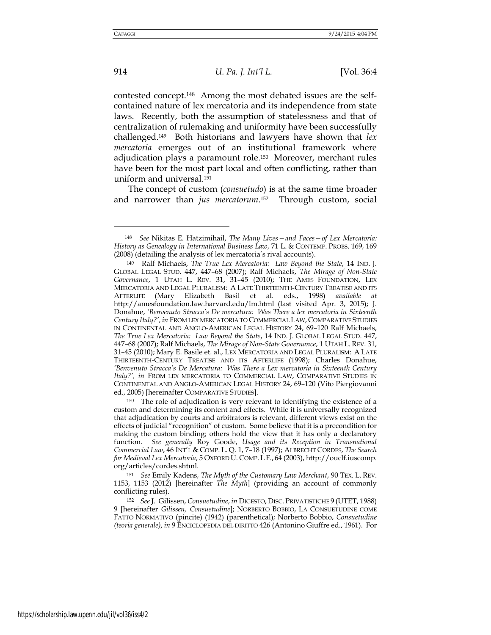contested concept.148 Among the most debated issues are the selfcontained nature of lex mercatoria and its independence from state laws. Recently, both the assumption of statelessness and that of centralization of rulemaking and uniformity have been successfully challenged.149 Both historians and lawyers have shown that *lex mercatoria* emerges out of an institutional framework where adjudication plays a paramount role.150 Moreover, merchant rules have been for the most part local and often conflicting, rather than uniform and universal.<sup>151</sup>

The concept of custom (*consuetudo*) is at the same time broader and narrower than *jus mercatorum*. <sup>152</sup> Through custom, social

<sup>150</sup> The role of adjudication is very relevant to identifying the existence of a custom and determining its content and effects. While it is universally recognized that adjudication by courts and arbitrators is relevant, different views exist on the effects of judicial "recognition" of custom. Some believe that it is a precondition for making the custom binding; others hold the view that it has only a declaratory function. *See generally* Roy Goode, *Usage and its Reception in Transnational Commercial Law*, 46 INT'L & COMP. L. Q. 1, 7–18 (1997); ALBRECHT CORDES, *The Search for Medieval Lex Mercatoria*, 5 OXFORD U. COMP. L F., 64 (2003), [http://ouclf.iuscomp.](http://ouclf.iuscomp/) org/articles/cordes.shtml.

<sup>151</sup> *See* Emily Kadens, *The Myth of the Customary Law Merchant*, 90 TEX. L. REV. 1153, 1153 (2012) [hereinafter *The Myth*] (providing an account of commonly conflicting rules).

<sup>148</sup> *See* Nikitas E. Hatzimihail, *The Many Lives—and Faces—of Lex Mercatoria: History as Genealogy in International Business Law*, 71 L. & CONTEMP. PROBS. 169, 169 (2008) (detailing the analysis of lex mercatoria's rival accounts).

<sup>149</sup> Ralf Michaels, *The True Lex Mercatoria: Law Beyond the State*, 14 IND. J. GLOBAL LEGAL STUD. 447, 447–68 (2007); Ralf Michaels, *The Mirage of Non-State Governance*, 1 UTAH L. REV. 31, 31–45 (2010); THE AMES FOUNDATION, LEX MERCATORIA AND LEGAL PLURALISM: A LATE THIRTEENTH-CENTURY TREATISE AND ITS AFTERLIFE (Mary Elizabeth Basil et al. eds., 1998) *available at*  [http://amesfoundation.l](http://amesfoundation/)aw.harvard.edu/lm.html (last visited Apr. 3, 2015); J. Donahue, *'Benvenuto Stracca's De mercatura: Was There a lex mercatoria in Sixteenth Century Italy?', in* FROM LEX MERCATORIA TO COMMERCIAL LAW, COMPARATIVE STUDIES IN CONTINENTAL AND ANGLO-AMERICAN LEGAL HISTORY 24, 69–120 Ralf Michaels, *The True Lex Mercatoria: Law Beyond the State*, 14 IND. J. GLOBAL LEGAL STUD. 447, 447–68 (2007); Ralf Michaels, *The Mirage of Non-State Governance*, 1 UTAH L. REV. 31, 31–45 (2010); Mary E. Basile et. al., LEX MERCATORIA AND LEGAL PLURALISM: A LATE THIRTEENTH-CENTURY TREATISE AND ITS AFTERLIFE (1998); Charles Donahue, *'Benvenuto Stracca's De Mercatura: Was There a Lex mercatoria in Sixteenth Century Italy?', in* FROM LEX MERCATORIA TO COMMERCIAL LAW, COMPARATIVE STUDIES IN CONTINENTAL AND ANGLO-AMERICAN LEGAL HISTORY 24, 69–120 (Vito Piergiovanni ed., 2005) [hereinafter COMPARATIVE STUDIES].

<sup>152</sup> *See* J. Gilissen, *Consuetudine*, *in* DIGESTO, DISC. PRIVATISTICHE 9 (UTET, 1988) 9 [hereinafter *Gilissen, Consuetudine*]; NORBERTO BOBBIO, LA CONSUETUDINE COME FATTO NORMATIVO (pincite) (1942) (parenthetical); Norberto Bobbio, *Consuetudine (teoria generale)*, *in* 9 ENCICLOPEDIA DEL DIRITTO 426 (Antonino Giuffre ed., 1961). For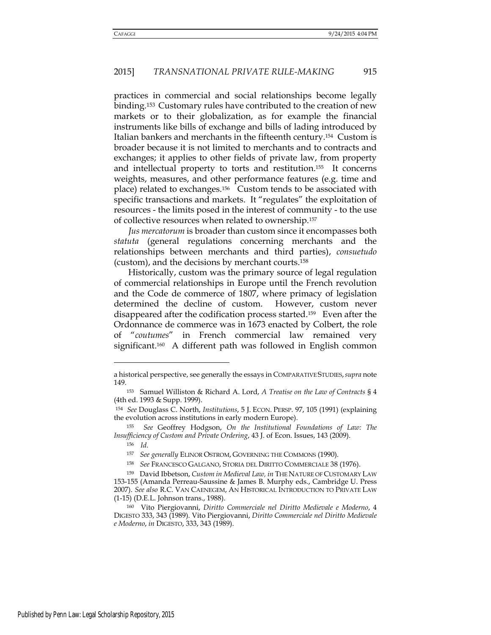practices in commercial and social relationships become legally binding.153 Customary rules have contributed to the creation of new markets or to their globalization, as for example the financial instruments like bills of exchange and bills of lading introduced by Italian bankers and merchants in the fifteenth century.154 Custom is broader because it is not limited to merchants and to contracts and exchanges; it applies to other fields of private law, from property and intellectual property to torts and restitution.155 It concerns weights, measures, and other performance features (e.g. time and place) related to exchanges.<sup>156</sup> Custom tends to be associated with specific transactions and markets. It "regulates" the exploitation of resources - the limits posed in the interest of community - to the use of collective resources when related to ownership.<sup>157</sup>

*Jus mercatorum* is broader than custom since it encompasses both *statuta* (general regulations concerning merchants and the relationships between merchants and third parties), *consuetudo* (custom), and the decisions by merchant courts.<sup>158</sup>

Historically, custom was the primary source of legal regulation of commercial relationships in Europe until the French revolution and the Code de commerce of 1807, where primacy of legislation determined the decline of custom. However, custom never disappeared after the codification process started.159 Even after the Ordonnance de commerce was in 1673 enacted by Colbert, the role of "*coutumes*" in French commercial law remained very significant.<sup>160</sup> A different path was followed in English common

a historical perspective, see generally the essays in COMPARATIVE STUDIES,*supra* note 149.

<sup>153</sup> Samuel Williston & Richard A. Lord, *A Treatise on the Law of Contracts* § 4 (4th ed. 1993 & Supp. 1999).

<sup>154</sup> *See* Douglass C. North, *Institutions*, 5 J. ECON. PERSP. 97, 105 (1991) (explaining the evolution across institutions in early modern Europe).

<sup>155</sup> *See* Geoffrey Hodgson, *On the Institutional Foundations of Law: The Insufficiency of Custom and Private Ordering*, 43 J. of Econ. Issues, 143 (2009).

<sup>156</sup> *Id*.

<sup>157</sup> *See generally* ELINOR OSTROM, GOVERNING THE COMMONS (1990).

<sup>158</sup> *See* FRANCESCO GALGANO, STORIA DEL DIRITTO COMMERCIALE 38 (1976).

<sup>159</sup> David Ibbetson, *Custom in Medieval Law, in* THE NATURE OF CUSTOMARY LAW 153-155 (Amanda Perreau-Saussine & James B. Murphy eds., Cambridge U. Press 2007). *See also* R.C. VAN CAENEGEM, AN HISTORICAL INTRODUCTION TO PRIVATE LAW (1-15) (D.E.L. Johnson trans., 1988).

<sup>160</sup> Vito Piergiovanni, *Diritto Commerciale nel Diritto Medievale e Moderno*, 4 DIGESTO 333, 343 (1989). Vito Piergiovanni, *Diritto Commerciale nel Diritto Medievale e Moderno*, *in* DIGESTO, 333, 343 (1989).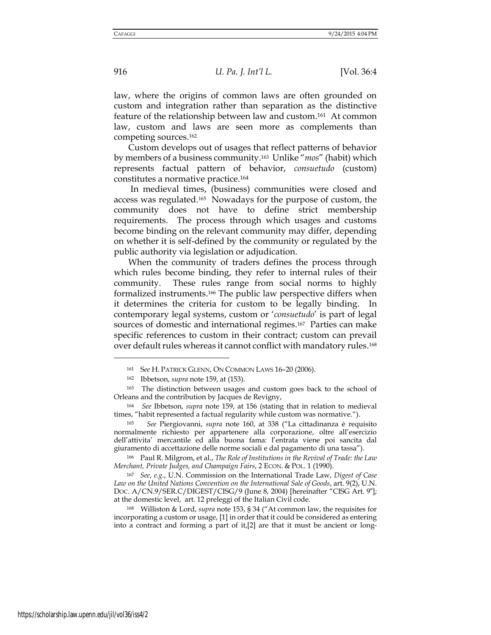law, where the origins of common laws are often grounded on custom and integration rather than separation as the distinctive feature of the relationship between law and custom.161 At common law, custom and laws are seen more as complements than competing sources.<sup>162</sup>

Custom develops out of usages that reflect patterns of behavior by members of a business community.163 Unlike "*mos*" (habit) which represents factual pattern of behavior, *consuetudo* (custom) constitutes a normative practice.<sup>164</sup>

 In medieval times, (business) communities were closed and access was regulated.165 Nowadays for the purpose of custom, the community does not have to define strict membership requirements. The process through which usages and customs become binding on the relevant community may differ, depending on whether it is self-defined by the community or regulated by the public authority via legislation or adjudication.

When the community of traders defines the process through which rules become binding, they refer to internal rules of their community. These rules range from social norms to highly formalized instruments.166 The public law perspective differs when it determines the criteria for custom to be legally binding. contemporary legal systems, custom or '*consuetudo*' is part of legal sources of domestic and international regimes.<sup>167</sup> Parties can make specific references to custom in their contract; custom can prevail over default rules whereas it cannot conflict with mandatory rules.<sup>168</sup>

<sup>166</sup> Paul R. Milgrom, et al., *The Role of Institutions in the Revival of Trade: the Law Merchant, Private Judges, and Champaign Fairs*, 2 ECON. & POL. 1 (1990).

<sup>167</sup> *See*, *e.g.*, U.N. Commission on the International Trade Law, *Digest of Case Law on the United Nations Convention on the International Sale of Goods*, art. 9(2), U.N. DOC. A/CN.9/SER.C/DIGEST/CISG/9 (June 8, 2004) [hereinafter "CISG Art. 9"]; at the domestic level, art. 12 preleggi of the Italian Civil code.

<sup>168</sup> Williston & Lord, *supra* note 153, § 34 ("At common law, the requisites for incorporating a custom or usage, [1] in order that it could be considered as entering into a contract and forming a part of it,[2] are that it must be ancient or long-

<sup>161</sup> S*ee* H. PATRICK GLENN, ON COMMON LAWS 16–20 (2006).

<sup>162</sup> Ibbetson, *supra* note 159, at (153).

<sup>163</sup> The distinction between usages and custom goes back to the school of Orleans and the contribution by Jacques de Revigny,

<sup>164</sup> *See* Ibbetson, *supra* note 159, at 156 (stating that in relation to medieval times, "habit represented a factual regularity while custom was normative.").

<sup>165</sup> *See* Piergiovanni, *supra* note 160, at 338 ("La cittadinanza è requisito normalmente richiesto per appartenere alla corporazione, oltre all'esercizio dell'attivita' mercantile ed alla buona fama: l'entrata viene poi sancita dal giuramento di accettazione delle norme sociali e dal pagamento di una tassa").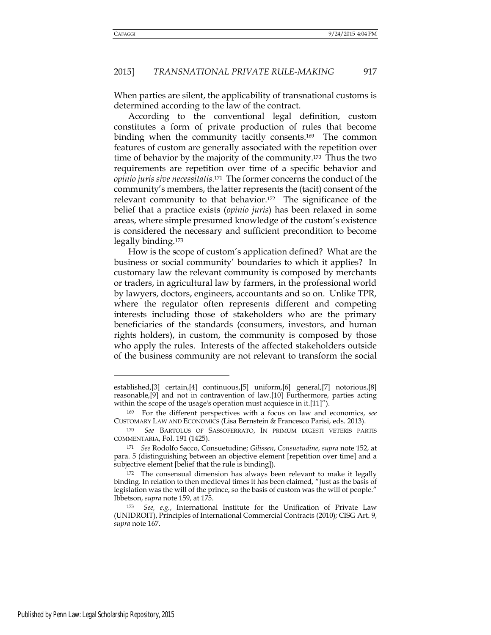When parties are silent, the applicability of transnational customs is determined according to the law of the contract.

According to the conventional legal definition, custom constitutes a form of private production of rules that become binding when the community tacitly consents.<sup>169</sup> The common features of custom are generally associated with the repetition over time of behavior by the majority of the community.170 Thus the two requirements are repetition over time of a specific behavior and *opinio juris sive necessitatis.*171 The former concerns the conduct of the community's members, the latter represents the (tacit) consent of the relevant community to that behavior.172 The significance of the belief that a practice exists (*opinio juris*) has been relaxed in some areas, where simple presumed knowledge of the custom's existence is considered the necessary and sufficient precondition to become legally binding.<sup>173</sup>

How is the scope of custom's application defined? What are the business or social community' boundaries to which it applies? In customary law the relevant community is composed by merchants or traders, in agricultural law by farmers, in the professional world by lawyers, doctors, engineers, accountants and so on. Unlike TPR, where the regulator often represents different and competing interests including those of stakeholders who are the primary beneficiaries of the standards (consumers, investors, and human rights holders), in custom, the community is composed by those who apply the rules. Interests of the affected stakeholders outside of the business community are not relevant to transform the social

established,[3] certain,[4] continuous,[5] uniform,[6] general,[7] notorious,[8] reasonable,[9] and not in contravention of law.[10] Furthermore, parties acting within the scope of the usage's operation must acquiesce in it.[11]").

<sup>169</sup> For the different perspectives with a focus on law and economics, *see* CUSTOMARY LAW AND ECONOMICS (Lisa Bernstein & Francesco Parisi, eds. 2013).

<sup>170</sup> *See* BARTOLUS OF SASSOFERRATO, IN PRIMUM DIGESTI VETERIS PARTIS COMMENTARIA, Fol. 191 (1425).

<sup>171</sup> *See* Rodolfo Sacco, Consuetudine; *Gilissen*, *Consuetudine*, *supra* note 152, at para. 5 (distinguishing between an objective element [repetition over time] and a subjective element [belief that the rule is binding]).

<sup>172</sup> The consensual dimension has always been relevant to make it legally binding. In relation to then medieval times it has been claimed, "Just as the basis of legislation was the will of the prince, so the basis of custom was the will of people." Ibbetson, *supra* note 159, at 175.

<sup>173</sup> *See, e.g.*, International Institute for the Unification of Private Law (UNIDROIT), Principles of International Commercial Contracts (2010); CISG Art. 9, *supra* note 167.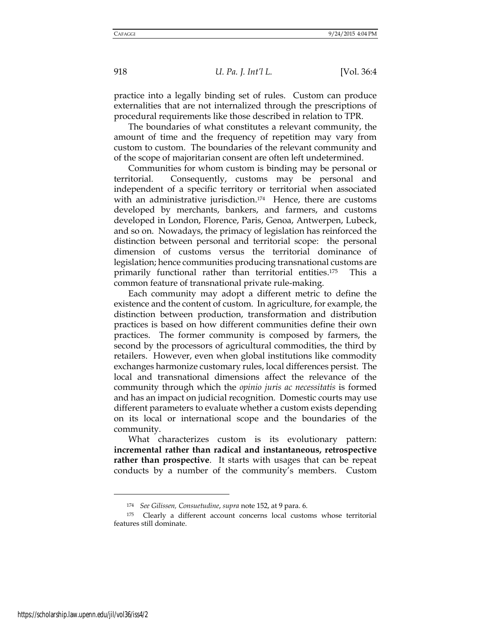practice into a legally binding set of rules. Custom can produce externalities that are not internalized through the prescriptions of procedural requirements like those described in relation to TPR.

The boundaries of what constitutes a relevant community, the amount of time and the frequency of repetition may vary from custom to custom. The boundaries of the relevant community and of the scope of majoritarian consent are often left undetermined.

Communities for whom custom is binding may be personal or territorial. Consequently, customs may be personal and independent of a specific territory or territorial when associated with an administrative jurisdiction.<sup>174</sup> Hence, there are customs developed by merchants, bankers, and farmers, and customs developed in London, Florence, Paris, Genoa, Antwerpen, Lubeck, and so on. Nowadays, the primacy of legislation has reinforced the distinction between personal and territorial scope: the personal dimension of customs versus the territorial dominance of legislation; hence communities producing transnational customs are primarily functional rather than territorial entities.175 This a common feature of transnational private rule-making.

Each community may adopt a different metric to define the existence and the content of custom. In agriculture, for example, the distinction between production, transformation and distribution practices is based on how different communities define their own practices. The former community is composed by farmers, the second by the processors of agricultural commodities, the third by retailers. However, even when global institutions like commodity exchanges harmonize customary rules, local differences persist. The local and transnational dimensions affect the relevance of the community through which the *opinio juris ac necessitatis* is formed and has an impact on judicial recognition. Domestic courts may use different parameters to evaluate whether a custom exists depending on its local or international scope and the boundaries of the community.

What characterizes custom is its evolutionary pattern: **incremental rather than radical and instantaneous, retrospective rather than prospective**. It starts with usages that can be repeat conducts by a number of the community's members. Custom

<sup>174</sup> *See Gilissen, Consuetudine*, *supra* note 152, at 9 para. 6.

<sup>175</sup> Clearly a different account concerns local customs whose territorial features still dominate.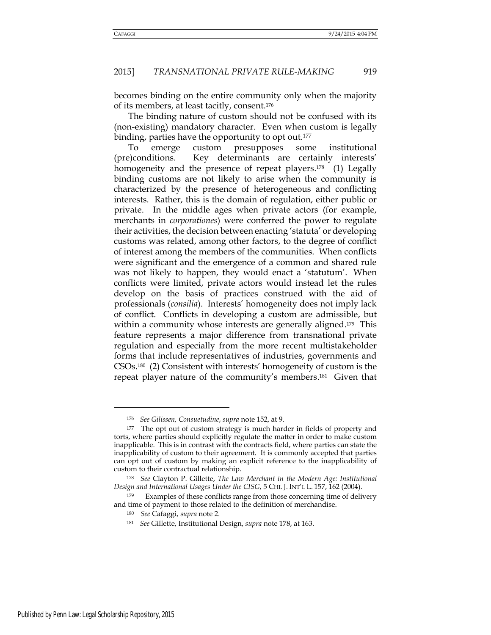becomes binding on the entire community only when the majority of its members, at least tacitly, consent.<sup>176</sup>

The binding nature of custom should not be confused with its (non-existing) mandatory character. Even when custom is legally binding, parties have the opportunity to opt out.<sup>177</sup>

To emerge custom presupposes some institutional (pre)conditions. Key determinants are certainly interests' homogeneity and the presence of repeat players.<sup>178</sup> (1) Legally binding customs are not likely to arise when the community is characterized by the presence of heterogeneous and conflicting interests. Rather, this is the domain of regulation, either public or private. In the middle ages when private actors (for example, merchants in *corporationes*) were conferred the power to regulate their activities, the decision between enacting 'statuta' or developing customs was related, among other factors, to the degree of conflict of interest among the members of the communities. When conflicts were significant and the emergence of a common and shared rule was not likely to happen, they would enact a 'statutum'. When conflicts were limited, private actors would instead let the rules develop on the basis of practices construed with the aid of professionals (*consilia*). Interests' homogeneity does not imply lack of conflict. Conflicts in developing a custom are admissible, but within a community whose interests are generally aligned.<sup>179</sup> This feature represents a major difference from transnational private regulation and especially from the more recent multistakeholder forms that include representatives of industries, governments and CSOs.180 (2) Consistent with interests' homogeneity of custom is the repeat player nature of the community's members. <sup>181</sup> Given that

<sup>176</sup> *See Gilissen, Consuetudine*, *supra* note 152, at 9.

<sup>&</sup>lt;sup>177</sup> The opt out of custom strategy is much harder in fields of property and torts, where parties should explicitly regulate the matter in order to make custom inapplicable. This is in contrast with the contracts field, where parties can state the inapplicability of custom to their agreement. It is commonly accepted that parties can opt out of custom by making an explicit reference to the inapplicability of custom to their contractual relationship.

<sup>178</sup> *See* Clayton P. Gillette, *The Law Merchant in the Modern Age: Institutional Design and International Usages Under the CISG*, 5 CHI. J. INT'L L. 157, 162 (2004).

<sup>&</sup>lt;sup>179</sup> Examples of these conflicts range from those concerning time of delivery and time of payment to those related to the definition of merchandise.

<sup>180</sup> *See* Cafaggi, *supra* note 2.

<sup>181</sup> *See* Gillette, Institutional Design, *supra* note 178, at 163.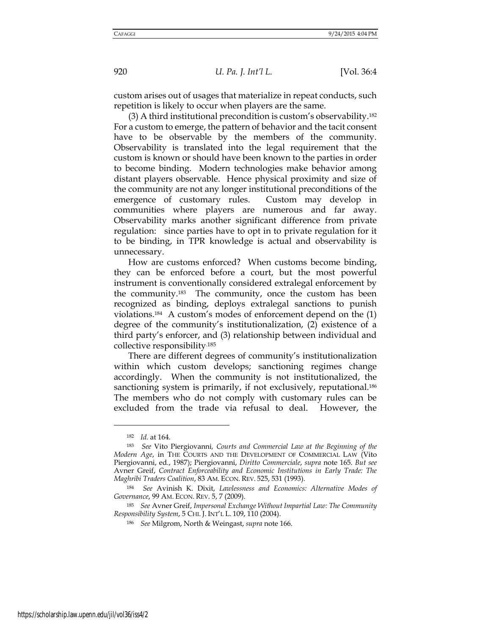custom arises out of usages that materialize in repeat conducts, such repetition is likely to occur when players are the same.

(3) A third institutional precondition is custom's observability. 182 For a custom to emerge, the pattern of behavior and the tacit consent have to be observable by the members of the community. Observability is translated into the legal requirement that the custom is known or should have been known to the parties in order to become binding. Modern technologies make behavior among distant players observable. Hence physical proximity and size of the community are not any longer institutional preconditions of the emergence of customary rules. Custom may develop in communities where players are numerous and far away. Observability marks another significant difference from private regulation: since parties have to opt in to private regulation for it to be binding, in TPR knowledge is actual and observability is unnecessary.

How are customs enforced? When customs become binding, they can be enforced before a court, but the most powerful instrument is conventionally considered extralegal enforcement by the community.183 The community, once the custom has been recognized as binding, deploys extralegal sanctions to punish violations.184 A custom's modes of enforcement depend on the (1) degree of the community's institutionalization, (2) existence of a third party's enforcer, and (3) relationship between individual and collective responsibility.185

There are different degrees of community's institutionalization within which custom develops; sanctioning regimes change accordingly. When the community is not institutionalized, the sanctioning system is primarily, if not exclusively, reputational.<sup>186</sup> The members who do not comply with customary rules can be excluded from the trade via refusal to deal. However, the

<sup>182</sup> *Id.* at 164.

<sup>183</sup> *See* Vito Piergiovanni*, Courts and Commercial Law at the Beginning of the Modern Age*, in THE COURTS AND THE DEVELOPMENT OF COMMERCIAL LAW (Vito Piergiovanni, ed., 1987); Piergiovanni, *Diritto Commerciale*, *supra* note 165. *But see* Avner Greif, *Contract Enforceability and Economic Institutions in Early Trade: The Maghribi Traders Coalition*, 83 AM. ECON. REV. 525, 531 (1993).

<sup>184</sup> *See* Avinish K. Dixit, *Lawlessness and Economics: Alternative Modes of Governance*, 99 AM. ECON. REV. 5, 7 (2009).

<sup>185</sup> *See* Avner Greif, *Impersonal Exchange Without Impartial Law: The Community Responsibility System*, 5 CHI. J. INT'L L. 109, 110 (2004).

<sup>186</sup> *See* Milgrom, North & Weingast, *supra* note 166.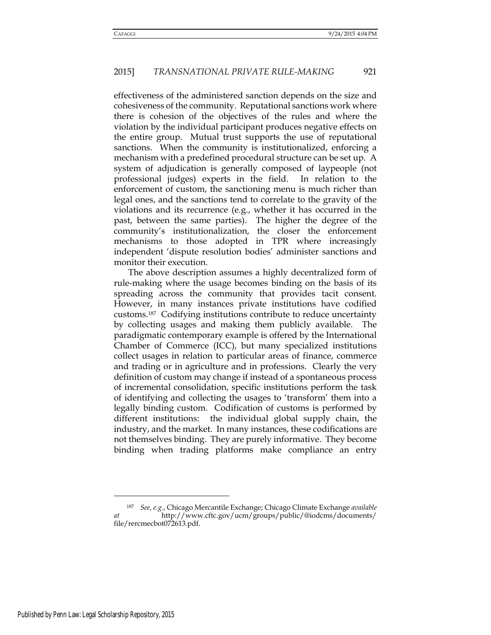effectiveness of the administered sanction depends on the size and cohesiveness of the community. Reputational sanctions work where there is cohesion of the objectives of the rules and where the violation by the individual participant produces negative effects on the entire group. Mutual trust supports the use of reputational sanctions. When the community is institutionalized, enforcing a mechanism with a predefined procedural structure can be set up. A system of adjudication is generally composed of laypeople (not professional judges) experts in the field. In relation to the enforcement of custom, the sanctioning menu is much richer than legal ones, and the sanctions tend to correlate to the gravity of the violations and its recurrence (e.g., whether it has occurred in the past, between the same parties). The higher the degree of the community's institutionalization, the closer the enforcement mechanisms to those adopted in TPR where increasingly independent 'dispute resolution bodies' administer sanctions and monitor their execution.

The above description assumes a highly decentralized form of rule-making where the usage becomes binding on the basis of its spreading across the community that provides tacit consent. However, in many instances private institutions have codified customs.187 Codifying institutions contribute to reduce uncertainty by collecting usages and making them publicly available. The paradigmatic contemporary example is offered by the International Chamber of Commerce (ICC), but many specialized institutions collect usages in relation to particular areas of finance, commerce and trading or in agriculture and in professions. Clearly the very definition of custom may change if instead of a spontaneous process of incremental consolidation, specific institutions perform the task of identifying and collecting the usages to 'transform' them into a legally binding custom. Codification of customs is performed by different institutions: the individual global supply chain, the industry, and the market. In many instances, these codifications are not themselves binding. They are purely informative. They become binding when trading platforms make compliance an entry

<sup>187</sup> *See, e.g.*, Chicago Mercantile Exchange; Chicago Climate Exchange *available at* <http://www.cftc.gov/ucm/groups/public/@iodcms/documents/> file/rercmecbot072613.pdf.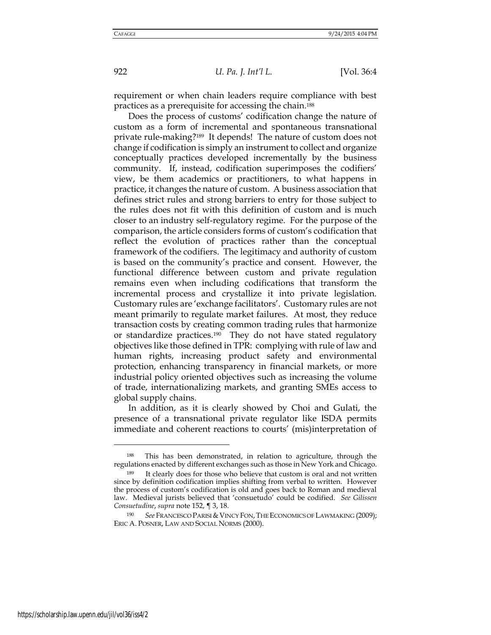requirement or when chain leaders require compliance with best practices as a prerequisite for accessing the chain.<sup>188</sup>

Does the process of customs' codification change the nature of custom as a form of incremental and spontaneous transnational private rule-making?189 It depends! The nature of custom does not change if codification is simply an instrument to collect and organize conceptually practices developed incrementally by the business community. If, instead, codification superimposes the codifiers' view, be them academics or practitioners, to what happens in practice, it changes the nature of custom. A business association that defines strict rules and strong barriers to entry for those subject to the rules does not fit with this definition of custom and is much closer to an industry self-regulatory regime. For the purpose of the comparison, the article considers forms of custom's codification that reflect the evolution of practices rather than the conceptual framework of the codifiers. The legitimacy and authority of custom is based on the community's practice and consent. However, the functional difference between custom and private regulation remains even when including codifications that transform the incremental process and crystallize it into private legislation. Customary rules are 'exchange facilitators'. Customary rules are not meant primarily to regulate market failures. At most, they reduce transaction costs by creating common trading rules that harmonize or standardize practices.190 They do not have stated regulatory objectives like those defined in TPR: complying with rule of law and human rights, increasing product safety and environmental protection, enhancing transparency in financial markets, or more industrial policy oriented objectives such as increasing the volume of trade, internationalizing markets, and granting SMEs access to global supply chains.

In addition, as it is clearly showed by Choi and Gulati, the presence of a transnational private regulator like ISDA permits immediate and coherent reactions to courts' (mis)interpretation of

<sup>188</sup> This has been demonstrated, in relation to agriculture, through the regulations enacted by different exchanges such as those in New York and Chicago.

<sup>189</sup> It clearly does for those who believe that custom is oral and not written since by definition codification implies shifting from verbal to written. However the process of custom's codification is old and goes back to Roman and medieval law. Medieval jurists believed that 'consuetudo' could be codified. *See Gilissen Consuetudine*, *supra* note 152, ¶ 3, 18.

<sup>&</sup>lt;sup>190</sup> *See FRANCESCO PARISI & VINCY FON, THE ECONOMICS OF LAWMAKING (2009);* ERIC A. POSNER, LAW AND SOCIAL NORMS (2000).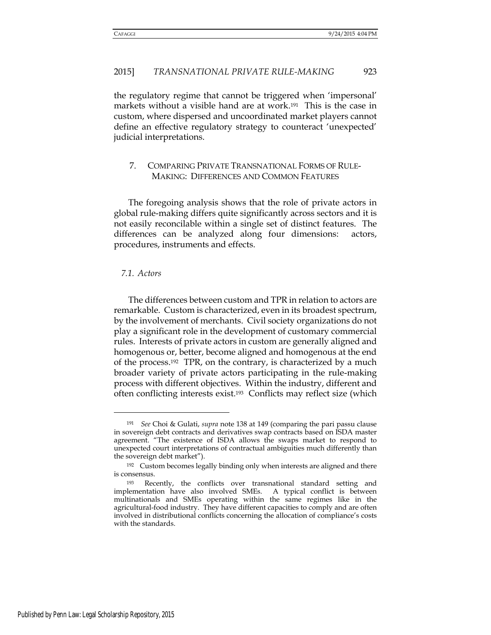the regulatory regime that cannot be triggered when 'impersonal' markets without a visible hand are at work.<sup>191</sup> This is the case in custom, where dispersed and uncoordinated market players cannot define an effective regulatory strategy to counteract 'unexpected' judicial interpretations.

# 7. COMPARING PRIVATE TRANSNATIONAL FORMS OF RULE-MAKING: DIFFERENCES AND COMMON FEATURES

The foregoing analysis shows that the role of private actors in global rule-making differs quite significantly across sectors and it is not easily reconcilable within a single set of distinct features. The differences can be analyzed along four dimensions: actors, procedures, instruments and effects.

#### *7.1. Actors*

<u>.</u>

The differences between custom and TPR in relation to actors are remarkable. Custom is characterized, even in its broadest spectrum, by the involvement of merchants. Civil society organizations do not play a significant role in the development of customary commercial rules. Interests of private actors in custom are generally aligned and homogenous or, better, become aligned and homogenous at the end of the process.192 TPR, on the contrary, is characterized by a much broader variety of private actors participating in the rule-making process with different objectives. Within the industry, different and often conflicting interests exist.193 Conflicts may reflect size (which

<sup>191</sup> *See* Choi & Gulati, *supra* note 138 at 149 (comparing the pari passu clause in sovereign debt contracts and derivatives swap contracts based on ISDA master agreement. "The existence of ISDA allows the swaps market to respond to unexpected court interpretations of contractual ambiguities much differently than the sovereign debt market").

<sup>192</sup> Custom becomes legally binding only when interests are aligned and there is consensus.

<sup>193</sup> Recently, the conflicts over transnational standard setting and implementation have also involved SMEs. A typical conflict is between multinationals and SMEs operating within the same regimes like in the agricultural-food industry. They have different capacities to comply and are often involved in distributional conflicts concerning the allocation of compliance's costs with the standards.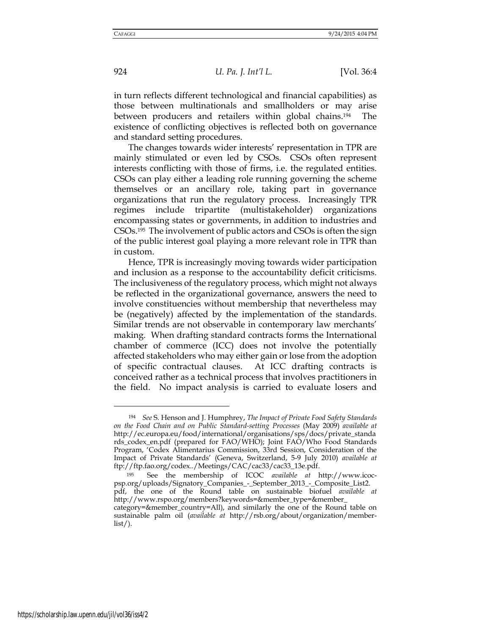in turn reflects different technological and financial capabilities) as those between multinationals and smallholders or may arise between producers and retailers within global chains.194 The existence of conflicting objectives is reflected both on governance and standard setting procedures.

The changes towards wider interests' representation in TPR are mainly stimulated or even led by CSOs. CSOs often represent interests conflicting with those of firms, i.e. the regulated entities. CSOs can play either a leading role running governing the scheme themselves or an ancillary role, taking part in governance organizations that run the regulatory process. Increasingly TPR regimes include tripartite (multistakeholder) organizations encompassing states or governments, in addition to industries and CSOs.195 The involvement of public actors and CSOs is often the sign of the public interest goal playing a more relevant role in TPR than in custom.

Hence, TPR is increasingly moving towards wider participation and inclusion as a response to the accountability deficit criticisms. The inclusiveness of the regulatory process, which might not always be reflected in the organizational governance, answers the need to involve constituencies without membership that nevertheless may be (negatively) affected by the implementation of the standards. Similar trends are not observable in contemporary law merchants' making. When drafting standard contracts forms the International chamber of commerce (ICC) does not involve the potentially affected stakeholders who may either gain or lose from the adoption of specific contractual clauses. At ICC drafting contracts is conceived rather as a technical process that involves practitioners in the field. No impact analysis is carried to evaluate losers and

-

 $list/$ ).

<sup>194</sup> *See* S. Henson and J. Humphrey, *The Impact of Private Food Safety Standards on the Food Chain and on Public Standard-setting Processes* (May 2009) *available at* http://ec.europa.eu/food/international/organisations/sps/docs/private\_standa rds\_codex\_en.pdf (prepared for FAO/WHO); Joint FAO/Who Food Standards Program, 'Codex Alimentarius Commission, 33rd Session, Consideration of the Impact of Private Standards' (Geneva, Switzerland, 5-9 July 2010) *available at* ftp://ftp.fao.org/codex../Meetings/CAC/cac33/cac33\_13e.pdf.

<sup>195</sup> See the membership of ICOC *available at* [http://www.icoc](http://www.icoc-psp.org/uploads/Signatory_Companies_-_September_2013_-_Composite_List2)[psp.org/uploads/Signatory\\_Companies\\_-\\_September\\_2013\\_-\\_Composite\\_List2.](http://www.icoc-psp.org/uploads/Signatory_Companies_-_September_2013_-_Composite_List2) pdf, the one of the Round table on sustainable biofuel *available at*  [http://www.rspo.org/members?keywords=&m](http://www.rspo.org/members?keywords=&)ember\_type=&member\_ category=&member\_country=All), and similarly the one of the Round table on sustainable palm oil (*available at* http://rsb.org/about/organization/member-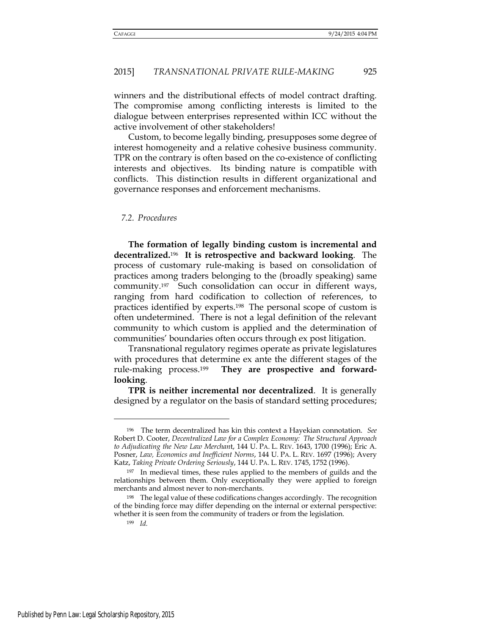winners and the distributional effects of model contract drafting. The compromise among conflicting interests is limited to the dialogue between enterprises represented within ICC without the active involvement of other stakeholders!

Custom, to become legally binding, presupposes some degree of interest homogeneity and a relative cohesive business community. TPR on the contrary is often based on the co-existence of conflicting interests and objectives. Its binding nature is compatible with conflicts. This distinction results in different organizational and governance responses and enforcement mechanisms.

#### *7.2. Procedures*

**The formation of legally binding custom is incremental and decentralized.**<sup>196</sup> **It is retrospective and backward looking**. The process of customary rule-making is based on consolidation of practices among traders belonging to the (broadly speaking) same community.197 Such consolidation can occur in different ways, ranging from hard codification to collection of references, to practices identified by experts.198 The personal scope of custom is often undetermined. There is not a legal definition of the relevant community to which custom is applied and the determination of communities' boundaries often occurs through ex post litigation.

Transnational regulatory regimes operate as private legislatures with procedures that determine ex ante the different stages of the rule-making process.199 **They are prospective and forwardlooking**.

**TPR is neither incremental nor decentralized**. It is generally designed by a regulator on the basis of standard setting procedures;

<sup>196</sup> The term decentralized has kin this context a Hayekian connotation. *See* Robert D. Cooter, *Decentralized Law for a Complex Economy: The Structural Approach to Adjudicating the New Law Merchan*t, 144 U. PA. L. REV. 1643, 1700 (1996); Eric A. Posner, *Law, Economics and Inefficient Norms*, 144 U. PA. L. REV. 1697 (1996); Avery Katz, *Taking Private Ordering Seriously*, 144 U. PA. L. REV. 1745, 1752 (1996).

<sup>&</sup>lt;sup>197</sup> In medieval times, these rules applied to the members of guilds and the relationships between them. Only exceptionally they were applied to foreign merchants and almost never to non-merchants.

<sup>198</sup> The legal value of these codifications changes accordingly. The recognition of the binding force may differ depending on the internal or external perspective: whether it is seen from the community of traders or from the legislation.

<sup>199</sup> *Id.*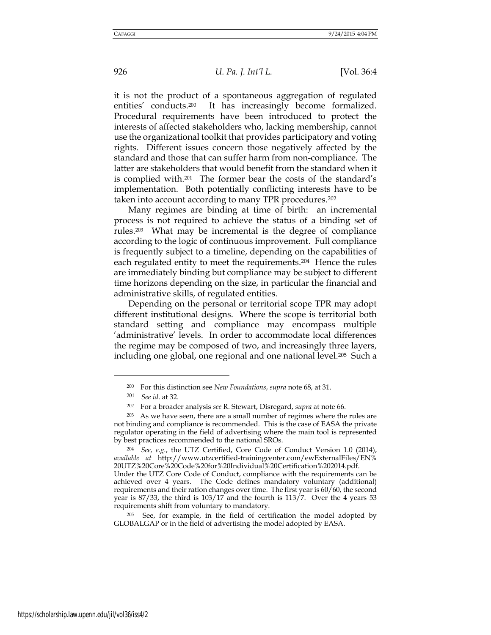it is not the product of a spontaneous aggregation of regulated entities' conducts. 200 It has increasingly become formalized. Procedural requirements have been introduced to protect the interests of affected stakeholders who, lacking membership, cannot use the organizational toolkit that provides participatory and voting rights. Different issues concern those negatively affected by the standard and those that can suffer harm from non-compliance. The latter are stakeholders that would benefit from the standard when it is complied with.<sup>201</sup> The former bear the costs of the standard's implementation. Both potentially conflicting interests have to be taken into account according to many TPR procedures.<sup>202</sup>

Many regimes are binding at time of birth: an incremental process is not required to achieve the status of a binding set of rules.203 What may be incremental is the degree of compliance according to the logic of continuous improvement. Full compliance is frequently subject to a timeline, depending on the capabilities of each regulated entity to meet the requirements.204 Hence the rules are immediately binding but compliance may be subject to different time horizons depending on the size, in particular the financial and administrative skills, of regulated entities.

Depending on the personal or territorial scope TPR may adopt different institutional designs. Where the scope is territorial both standard setting and compliance may encompass multiple 'administrative' levels. In order to accommodate local differences the regime may be composed of two, and increasingly three layers, including one global, one regional and one national level.205 Such a

<u>.</u>

<sup>205</sup> See, for example, in the field of certification the model adopted by GLOBALGAP or in the field of advertising the model adopted by EASA.

<sup>200</sup> For this distinction see *New Foundations*, *supra* note 68, at 31.

<sup>201</sup> *See id*. at 32.

<sup>202</sup> For a broader analysis *see* R. Stewart, Disregard, *supra* at note 66.

<sup>203</sup> As we have seen, there are a small number of regimes where the rules are not binding and compliance is recommended. This is the case of EASA the private regulator operating in the field of advertising where the main tool is represented by best practices recommended to the national SROs.

<sup>204</sup> *See, e.g.*, the UTZ Certified, Core Code of Conduct Version 1.0 (2014), *available at* [http://www.utzcertified-trainingcenter.com/ewExternalFiles/E](http://www.utzcertified-trainingcenter.com/ewExternalFiles/)N% 20UTZ%20Core%20Code%20for%20Individual%20Certification%202014.pdf.

Under the UTZ Core Code of Conduct, compliance with the requirements can be achieved over 4 years. The Code defines mandatory voluntary (additional) requirements and their ration changes over time. The first year is 60/60, the second year is 87/33, the third is  $103/17$  and the fourth is  $113/7$ . Over the 4 years 53 requirements shift from voluntary to mandatory.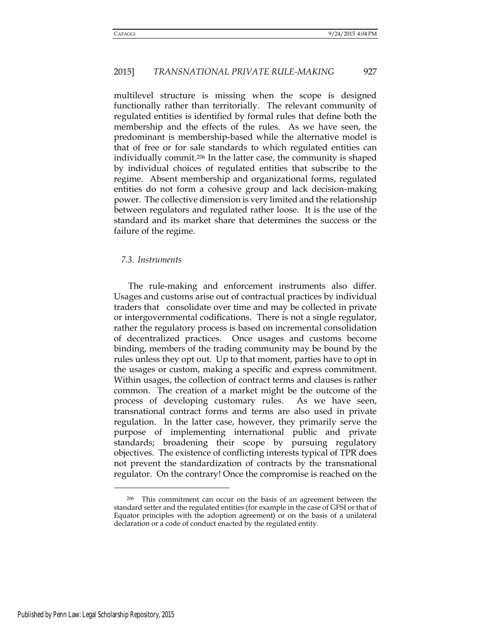multilevel structure is missing when the scope is designed functionally rather than territorially. The relevant community of regulated entities is identified by formal rules that define both the membership and the effects of the rules. As we have seen, the predominant is membership-based while the alternative model is that of free or for sale standards to which regulated entities can individually commit.206 In the latter case, the community is shaped by individual choices of regulated entities that subscribe to the regime. Absent membership and organizational forms, regulated entities do not form a cohesive group and lack decision-making power. The collective dimension is very limited and the relationship between regulators and regulated rather loose. It is the use of the standard and its market share that determines the success or the failure of the regime.

### *7.3. Instruments*

The rule-making and enforcement instruments also differ. Usages and customs arise out of contractual practices by individual traders that consolidate over time and may be collected in private or intergovernmental codifications. There is not a single regulator, rather the regulatory process is based on incremental consolidation of decentralized practices. Once usages and customs become binding, members of the trading community may be bound by the rules unless they opt out. Up to that moment, parties have to opt in the usages or custom, making a specific and express commitment. Within usages, the collection of contract terms and clauses is rather common. The creation of a market might be the outcome of the process of developing customary rules. As we have seen, transnational contract forms and terms are also used in private regulation. In the latter case, however, they primarily serve the purpose of implementing international public and private standards; broadening their scope by pursuing regulatory objectives. The existence of conflicting interests typical of TPR does not prevent the standardization of contracts by the transnational regulator. On the contrary! Once the compromise is reached on the

<sup>206</sup> This commitment can occur on the basis of an agreement between the standard setter and the regulated entities (for example in the case of GFSI or that of Equator principles with the adoption agreement) or on the basis of a unilateral declaration or a code of conduct enacted by the regulated entity.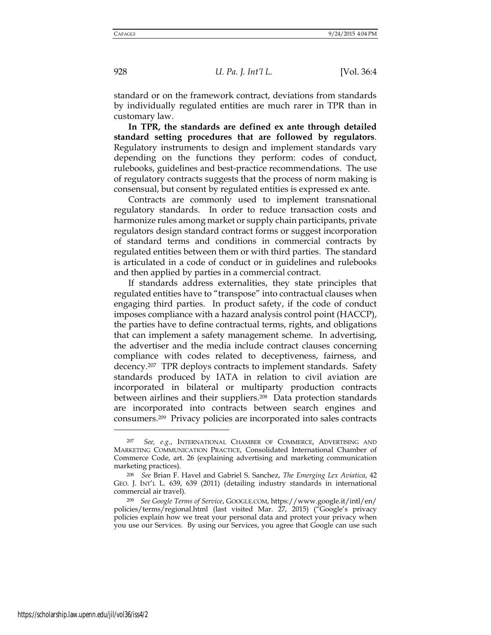standard or on the framework contract, deviations from standards by individually regulated entities are much rarer in TPR than in customary law.

**In TPR, the standards are defined ex ante through detailed standard setting procedures that are followed by regulators**. Regulatory instruments to design and implement standards vary depending on the functions they perform: codes of conduct, rulebooks, guidelines and best-practice recommendations. The use of regulatory contracts suggests that the process of norm making is consensual, but consent by regulated entities is expressed ex ante.

Contracts are commonly used to implement transnational regulatory standards. In order to reduce transaction costs and harmonize rules among market or supply chain participants, private regulators design standard contract forms or suggest incorporation of standard terms and conditions in commercial contracts by regulated entities between them or with third parties. The standard is articulated in a code of conduct or in guidelines and rulebooks and then applied by parties in a commercial contract.

If standards address externalities, they state principles that regulated entities have to "transpose" into contractual clauses when engaging third parties. In product safety, if the code of conduct imposes compliance with a hazard analysis control point (HACCP), the parties have to define contractual terms, rights, and obligations that can implement a safety management scheme. In advertising, the advertiser and the media include contract clauses concerning compliance with codes related to deceptiveness, fairness, and decency.207 TPR deploys contracts to implement standards. Safety standards produced by IATA in relation to civil aviation are incorporated in bilateral or multiparty production contracts between airlines and their suppliers.<sup>208</sup> Data protection standards are incorporated into contracts between search engines and consumers.209 Privacy policies are incorporated into sales contracts

<sup>207</sup> *See, e.g.*, INTERNATIONAL CHAMBER OF COMMERCE, ADVERTISING AND MARKETING COMMUNICATION PRACTICE, Consolidated International Chamber of Commerce Code, art. 26 (explaining advertising and marketing communication marketing practices).

<sup>208</sup> *See* Brian F. Havel and Gabriel S. Sanchez, *The Emerging Lex Aviatica*, 42 GEO. J. INT'L L. 639, 639 (2011) (detailing industry standards in international commercial air travel).

<sup>209</sup> *See Google Terms of Service*, GOOGLE.COM, [https://www.google.it/intl/e](https://www.google.it/intl/)n/ policies/terms/regional.html (last visited Mar. 27, 2015) ("Google's privacy policies explain how we treat your personal data and protect your privacy when you use our Services. By using our Services, you agree that Google can use such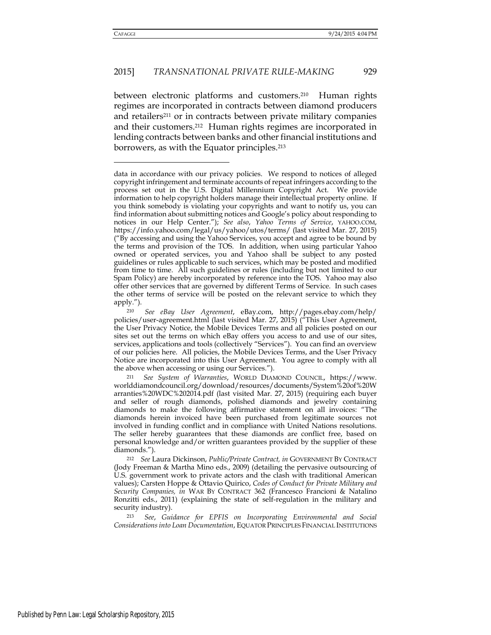<u>.</u>

# 2015] *TRANSNATIONAL PRIVATE RULE-MAKING* 929

between electronic platforms and customers.<sup>210</sup> Human rights regimes are incorporated in contracts between diamond producers and retailers<sup>211</sup> or in contracts between private military companies and their customers.212 Human rights regimes are incorporated in lending contracts between banks and other financial institutions and borrowers, as with the Equator principles.<sup>213</sup>

<sup>213</sup> *See*, *Guidance for EPFIS on Incorporating Environmental and Social Considerations into Loan Documentation*, EQUATOR PRINCIPLES FINANCIAL INSTITUTIONS

data in accordance with our privacy policies. We respond to notices of alleged copyright infringement and terminate accounts of repeat infringers according to the process set out in the U.S. Digital Millennium Copyright Act. We provide information to help copyright holders manage their intellectual property online. If you think somebody is violating your copyrights and want to notify us, you can find information about submitting notices and Google's policy about responding to notices in our Help Center."); *See also*, *Yahoo Terms of Service*, YAHOO.COM, <https://info.yahoo.com/legal/us/yahoo/utos/terms/>(last visited Mar. 27, 2015) ("By accessing and using the Yahoo Services, you accept and agree to be bound by the terms and provision of the TOS. In addition, when using particular Yahoo owned or operated services, you and Yahoo shall be subject to any posted guidelines or rules applicable to such services, which may be posted and modified from time to time. All such guidelines or rules (including but not limited to our Spam Policy) are hereby incorporated by reference into the TOS. Yahoo may also offer other services that are governed by different Terms of Service. In such cases the other terms of service will be posted on the relevant service to which they apply.").

<sup>210</sup> *See eBay User Agreement*, eBay.com, <http://pages.ebay.com/help/> policies/user-agreement.html (last visited Mar. 27, 2015) ("This User Agreement, the User Privacy Notice, the Mobile Devices Terms and all policies posted on our sites set out the terms on which eBay offers you access to and use of our sites, services, applications and tools (collectively "Services"). You can find an overview of our policies here. All policies, the Mobile Devices Terms, and the User Privacy Notice are incorporated into this User Agreement. You agree to comply with all the above when accessing or using our Services.").

<sup>211</sup> *See System of Warranties*, WORLD DIAMOND COUNCIL, [https://www.](https://www/) worlddiamondcouncil.org/download/resources/documents/System%20of%20W arranties%20WDC%202014.pdf (last visited Mar. 27, 2015) (requiring each buyer and seller of rough diamonds, polished diamonds and jewelry containing diamonds to make the following affirmative statement on all invoices: "The diamonds herein invoiced have been purchased from legitimate sources not involved in funding conflict and in compliance with United Nations resolutions. The seller hereby guarantees that these diamonds are conflict free, based on personal knowledge and/or written guarantees provided by the supplier of these diamonds.").

<sup>212</sup> *See* Laura Dickinson, *Public/Private Contract, in* GOVERNMENT BY CONTRACT (Jody Freeman & Martha Mino eds., 2009) (detailing the pervasive outsourcing of U.S. government work to private actors and the clash with traditional American values); Carsten Hoppe & Ottavio Quirico, *Codes of Conduct for Private Military and Security Companies, in* WAR BY CONTRACT 362 (Francesco Francioni & Natalino Ronzitti eds., 2011) (explaining the state of self-regulation in the military and security industry).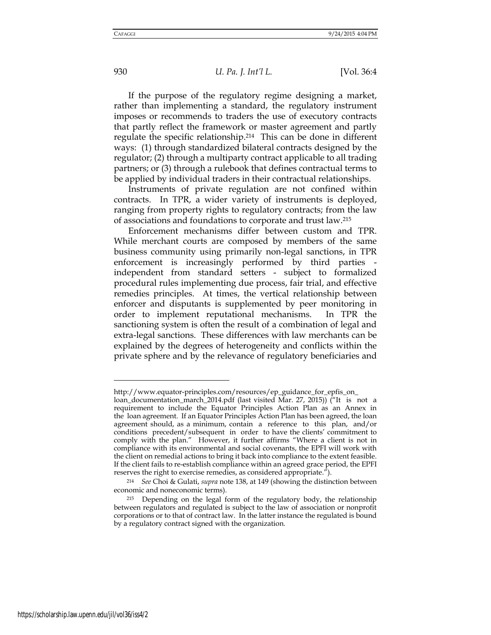If the purpose of the regulatory regime designing a market, rather than implementing a standard, the regulatory instrument imposes or recommends to traders the use of executory contracts that partly reflect the framework or master agreement and partly regulate the specific relationship.214 This can be done in different ways: (1) through standardized bilateral contracts designed by the regulator; (2) through a multiparty contract applicable to all trading partners; or (3) through a rulebook that defines contractual terms to be applied by individual traders in their contractual relationships.

Instruments of private regulation are not confined within contracts. In TPR, a wider variety of instruments is deployed, ranging from property rights to regulatory contracts; from the law of associations and foundations to corporate and trust law.<sup>215</sup>

Enforcement mechanisms differ between custom and TPR. While merchant courts are composed by members of the same business community using primarily non-legal sanctions, in TPR enforcement is increasingly performed by third parties independent from standard setters - subject to formalized procedural rules implementing due process, fair trial, and effective remedies principles. At times, the vertical relationship between enforcer and disputants is supplemented by peer monitoring in order to implement reputational mechanisms. In TPR the sanctioning system is often the result of a combination of legal and extra-legal sanctions. These differences with law merchants can be explained by the degrees of heterogeneity and conflicts within the private sphere and by the relevance of regulatory beneficiaries and

[http://www.equator-principles.com/resources/ep\\_guidance\\_for\\_epfis\\_on\\_](http://www.equator-principles.com/resources/ep_guidance_for_epfis_on_%20loan_documentation_march_2014.pdf) 

[loan\\_documentation\\_march\\_2014.pdf](http://www.equator-principles.com/resources/ep_guidance_for_epfis_on_%20loan_documentation_march_2014.pdf) (last visited Mar. 27, 2015)) ("It is not a requirement to include the Equator Principles Action Plan as an Annex in the loan agreement. If an Equator Principles Action Plan has been agreed, the loan agreement should, as a minimum, contain a reference to this plan, and/or conditions precedent/subsequent in order to have the clients' commitment to comply with the plan." However, it further affirms "Where a client is not in compliance with its environmental and social covenants, the EPFI will work with the client on remedial actions to bring it back into compliance to the extent feasible. If the client fails to re-establish compliance within an agreed grace period, the EPFI reserves the right to exercise remedies, as considered appropriate.").

<sup>214</sup> *See* Choi & Gulati, *supra* note 138, at 149 (showing the distinction between economic and noneconomic terms).

<sup>215</sup> Depending on the legal form of the regulatory body, the relationship between regulators and regulated is subject to the law of association or nonprofit corporations or to that of contract law. In the latter instance the regulated is bound by a regulatory contract signed with the organization.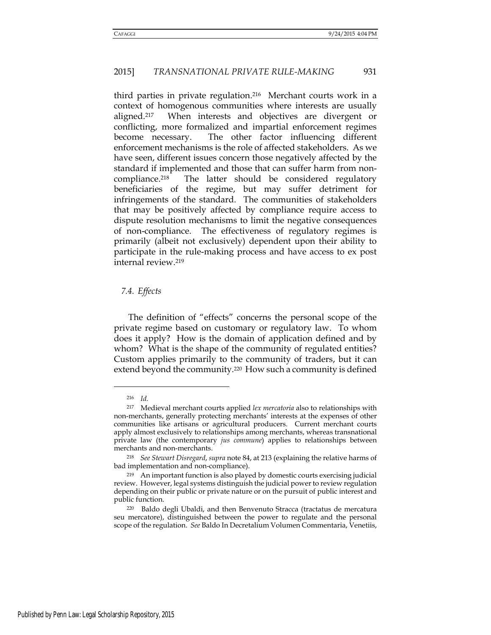third parties in private regulation.216 Merchant courts work in a context of homogenous communities where interests are usually aligned.217 When interests and objectives are divergent or conflicting, more formalized and impartial enforcement regimes become necessary. The other factor influencing different enforcement mechanisms is the role of affected stakeholders. As we have seen, different issues concern those negatively affected by the standard if implemented and those that can suffer harm from noncompliance.218 The latter should be considered regulatory beneficiaries of the regime, but may suffer detriment for infringements of the standard. The communities of stakeholders that may be positively affected by compliance require access to dispute resolution mechanisms to limit the negative consequences of non-compliance. The effectiveness of regulatory regimes is primarily (albeit not exclusively) dependent upon their ability to participate in the rule-making process and have access to ex post internal review.<sup>219</sup>

# *7.4. Effects*

The definition of "effects" concerns the personal scope of the private regime based on customary or regulatory law. To whom does it apply? How is the domain of application defined and by whom? What is the shape of the community of regulated entities? Custom applies primarily to the community of traders, but it can extend beyond the community.<sup>220</sup> How such a community is defined

<sup>216</sup> *Id.*

<sup>217</sup> Medieval merchant courts applied *lex mercatoria* also to relationships with non-merchants, generally protecting merchants' interests at the expenses of other communities like artisans or agricultural producers. Current merchant courts apply almost exclusively to relationships among merchants, whereas transnational private law (the contemporary *jus commune*) applies to relationships between merchants and non-merchants.

<sup>218</sup> *See Stewart Disregard*, *supra* note 84, at 213 (explaining the relative harms of bad implementation and non-compliance).

<sup>219</sup> An important function is also played by domestic courts exercising judicial review. However, legal systems distinguish the judicial power to review regulation depending on their public or private nature or on the pursuit of public interest and public function.

<sup>220</sup> Baldo degli Ubaldi, and then Benvenuto Stracca (tractatus de mercatura seu mercatore), distinguished between the power to regulate and the personal scope of the regulation. *See* Baldo In Decretalium Volumen Commentaria, Venetiis,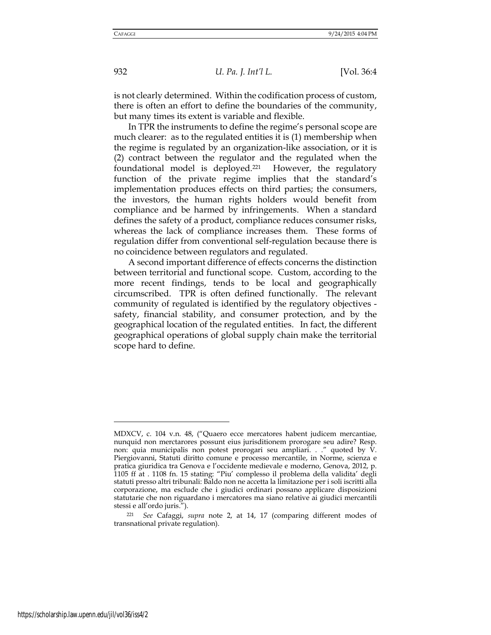is not clearly determined. Within the codification process of custom, there is often an effort to define the boundaries of the community, but many times its extent is variable and flexible.

In TPR the instruments to define the regime's personal scope are much clearer: as to the regulated entities it is (1) membership when the regime is regulated by an organization-like association, or it is (2) contract between the regulator and the regulated when the foundational model is deployed.221 However, the regulatory function of the private regime implies that the standard's implementation produces effects on third parties; the consumers, the investors, the human rights holders would benefit from compliance and be harmed by infringements. When a standard defines the safety of a product, compliance reduces consumer risks, whereas the lack of compliance increases them. These forms of regulation differ from conventional self-regulation because there is no coincidence between regulators and regulated.

A second important difference of effects concerns the distinction between territorial and functional scope. Custom, according to the more recent findings, tends to be local and geographically circumscribed. TPR is often defined functionally. The relevant community of regulated is identified by the regulatory objectives safety, financial stability, and consumer protection, and by the geographical location of the regulated entities. In fact, the different geographical operations of global supply chain make the territorial scope hard to define.

MDXCV, c. 104 v.n. 48, ("Quaero ecce mercatores habent judicem mercantiae, nunquid non merctarores possunt eius jurisditionem prorogare seu adire? Resp. non: quia municipalis non potest prorogari seu ampliari. . ." quoted by V. Piergiovanni, Statuti diritto comune e processo mercantile, in Norme, scienza e pratica giuridica tra Genova e l'occidente medievale e moderno, Genova, 2012, p. 1105 ff at . 1108 fn. 15 stating: "Piu' complesso il problema della validita' degli statuti presso altri tribunali: Baldo non ne accetta la limitazione per i soli iscritti alla corporazione, ma esclude che i giudici ordinari possano applicare disposizioni statutarie che non riguardano i mercatores ma siano relative ai giudici mercantili stessi e all'ordo juris.").

<sup>221</sup> *See* Cafaggi, *supra* note 2, at 14, 17 (comparing different modes of transnational private regulation).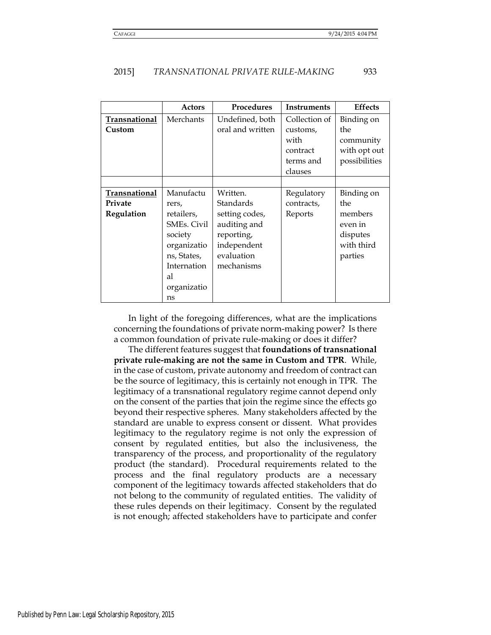|                                               | <b>Actors</b>                                                                                                                             | <b>Procedures</b>                                                                                                       | <b>Instruments</b>                                                    | <b>Effects</b>                                                               |
|-----------------------------------------------|-------------------------------------------------------------------------------------------------------------------------------------------|-------------------------------------------------------------------------------------------------------------------------|-----------------------------------------------------------------------|------------------------------------------------------------------------------|
| Transnational<br>Custom                       | Merchants                                                                                                                                 | Undefined, both<br>oral and written                                                                                     | Collection of<br>customs,<br>with<br>contract<br>terms and<br>clauses | Binding on<br>the<br>community<br>with opt out<br>possibilities              |
|                                               |                                                                                                                                           |                                                                                                                         |                                                                       |                                                                              |
| <b>Transnational</b><br>Private<br>Regulation | Manufactu<br>rers,<br>retailers,<br><b>SMEs. Civil</b><br>society<br>organizatio<br>ns, States,<br>Internation<br>al<br>organizatio<br>ns | Written.<br><b>Standards</b><br>setting codes,<br>auditing and<br>reporting,<br>independent<br>evaluation<br>mechanisms | Regulatory<br>contracts,<br>Reports                                   | Binding on<br>the<br>members<br>even in<br>disputes<br>with third<br>parties |

In light of the foregoing differences, what are the implications concerning the foundations of private norm-making power? Is there a common foundation of private rule-making or does it differ?

The different features suggest that **foundations of transnational private rule-making are not the same in Custom and TPR**. While, in the case of custom, private autonomy and freedom of contract can be the source of legitimacy, this is certainly not enough in TPR. The legitimacy of a transnational regulatory regime cannot depend only on the consent of the parties that join the regime since the effects go beyond their respective spheres. Many stakeholders affected by the standard are unable to express consent or dissent. What provides legitimacy to the regulatory regime is not only the expression of consent by regulated entities, but also the inclusiveness, the transparency of the process, and proportionality of the regulatory product (the standard). Procedural requirements related to the process and the final regulatory products are a necessary component of the legitimacy towards affected stakeholders that do not belong to the community of regulated entities. The validity of these rules depends on their legitimacy. Consent by the regulated is not enough; affected stakeholders have to participate and confer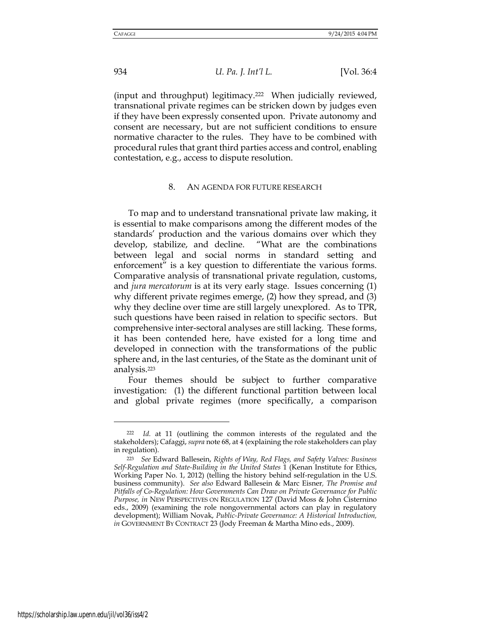(input and throughput) legitimacy.222 When judicially reviewed, transnational private regimes can be stricken down by judges even if they have been expressly consented upon. Private autonomy and consent are necessary, but are not sufficient conditions to ensure normative character to the rules. They have to be combined with procedural rules that grant third parties access and control, enabling contestation, e.g., access to dispute resolution.

### 8. AN AGENDA FOR FUTURE RESEARCH

To map and to understand transnational private law making, it is essential to make comparisons among the different modes of the standards' production and the various domains over which they develop, stabilize, and decline. "What are the combinations between legal and social norms in standard setting and enforcement" is a key question to differentiate the various forms. Comparative analysis of transnational private regulation, customs, and *jura mercatorum* is at its very early stage. Issues concerning (1) why different private regimes emerge, (2) how they spread, and (3) why they decline over time are still largely unexplored. As to TPR, such questions have been raised in relation to specific sectors. But comprehensive inter-sectoral analyses are still lacking. These forms, it has been contended here, have existed for a long time and developed in connection with the transformations of the public sphere and, in the last centuries, of the State as the dominant unit of analysis.<sup>223</sup>

Four themes should be subject to further comparative investigation: (1) the different functional partition between local and global private regimes (more specifically, a comparison

<sup>222</sup> *Id.* at 11 (outlining the common interests of the regulated and the stakeholders); Cafaggi, *supra* note 68, at 4 (explaining the role stakeholders can play in regulation).

<sup>223</sup> *See* Edward Ballesein, *Rights of Way, Red Flags, and Safety Valves: Business Self-Regulation and State-Building in the United States* 1 (Kenan Institute for Ethics, Working Paper No. 1, 2012) (telling the history behind self-regulation in the U.S. business community). *See also* Edward Ballesein & Marc Eisner*, The Promise and Pitfalls of Co-Regulation: How Governments Can Draw on Private Governance for Public Purpose, in* NEW PERSPECTIVES ON REGULATION 127 (David Moss & John Cisternino eds., 2009) (examining the role nongovernmental actors can play in regulatory development); William Novak, *Public-Private Governance: A Historical Introduction, in* GOVERNMENT BY CONTRACT 23 (Jody Freeman & Martha Mino eds., 2009).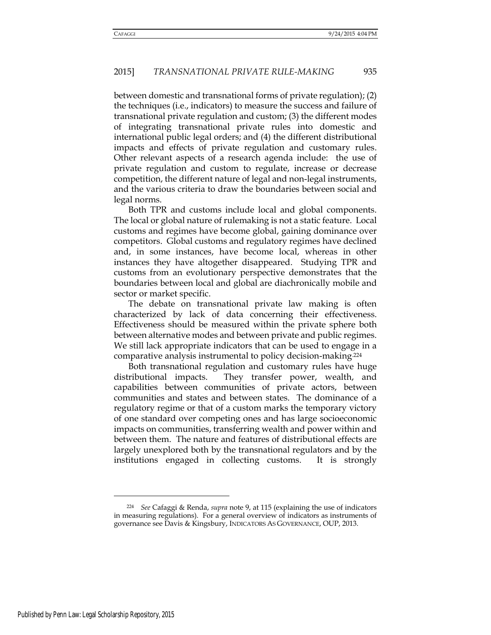between domestic and transnational forms of private regulation); (2) the techniques (i.e., indicators) to measure the success and failure of transnational private regulation and custom; (3) the different modes of integrating transnational private rules into domestic and international public legal orders; and (4) the different distributional impacts and effects of private regulation and customary rules. Other relevant aspects of a research agenda include: the use of private regulation and custom to regulate, increase or decrease competition, the different nature of legal and non-legal instruments, and the various criteria to draw the boundaries between social and legal norms.

Both TPR and customs include local and global components. The local or global nature of rulemaking is not a static feature. Local customs and regimes have become global, gaining dominance over competitors. Global customs and regulatory regimes have declined and, in some instances, have become local, whereas in other instances they have altogether disappeared. Studying TPR and customs from an evolutionary perspective demonstrates that the boundaries between local and global are diachronically mobile and sector or market specific.

The debate on transnational private law making is often characterized by lack of data concerning their effectiveness. Effectiveness should be measured within the private sphere both between alternative modes and between private and public regimes. We still lack appropriate indicators that can be used to engage in a comparative analysis instrumental to policy decision-making.224

Both transnational regulation and customary rules have huge distributional impacts. They transfer power, wealth, and capabilities between communities of private actors, between communities and states and between states. The dominance of a regulatory regime or that of a custom marks the temporary victory of one standard over competing ones and has large socioeconomic impacts on communities, transferring wealth and power within and between them. The nature and features of distributional effects are largely unexplored both by the transnational regulators and by the institutions engaged in collecting customs. It is strongly

<sup>224</sup> *See* Cafaggi & Renda, *supra* note 9, at 115 (explaining the use of indicators in measuring regulations). For a general overview of indicators as instruments of governance see Davis & Kingsbury, INDICATORS AS GOVERNANCE, OUP, 2013.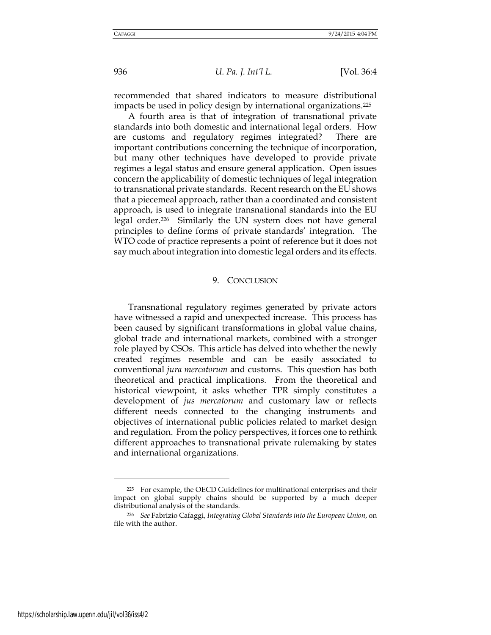recommended that shared indicators to measure distributional impacts be used in policy design by international organizations.<sup>225</sup>

A fourth area is that of integration of transnational private standards into both domestic and international legal orders. How are customs and regulatory regimes integrated? There are important contributions concerning the technique of incorporation, but many other techniques have developed to provide private regimes a legal status and ensure general application. Open issues concern the applicability of domestic techniques of legal integration to transnational private standards. Recent research on the EU shows that a piecemeal approach, rather than a coordinated and consistent approach, is used to integrate transnational standards into the EU legal order.226 Similarly the UN system does not have general principles to define forms of private standards' integration. The WTO code of practice represents a point of reference but it does not say much about integration into domestic legal orders and its effects.

### 9. CONCLUSION

Transnational regulatory regimes generated by private actors have witnessed a rapid and unexpected increase. This process has been caused by significant transformations in global value chains, global trade and international markets, combined with a stronger role played by CSOs. This article has delved into whether the newly created regimes resemble and can be easily associated to conventional *jura mercatorum* and customs. This question has both theoretical and practical implications. From the theoretical and historical viewpoint, it asks whether TPR simply constitutes a development of *jus mercatorum* and customary law or reflects different needs connected to the changing instruments and objectives of international public policies related to market design and regulation. From the policy perspectives, it forces one to rethink different approaches to transnational private rulemaking by states and international organizations.

<sup>225</sup> For example, the OECD Guidelines for multinational enterprises and their impact on global supply chains should be supported by a much deeper distributional analysis of the standards.

<sup>226</sup> *See* Fabrizio Cafaggi, *Integrating Global Standards into the European Union*, on file with the author.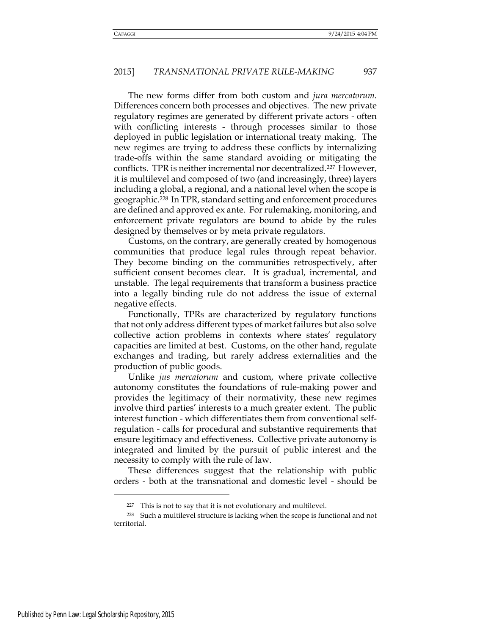The new forms differ from both custom and *jura mercatorum*. Differences concern both processes and objectives. The new private regulatory regimes are generated by different private actors - often with conflicting interests - through processes similar to those deployed in public legislation or international treaty making. The new regimes are trying to address these conflicts by internalizing trade-offs within the same standard avoiding or mitigating the conflicts. TPR is neither incremental nor decentralized.227 However, it is multilevel and composed of two (and increasingly, three) layers including a global, a regional, and a national level when the scope is geographic.228 In TPR, standard setting and enforcement procedures are defined and approved ex ante. For rulemaking, monitoring, and enforcement private regulators are bound to abide by the rules designed by themselves or by meta private regulators.

Customs, on the contrary, are generally created by homogenous communities that produce legal rules through repeat behavior. They become binding on the communities retrospectively, after sufficient consent becomes clear. It is gradual, incremental, and unstable. The legal requirements that transform a business practice into a legally binding rule do not address the issue of external negative effects.

Functionally, TPRs are characterized by regulatory functions that not only address different types of market failures but also solve collective action problems in contexts where states' regulatory capacities are limited at best. Customs, on the other hand, regulate exchanges and trading, but rarely address externalities and the production of public goods.

Unlike *jus mercatorum* and custom, where private collective autonomy constitutes the foundations of rule-making power and provides the legitimacy of their normativity, these new regimes involve third parties' interests to a much greater extent. The public interest function - which differentiates them from conventional selfregulation - calls for procedural and substantive requirements that ensure legitimacy and effectiveness. Collective private autonomy is integrated and limited by the pursuit of public interest and the necessity to comply with the rule of law.

These differences suggest that the relationship with public orders - both at the transnational and domestic level - should be

<sup>227</sup> This is not to say that it is not evolutionary and multilevel.

<sup>228</sup> Such a multilevel structure is lacking when the scope is functional and not territorial.